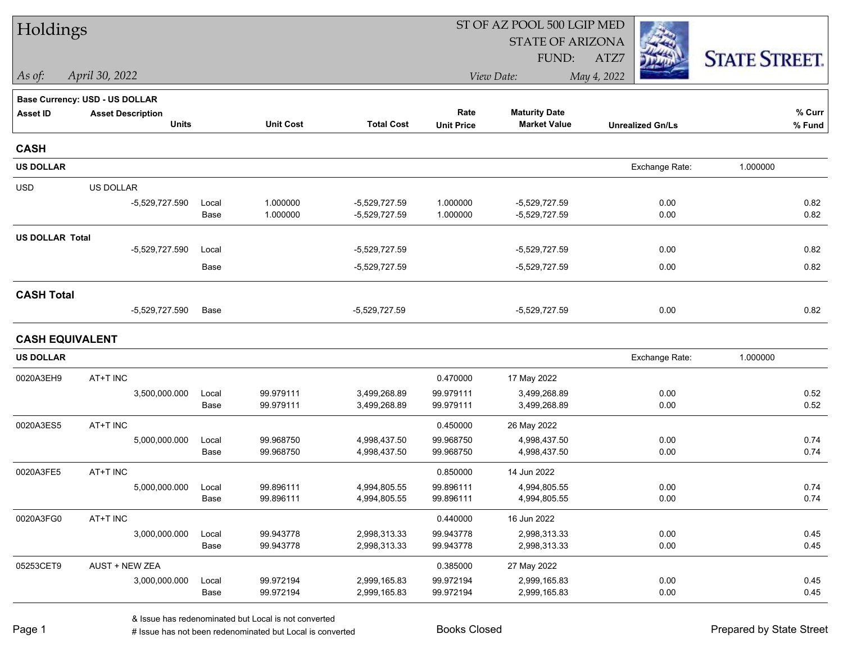| Holdings               |                                          |               |                        |                              | ST OF AZ POOL 500 LGIP MED |                                             |                         |                      |  |  |
|------------------------|------------------------------------------|---------------|------------------------|------------------------------|----------------------------|---------------------------------------------|-------------------------|----------------------|--|--|
|                        |                                          |               |                        |                              |                            | <b>STATE OF ARIZONA</b>                     |                         |                      |  |  |
|                        |                                          |               |                        |                              |                            | FUND:                                       | ATZ7                    | <b>STATE STREET.</b> |  |  |
| As of:                 | April 30, 2022                           |               |                        |                              |                            | View Date:                                  | May 4, 2022             |                      |  |  |
|                        | <b>Base Currency: USD - US DOLLAR</b>    |               |                        |                              |                            |                                             |                         |                      |  |  |
| <b>Asset ID</b>        | <b>Asset Description</b><br><b>Units</b> |               | <b>Unit Cost</b>       | <b>Total Cost</b>            | Rate<br><b>Unit Price</b>  | <b>Maturity Date</b><br><b>Market Value</b> | <b>Unrealized Gn/Ls</b> | % Curr<br>% Fund     |  |  |
|                        |                                          |               |                        |                              |                            |                                             |                         |                      |  |  |
| <b>CASH</b>            |                                          |               |                        |                              |                            |                                             |                         |                      |  |  |
| <b>US DOLLAR</b>       |                                          |               |                        |                              |                            |                                             | Exchange Rate:          | 1.000000             |  |  |
| <b>USD</b>             | US DOLLAR                                |               |                        |                              |                            |                                             |                         |                      |  |  |
|                        | -5,529,727.590                           | Local         | 1.000000               | -5,529,727.59                | 1.000000                   | $-5,529,727.59$                             | 0.00                    | 0.82                 |  |  |
|                        |                                          | Base          | 1.000000               | -5,529,727.59                | 1.000000                   | -5,529,727.59                               | 0.00                    | 0.82                 |  |  |
| <b>US DOLLAR Total</b> |                                          |               |                        |                              |                            |                                             |                         |                      |  |  |
|                        | -5,529,727.590                           | Local         |                        | -5,529,727.59                |                            | -5,529,727.59                               | 0.00                    | 0.82                 |  |  |
|                        |                                          | Base          |                        | -5,529,727.59                |                            | -5,529,727.59                               | 0.00                    | 0.82                 |  |  |
| <b>CASH Total</b>      |                                          |               |                        |                              |                            |                                             |                         |                      |  |  |
|                        | -5,529,727.590                           | Base          |                        | $-5,529,727.59$              |                            | $-5,529,727.59$                             | 0.00                    | 0.82                 |  |  |
| <b>CASH EQUIVALENT</b> |                                          |               |                        |                              |                            |                                             |                         |                      |  |  |
| <b>US DOLLAR</b>       |                                          |               |                        |                              |                            |                                             | Exchange Rate:          | 1.000000             |  |  |
| 0020A3EH9              | AT+T INC                                 |               |                        |                              | 0.470000                   | 17 May 2022                                 |                         |                      |  |  |
|                        | 3,500,000.000                            | Local         | 99.979111              | 3,499,268.89                 | 99.979111                  | 3,499,268.89                                | 0.00                    | 0.52                 |  |  |
|                        |                                          | Base          | 99.979111              | 3,499,268.89                 | 99.979111                  | 3,499,268.89                                | 0.00                    | 0.52                 |  |  |
| 0020A3ES5              | AT+T INC                                 |               |                        |                              | 0.450000                   | 26 May 2022                                 |                         |                      |  |  |
|                        | 5,000,000.000                            | Local         | 99.968750              | 4,998,437.50                 | 99.968750                  | 4,998,437.50                                | 0.00                    | 0.74                 |  |  |
|                        |                                          | Base          | 99.968750              | 4,998,437.50                 | 99.968750                  | 4,998,437.50                                | 0.00                    | 0.74                 |  |  |
| 0020A3FE5              | AT+T INC                                 |               |                        |                              | 0.850000                   | 14 Jun 2022                                 |                         |                      |  |  |
|                        | 5,000,000.000                            | Local         | 99.896111              | 4,994,805.55                 | 99.896111                  | 4,994,805.55                                | 0.00                    | 0.74<br>0.74         |  |  |
|                        |                                          | Base          | 99.896111              | 4,994,805.55                 | 99.896111                  | 4,994,805.55                                | 0.00                    |                      |  |  |
| 0020A3FG0              | AT+T INC                                 |               |                        |                              | 0.440000                   | 16 Jun 2022                                 |                         |                      |  |  |
|                        | 3,000,000.000                            | Local<br>Base | 99.943778<br>99.943778 | 2,998,313.33<br>2,998,313.33 | 99.943778<br>99.943778     | 2,998,313.33<br>2,998,313.33                | 0.00<br>0.00            | 0.45<br>0.45         |  |  |
| 05253CET9              | AUST + NEW ZEA                           |               |                        |                              |                            |                                             |                         |                      |  |  |
|                        | 3,000,000.000                            | Local         | 99.972194              | 2,999,165.83                 | 0.385000<br>99.972194      | 27 May 2022<br>2,999,165.83                 | 0.00                    | 0.45                 |  |  |
|                        |                                          | Base          | 99.972194              | 2,999,165.83                 | 99.972194                  | 2,999,165.83                                | 0.00                    | 0.45                 |  |  |
|                        |                                          |               |                        |                              |                            |                                             |                         |                      |  |  |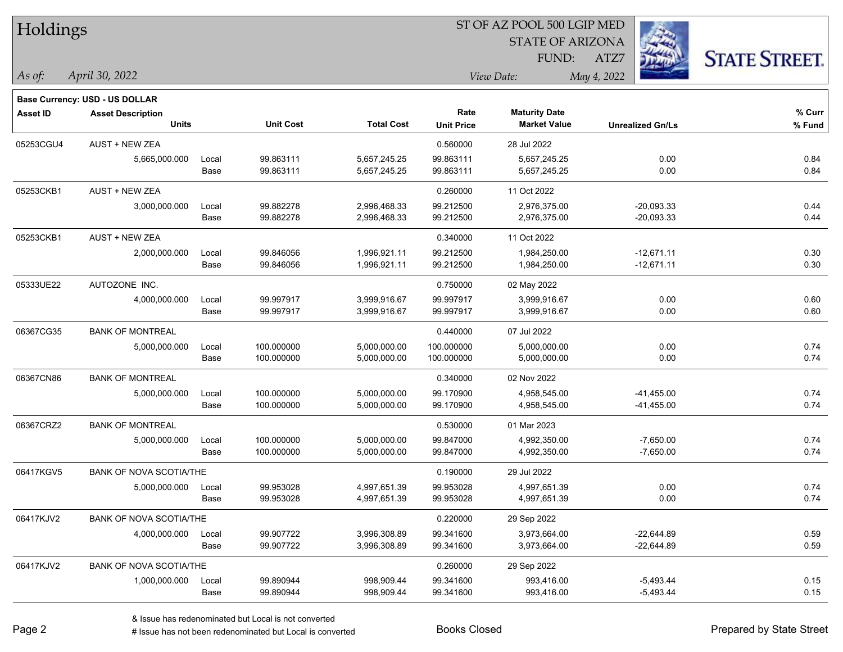| Holdings        |                                          |       |                  |                   | ST OF AZ POOL 500 LGIP MED |                         |                         |                      |  |  |
|-----------------|------------------------------------------|-------|------------------|-------------------|----------------------------|-------------------------|-------------------------|----------------------|--|--|
|                 |                                          |       |                  |                   |                            | <b>STATE OF ARIZONA</b> |                         |                      |  |  |
|                 |                                          |       |                  |                   |                            | FUND:                   | ATZ7                    | <b>STATE STREET.</b> |  |  |
| As of:          | April 30, 2022                           |       |                  |                   | View Date:<br>May 4, 2022  |                         |                         |                      |  |  |
|                 |                                          |       |                  |                   |                            |                         |                         |                      |  |  |
|                 | Base Currency: USD - US DOLLAR           |       |                  |                   | Rate                       | <b>Maturity Date</b>    |                         | % Curr               |  |  |
| <b>Asset ID</b> | <b>Asset Description</b><br><b>Units</b> |       | <b>Unit Cost</b> | <b>Total Cost</b> | <b>Unit Price</b>          | <b>Market Value</b>     | <b>Unrealized Gn/Ls</b> | % Fund               |  |  |
| 05253CGU4       | <b>AUST + NEW ZEA</b>                    |       |                  |                   | 0.560000                   | 28 Jul 2022             |                         |                      |  |  |
|                 | 5,665,000.000                            | Local | 99.863111        | 5,657,245.25      | 99.863111                  | 5,657,245.25            | 0.00                    | 0.84                 |  |  |
|                 |                                          | Base  | 99.863111        | 5,657,245.25      | 99.863111                  | 5,657,245.25            | 0.00                    | 0.84                 |  |  |
| 05253CKB1       | AUST + NEW ZEA                           |       |                  |                   | 0.260000                   | 11 Oct 2022             |                         |                      |  |  |
|                 | 3,000,000.000                            | Local | 99.882278        | 2,996,468.33      | 99.212500                  | 2,976,375.00            | $-20,093.33$            | 0.44                 |  |  |
|                 |                                          | Base  | 99.882278        | 2,996,468.33      | 99.212500                  | 2,976,375.00            | $-20,093.33$            | 0.44                 |  |  |
| 05253CKB1       | <b>AUST + NEW ZEA</b>                    |       |                  |                   | 0.340000                   | 11 Oct 2022             |                         |                      |  |  |
|                 | 2,000,000.000                            | Local | 99.846056        | 1,996,921.11      | 99.212500                  | 1,984,250.00            | $-12,671.11$            | 0.30                 |  |  |
|                 |                                          | Base  | 99.846056        | 1,996,921.11      | 99.212500                  | 1,984,250.00            | $-12,671.11$            | 0.30                 |  |  |
| 05333UE22       | AUTOZONE INC.                            |       |                  |                   | 0.750000                   | 02 May 2022             |                         |                      |  |  |
|                 | 4,000,000.000                            | Local | 99.997917        | 3,999,916.67      | 99.997917                  | 3,999,916.67            | 0.00                    | 0.60                 |  |  |
|                 |                                          | Base  | 99.997917        | 3,999,916.67      | 99.997917                  | 3,999,916.67            | 0.00                    | 0.60                 |  |  |
| 06367CG35       | <b>BANK OF MONTREAL</b>                  |       |                  |                   | 0.440000                   | 07 Jul 2022             |                         |                      |  |  |
|                 | 5,000,000.000                            | Local | 100.000000       | 5,000,000.00      | 100.000000                 | 5,000,000.00            | 0.00                    | 0.74                 |  |  |
|                 |                                          | Base  | 100.000000       | 5,000,000.00      | 100.000000                 | 5,000,000.00            | 0.00                    | 0.74                 |  |  |
| 06367CN86       | <b>BANK OF MONTREAL</b>                  |       |                  |                   | 0.340000                   | 02 Nov 2022             |                         |                      |  |  |
|                 | 5,000,000.000                            | Local | 100.000000       | 5,000,000.00      | 99.170900                  | 4,958,545.00            | $-41,455.00$            | 0.74                 |  |  |
|                 |                                          | Base  | 100.000000       | 5,000,000.00      | 99.170900                  | 4,958,545.00            | $-41,455.00$            | 0.74                 |  |  |
| 06367CRZ2       | <b>BANK OF MONTREAL</b>                  |       |                  |                   | 0.530000                   | 01 Mar 2023             |                         |                      |  |  |
|                 | 5,000,000.000                            | Local | 100.000000       | 5,000,000.00      | 99.847000                  | 4,992,350.00            | $-7,650.00$             | 0.74                 |  |  |
|                 |                                          | Base  | 100.000000       | 5,000,000.00      | 99.847000                  | 4,992,350.00            | $-7,650.00$             | 0.74                 |  |  |
| 06417KGV5       | BANK OF NOVA SCOTIA/THE                  |       |                  |                   | 0.190000                   | 29 Jul 2022             |                         |                      |  |  |
|                 | 5,000,000.000                            | Local | 99.953028        | 4,997,651.39      | 99.953028                  | 4,997,651.39            | 0.00                    | 0.74                 |  |  |
|                 |                                          | Base  | 99.953028        | 4,997,651.39      | 99.953028                  | 4,997,651.39            | 0.00                    | 0.74                 |  |  |
| 06417KJV2       | <b>BANK OF NOVA SCOTIA/THE</b>           |       |                  |                   | 0.220000                   | 29 Sep 2022             |                         |                      |  |  |
|                 | 4,000,000.000                            | Local | 99.907722        | 3,996,308.89      | 99.341600                  | 3,973,664.00            | $-22,644.89$            | 0.59                 |  |  |
|                 |                                          | Base  | 99.907722        | 3,996,308.89      | 99.341600                  | 3,973,664.00            | $-22,644.89$            | 0.59                 |  |  |
| 06417KJV2       | <b>BANK OF NOVA SCOTIA/THE</b>           |       |                  |                   | 0.260000                   | 29 Sep 2022             |                         |                      |  |  |
|                 | 1,000,000.000                            | Local | 99.890944        | 998,909.44        | 99.341600                  | 993,416.00              | $-5,493.44$             | 0.15                 |  |  |
|                 |                                          | Base  | 99.890944        | 998,909.44        | 99.341600                  | 993,416.00              | $-5,493.44$             | 0.15                 |  |  |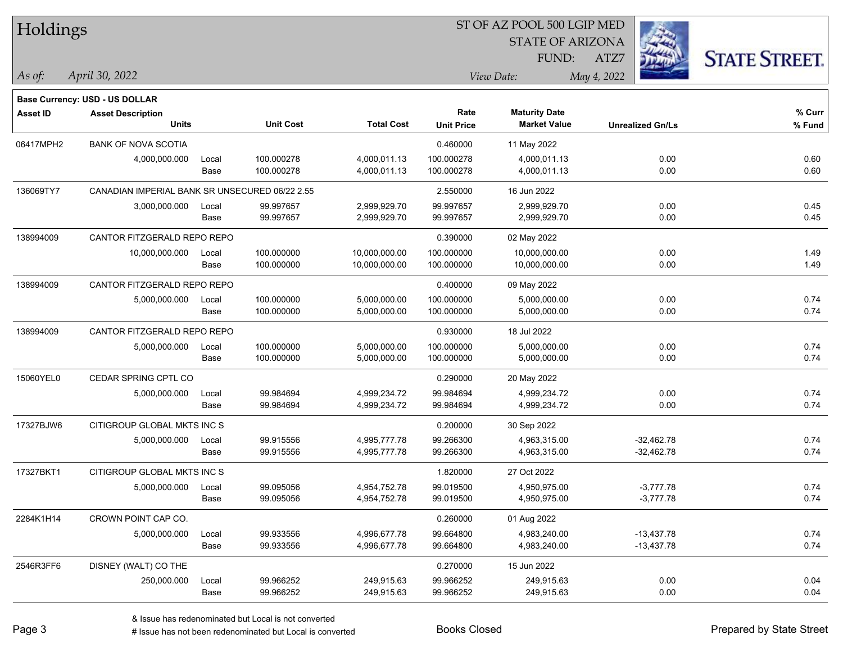| <b>STATE OF ARIZONA</b><br><b>STATE STREET.</b><br>FUND:<br>ATZ7<br>As of:<br>April 30, 2022<br>View Date:<br>May 4, 2022<br><b>Base Currency: USD - US DOLLAR</b><br>Rate<br><b>Maturity Date</b><br>% Curr<br><b>Asset ID</b><br><b>Asset Description</b><br><b>Unit Cost</b><br><b>Total Cost</b><br><b>Units</b><br><b>Market Value</b><br><b>Unit Price</b><br><b>Unrealized Gn/Ls</b><br>% Fund<br>06417MPH2<br><b>BANK OF NOVA SCOTIA</b><br>0.460000<br>11 May 2022<br>100.000278<br>4,000,011.13<br>100.000278<br>4,000,011.13<br>0.00<br>0.60<br>4,000,000.000<br>Local<br>0.60<br>Base<br>100.000278<br>4,000,011.13<br>100.000278<br>4,000,011.13<br>0.00<br>136069TY7<br>CANADIAN IMPERIAL BANK SR UNSECURED 06/22 2.55<br>2.550000<br>16 Jun 2022<br>0.45<br>99.997657<br>99.997657<br>0.00<br>3,000,000.000<br>2,999,929.70<br>2,999,929.70<br>Local<br>99.997657<br>99.997657<br>2,999,929.70<br>0.00<br>0.45<br>Base<br>2,999,929.70<br>138994009<br>CANTOR FITZGERALD REPO REPO<br>0.390000<br>02 May 2022<br>10,000,000.000<br>100.000000<br>10,000,000.00<br>100.000000<br>10,000,000.00<br>0.00<br>1.49<br>Local<br>1.49<br>100.000000<br>10,000,000.00<br>100.000000<br>10,000,000.00<br>0.00<br>Base<br>138994009<br>CANTOR FITZGERALD REPO REPO<br>0.400000<br>09 May 2022<br>0.74<br>5,000,000.000<br>100.000000<br>5,000,000.00<br>100.000000<br>5,000,000.00<br>0.00<br>Local<br>0.74<br>100.000000<br>100.000000<br>5,000,000.00<br>0.00<br>Base<br>5,000,000.00<br>138994009<br>CANTOR FITZGERALD REPO REPO<br>0.930000<br>18 Jul 2022<br>0.74<br>5,000,000.00<br>100.000000<br>5,000,000.00<br>0.00<br>5,000,000.000<br>100.000000<br>Local<br>0.74<br>5,000,000.00<br>0.00<br>Base<br>100.000000<br>5,000,000.00<br>100.000000<br>15060YEL0<br>CEDAR SPRING CPTL CO<br>0.290000<br>20 May 2022<br>99.984694<br>0.74<br>4,999,234.72<br>99.984694<br>4,999,234.72<br>0.00<br>5,000,000.000<br>Local<br>0.74<br>99.984694<br>4,999,234.72<br>4,999,234.72<br>0.00<br>Base<br>99.984694<br>17327BJW6<br>CITIGROUP GLOBAL MKTS INC S<br>0.200000<br>30 Sep 2022<br>0.74<br>5,000,000.000<br>99.915556<br>4,995,777.78<br>99.266300<br>4,963,315.00<br>$-32,462.78$<br>Local<br>0.74<br>99.915556<br>99.266300<br>4,963,315.00<br>$-32,462.78$<br>Base<br>4,995,777.78<br>17327BKT1<br>CITIGROUP GLOBAL MKTS INC S<br>1.820000<br>27 Oct 2022<br>$-3,777.78$<br>0.74<br>5,000,000.000<br>99.095056<br>4,954,752.78<br>99.019500<br>4,950,975.00<br>Local<br>$-3,777.78$<br>0.74<br>Base<br>99.095056<br>4,954,752.78<br>99.019500<br>4,950,975.00<br>CROWN POINT CAP CO.<br>2284K1H14<br>0.260000<br>01 Aug 2022<br>99.933556<br>99.664800<br>0.74<br>5,000,000.000<br>Local<br>4,996,677.78<br>4,983,240.00<br>$-13,437.78$<br>99.933556<br>0.74<br>Base<br>4,996,677.78<br>99.664800<br>4,983,240.00<br>$-13,437.78$<br>2546R3FF6<br>DISNEY (WALT) CO THE<br>0.270000<br>15 Jun 2022<br>99.966252<br>99.966252<br>249,915.63<br>0.00<br>0.04<br>250,000.000<br>249,915.63<br>Local<br>0.04<br>99.966252<br>249,915.63<br>99.966252<br>249,915.63<br>0.00<br>Base | Holdings |  |  | ST OF AZ POOL 500 LGIP MED |  |  |  |  |  |
|----------------------------------------------------------------------------------------------------------------------------------------------------------------------------------------------------------------------------------------------------------------------------------------------------------------------------------------------------------------------------------------------------------------------------------------------------------------------------------------------------------------------------------------------------------------------------------------------------------------------------------------------------------------------------------------------------------------------------------------------------------------------------------------------------------------------------------------------------------------------------------------------------------------------------------------------------------------------------------------------------------------------------------------------------------------------------------------------------------------------------------------------------------------------------------------------------------------------------------------------------------------------------------------------------------------------------------------------------------------------------------------------------------------------------------------------------------------------------------------------------------------------------------------------------------------------------------------------------------------------------------------------------------------------------------------------------------------------------------------------------------------------------------------------------------------------------------------------------------------------------------------------------------------------------------------------------------------------------------------------------------------------------------------------------------------------------------------------------------------------------------------------------------------------------------------------------------------------------------------------------------------------------------------------------------------------------------------------------------------------------------------------------------------------------------------------------------------------------------------------------------------------------------------------------------------------------------------------------------------------------------------------------------------------------------------------------------------------------------------------------------------------------------------------------------------------------------------------------------------------------------------------------------------------------------------------------------------------------------------------------------------------------------------------------------------------------------------------|----------|--|--|----------------------------|--|--|--|--|--|
|                                                                                                                                                                                                                                                                                                                                                                                                                                                                                                                                                                                                                                                                                                                                                                                                                                                                                                                                                                                                                                                                                                                                                                                                                                                                                                                                                                                                                                                                                                                                                                                                                                                                                                                                                                                                                                                                                                                                                                                                                                                                                                                                                                                                                                                                                                                                                                                                                                                                                                                                                                                                                                                                                                                                                                                                                                                                                                                                                                                                                                                                                              |          |  |  |                            |  |  |  |  |  |
|                                                                                                                                                                                                                                                                                                                                                                                                                                                                                                                                                                                                                                                                                                                                                                                                                                                                                                                                                                                                                                                                                                                                                                                                                                                                                                                                                                                                                                                                                                                                                                                                                                                                                                                                                                                                                                                                                                                                                                                                                                                                                                                                                                                                                                                                                                                                                                                                                                                                                                                                                                                                                                                                                                                                                                                                                                                                                                                                                                                                                                                                                              |          |  |  |                            |  |  |  |  |  |
|                                                                                                                                                                                                                                                                                                                                                                                                                                                                                                                                                                                                                                                                                                                                                                                                                                                                                                                                                                                                                                                                                                                                                                                                                                                                                                                                                                                                                                                                                                                                                                                                                                                                                                                                                                                                                                                                                                                                                                                                                                                                                                                                                                                                                                                                                                                                                                                                                                                                                                                                                                                                                                                                                                                                                                                                                                                                                                                                                                                                                                                                                              |          |  |  |                            |  |  |  |  |  |
|                                                                                                                                                                                                                                                                                                                                                                                                                                                                                                                                                                                                                                                                                                                                                                                                                                                                                                                                                                                                                                                                                                                                                                                                                                                                                                                                                                                                                                                                                                                                                                                                                                                                                                                                                                                                                                                                                                                                                                                                                                                                                                                                                                                                                                                                                                                                                                                                                                                                                                                                                                                                                                                                                                                                                                                                                                                                                                                                                                                                                                                                                              |          |  |  |                            |  |  |  |  |  |
|                                                                                                                                                                                                                                                                                                                                                                                                                                                                                                                                                                                                                                                                                                                                                                                                                                                                                                                                                                                                                                                                                                                                                                                                                                                                                                                                                                                                                                                                                                                                                                                                                                                                                                                                                                                                                                                                                                                                                                                                                                                                                                                                                                                                                                                                                                                                                                                                                                                                                                                                                                                                                                                                                                                                                                                                                                                                                                                                                                                                                                                                                              |          |  |  |                            |  |  |  |  |  |
|                                                                                                                                                                                                                                                                                                                                                                                                                                                                                                                                                                                                                                                                                                                                                                                                                                                                                                                                                                                                                                                                                                                                                                                                                                                                                                                                                                                                                                                                                                                                                                                                                                                                                                                                                                                                                                                                                                                                                                                                                                                                                                                                                                                                                                                                                                                                                                                                                                                                                                                                                                                                                                                                                                                                                                                                                                                                                                                                                                                                                                                                                              |          |  |  |                            |  |  |  |  |  |
|                                                                                                                                                                                                                                                                                                                                                                                                                                                                                                                                                                                                                                                                                                                                                                                                                                                                                                                                                                                                                                                                                                                                                                                                                                                                                                                                                                                                                                                                                                                                                                                                                                                                                                                                                                                                                                                                                                                                                                                                                                                                                                                                                                                                                                                                                                                                                                                                                                                                                                                                                                                                                                                                                                                                                                                                                                                                                                                                                                                                                                                                                              |          |  |  |                            |  |  |  |  |  |
|                                                                                                                                                                                                                                                                                                                                                                                                                                                                                                                                                                                                                                                                                                                                                                                                                                                                                                                                                                                                                                                                                                                                                                                                                                                                                                                                                                                                                                                                                                                                                                                                                                                                                                                                                                                                                                                                                                                                                                                                                                                                                                                                                                                                                                                                                                                                                                                                                                                                                                                                                                                                                                                                                                                                                                                                                                                                                                                                                                                                                                                                                              |          |  |  |                            |  |  |  |  |  |
|                                                                                                                                                                                                                                                                                                                                                                                                                                                                                                                                                                                                                                                                                                                                                                                                                                                                                                                                                                                                                                                                                                                                                                                                                                                                                                                                                                                                                                                                                                                                                                                                                                                                                                                                                                                                                                                                                                                                                                                                                                                                                                                                                                                                                                                                                                                                                                                                                                                                                                                                                                                                                                                                                                                                                                                                                                                                                                                                                                                                                                                                                              |          |  |  |                            |  |  |  |  |  |
|                                                                                                                                                                                                                                                                                                                                                                                                                                                                                                                                                                                                                                                                                                                                                                                                                                                                                                                                                                                                                                                                                                                                                                                                                                                                                                                                                                                                                                                                                                                                                                                                                                                                                                                                                                                                                                                                                                                                                                                                                                                                                                                                                                                                                                                                                                                                                                                                                                                                                                                                                                                                                                                                                                                                                                                                                                                                                                                                                                                                                                                                                              |          |  |  |                            |  |  |  |  |  |
|                                                                                                                                                                                                                                                                                                                                                                                                                                                                                                                                                                                                                                                                                                                                                                                                                                                                                                                                                                                                                                                                                                                                                                                                                                                                                                                                                                                                                                                                                                                                                                                                                                                                                                                                                                                                                                                                                                                                                                                                                                                                                                                                                                                                                                                                                                                                                                                                                                                                                                                                                                                                                                                                                                                                                                                                                                                                                                                                                                                                                                                                                              |          |  |  |                            |  |  |  |  |  |
|                                                                                                                                                                                                                                                                                                                                                                                                                                                                                                                                                                                                                                                                                                                                                                                                                                                                                                                                                                                                                                                                                                                                                                                                                                                                                                                                                                                                                                                                                                                                                                                                                                                                                                                                                                                                                                                                                                                                                                                                                                                                                                                                                                                                                                                                                                                                                                                                                                                                                                                                                                                                                                                                                                                                                                                                                                                                                                                                                                                                                                                                                              |          |  |  |                            |  |  |  |  |  |
|                                                                                                                                                                                                                                                                                                                                                                                                                                                                                                                                                                                                                                                                                                                                                                                                                                                                                                                                                                                                                                                                                                                                                                                                                                                                                                                                                                                                                                                                                                                                                                                                                                                                                                                                                                                                                                                                                                                                                                                                                                                                                                                                                                                                                                                                                                                                                                                                                                                                                                                                                                                                                                                                                                                                                                                                                                                                                                                                                                                                                                                                                              |          |  |  |                            |  |  |  |  |  |
|                                                                                                                                                                                                                                                                                                                                                                                                                                                                                                                                                                                                                                                                                                                                                                                                                                                                                                                                                                                                                                                                                                                                                                                                                                                                                                                                                                                                                                                                                                                                                                                                                                                                                                                                                                                                                                                                                                                                                                                                                                                                                                                                                                                                                                                                                                                                                                                                                                                                                                                                                                                                                                                                                                                                                                                                                                                                                                                                                                                                                                                                                              |          |  |  |                            |  |  |  |  |  |
|                                                                                                                                                                                                                                                                                                                                                                                                                                                                                                                                                                                                                                                                                                                                                                                                                                                                                                                                                                                                                                                                                                                                                                                                                                                                                                                                                                                                                                                                                                                                                                                                                                                                                                                                                                                                                                                                                                                                                                                                                                                                                                                                                                                                                                                                                                                                                                                                                                                                                                                                                                                                                                                                                                                                                                                                                                                                                                                                                                                                                                                                                              |          |  |  |                            |  |  |  |  |  |
|                                                                                                                                                                                                                                                                                                                                                                                                                                                                                                                                                                                                                                                                                                                                                                                                                                                                                                                                                                                                                                                                                                                                                                                                                                                                                                                                                                                                                                                                                                                                                                                                                                                                                                                                                                                                                                                                                                                                                                                                                                                                                                                                                                                                                                                                                                                                                                                                                                                                                                                                                                                                                                                                                                                                                                                                                                                                                                                                                                                                                                                                                              |          |  |  |                            |  |  |  |  |  |
|                                                                                                                                                                                                                                                                                                                                                                                                                                                                                                                                                                                                                                                                                                                                                                                                                                                                                                                                                                                                                                                                                                                                                                                                                                                                                                                                                                                                                                                                                                                                                                                                                                                                                                                                                                                                                                                                                                                                                                                                                                                                                                                                                                                                                                                                                                                                                                                                                                                                                                                                                                                                                                                                                                                                                                                                                                                                                                                                                                                                                                                                                              |          |  |  |                            |  |  |  |  |  |
|                                                                                                                                                                                                                                                                                                                                                                                                                                                                                                                                                                                                                                                                                                                                                                                                                                                                                                                                                                                                                                                                                                                                                                                                                                                                                                                                                                                                                                                                                                                                                                                                                                                                                                                                                                                                                                                                                                                                                                                                                                                                                                                                                                                                                                                                                                                                                                                                                                                                                                                                                                                                                                                                                                                                                                                                                                                                                                                                                                                                                                                                                              |          |  |  |                            |  |  |  |  |  |
|                                                                                                                                                                                                                                                                                                                                                                                                                                                                                                                                                                                                                                                                                                                                                                                                                                                                                                                                                                                                                                                                                                                                                                                                                                                                                                                                                                                                                                                                                                                                                                                                                                                                                                                                                                                                                                                                                                                                                                                                                                                                                                                                                                                                                                                                                                                                                                                                                                                                                                                                                                                                                                                                                                                                                                                                                                                                                                                                                                                                                                                                                              |          |  |  |                            |  |  |  |  |  |
|                                                                                                                                                                                                                                                                                                                                                                                                                                                                                                                                                                                                                                                                                                                                                                                                                                                                                                                                                                                                                                                                                                                                                                                                                                                                                                                                                                                                                                                                                                                                                                                                                                                                                                                                                                                                                                                                                                                                                                                                                                                                                                                                                                                                                                                                                                                                                                                                                                                                                                                                                                                                                                                                                                                                                                                                                                                                                                                                                                                                                                                                                              |          |  |  |                            |  |  |  |  |  |
|                                                                                                                                                                                                                                                                                                                                                                                                                                                                                                                                                                                                                                                                                                                                                                                                                                                                                                                                                                                                                                                                                                                                                                                                                                                                                                                                                                                                                                                                                                                                                                                                                                                                                                                                                                                                                                                                                                                                                                                                                                                                                                                                                                                                                                                                                                                                                                                                                                                                                                                                                                                                                                                                                                                                                                                                                                                                                                                                                                                                                                                                                              |          |  |  |                            |  |  |  |  |  |
|                                                                                                                                                                                                                                                                                                                                                                                                                                                                                                                                                                                                                                                                                                                                                                                                                                                                                                                                                                                                                                                                                                                                                                                                                                                                                                                                                                                                                                                                                                                                                                                                                                                                                                                                                                                                                                                                                                                                                                                                                                                                                                                                                                                                                                                                                                                                                                                                                                                                                                                                                                                                                                                                                                                                                                                                                                                                                                                                                                                                                                                                                              |          |  |  |                            |  |  |  |  |  |
|                                                                                                                                                                                                                                                                                                                                                                                                                                                                                                                                                                                                                                                                                                                                                                                                                                                                                                                                                                                                                                                                                                                                                                                                                                                                                                                                                                                                                                                                                                                                                                                                                                                                                                                                                                                                                                                                                                                                                                                                                                                                                                                                                                                                                                                                                                                                                                                                                                                                                                                                                                                                                                                                                                                                                                                                                                                                                                                                                                                                                                                                                              |          |  |  |                            |  |  |  |  |  |
|                                                                                                                                                                                                                                                                                                                                                                                                                                                                                                                                                                                                                                                                                                                                                                                                                                                                                                                                                                                                                                                                                                                                                                                                                                                                                                                                                                                                                                                                                                                                                                                                                                                                                                                                                                                                                                                                                                                                                                                                                                                                                                                                                                                                                                                                                                                                                                                                                                                                                                                                                                                                                                                                                                                                                                                                                                                                                                                                                                                                                                                                                              |          |  |  |                            |  |  |  |  |  |
|                                                                                                                                                                                                                                                                                                                                                                                                                                                                                                                                                                                                                                                                                                                                                                                                                                                                                                                                                                                                                                                                                                                                                                                                                                                                                                                                                                                                                                                                                                                                                                                                                                                                                                                                                                                                                                                                                                                                                                                                                                                                                                                                                                                                                                                                                                                                                                                                                                                                                                                                                                                                                                                                                                                                                                                                                                                                                                                                                                                                                                                                                              |          |  |  |                            |  |  |  |  |  |
|                                                                                                                                                                                                                                                                                                                                                                                                                                                                                                                                                                                                                                                                                                                                                                                                                                                                                                                                                                                                                                                                                                                                                                                                                                                                                                                                                                                                                                                                                                                                                                                                                                                                                                                                                                                                                                                                                                                                                                                                                                                                                                                                                                                                                                                                                                                                                                                                                                                                                                                                                                                                                                                                                                                                                                                                                                                                                                                                                                                                                                                                                              |          |  |  |                            |  |  |  |  |  |
|                                                                                                                                                                                                                                                                                                                                                                                                                                                                                                                                                                                                                                                                                                                                                                                                                                                                                                                                                                                                                                                                                                                                                                                                                                                                                                                                                                                                                                                                                                                                                                                                                                                                                                                                                                                                                                                                                                                                                                                                                                                                                                                                                                                                                                                                                                                                                                                                                                                                                                                                                                                                                                                                                                                                                                                                                                                                                                                                                                                                                                                                                              |          |  |  |                            |  |  |  |  |  |
|                                                                                                                                                                                                                                                                                                                                                                                                                                                                                                                                                                                                                                                                                                                                                                                                                                                                                                                                                                                                                                                                                                                                                                                                                                                                                                                                                                                                                                                                                                                                                                                                                                                                                                                                                                                                                                                                                                                                                                                                                                                                                                                                                                                                                                                                                                                                                                                                                                                                                                                                                                                                                                                                                                                                                                                                                                                                                                                                                                                                                                                                                              |          |  |  |                            |  |  |  |  |  |
|                                                                                                                                                                                                                                                                                                                                                                                                                                                                                                                                                                                                                                                                                                                                                                                                                                                                                                                                                                                                                                                                                                                                                                                                                                                                                                                                                                                                                                                                                                                                                                                                                                                                                                                                                                                                                                                                                                                                                                                                                                                                                                                                                                                                                                                                                                                                                                                                                                                                                                                                                                                                                                                                                                                                                                                                                                                                                                                                                                                                                                                                                              |          |  |  |                            |  |  |  |  |  |
|                                                                                                                                                                                                                                                                                                                                                                                                                                                                                                                                                                                                                                                                                                                                                                                                                                                                                                                                                                                                                                                                                                                                                                                                                                                                                                                                                                                                                                                                                                                                                                                                                                                                                                                                                                                                                                                                                                                                                                                                                                                                                                                                                                                                                                                                                                                                                                                                                                                                                                                                                                                                                                                                                                                                                                                                                                                                                                                                                                                                                                                                                              |          |  |  |                            |  |  |  |  |  |
|                                                                                                                                                                                                                                                                                                                                                                                                                                                                                                                                                                                                                                                                                                                                                                                                                                                                                                                                                                                                                                                                                                                                                                                                                                                                                                                                                                                                                                                                                                                                                                                                                                                                                                                                                                                                                                                                                                                                                                                                                                                                                                                                                                                                                                                                                                                                                                                                                                                                                                                                                                                                                                                                                                                                                                                                                                                                                                                                                                                                                                                                                              |          |  |  |                            |  |  |  |  |  |
|                                                                                                                                                                                                                                                                                                                                                                                                                                                                                                                                                                                                                                                                                                                                                                                                                                                                                                                                                                                                                                                                                                                                                                                                                                                                                                                                                                                                                                                                                                                                                                                                                                                                                                                                                                                                                                                                                                                                                                                                                                                                                                                                                                                                                                                                                                                                                                                                                                                                                                                                                                                                                                                                                                                                                                                                                                                                                                                                                                                                                                                                                              |          |  |  |                            |  |  |  |  |  |
|                                                                                                                                                                                                                                                                                                                                                                                                                                                                                                                                                                                                                                                                                                                                                                                                                                                                                                                                                                                                                                                                                                                                                                                                                                                                                                                                                                                                                                                                                                                                                                                                                                                                                                                                                                                                                                                                                                                                                                                                                                                                                                                                                                                                                                                                                                                                                                                                                                                                                                                                                                                                                                                                                                                                                                                                                                                                                                                                                                                                                                                                                              |          |  |  |                            |  |  |  |  |  |
|                                                                                                                                                                                                                                                                                                                                                                                                                                                                                                                                                                                                                                                                                                                                                                                                                                                                                                                                                                                                                                                                                                                                                                                                                                                                                                                                                                                                                                                                                                                                                                                                                                                                                                                                                                                                                                                                                                                                                                                                                                                                                                                                                                                                                                                                                                                                                                                                                                                                                                                                                                                                                                                                                                                                                                                                                                                                                                                                                                                                                                                                                              |          |  |  |                            |  |  |  |  |  |
|                                                                                                                                                                                                                                                                                                                                                                                                                                                                                                                                                                                                                                                                                                                                                                                                                                                                                                                                                                                                                                                                                                                                                                                                                                                                                                                                                                                                                                                                                                                                                                                                                                                                                                                                                                                                                                                                                                                                                                                                                                                                                                                                                                                                                                                                                                                                                                                                                                                                                                                                                                                                                                                                                                                                                                                                                                                                                                                                                                                                                                                                                              |          |  |  |                            |  |  |  |  |  |
|                                                                                                                                                                                                                                                                                                                                                                                                                                                                                                                                                                                                                                                                                                                                                                                                                                                                                                                                                                                                                                                                                                                                                                                                                                                                                                                                                                                                                                                                                                                                                                                                                                                                                                                                                                                                                                                                                                                                                                                                                                                                                                                                                                                                                                                                                                                                                                                                                                                                                                                                                                                                                                                                                                                                                                                                                                                                                                                                                                                                                                                                                              |          |  |  |                            |  |  |  |  |  |
|                                                                                                                                                                                                                                                                                                                                                                                                                                                                                                                                                                                                                                                                                                                                                                                                                                                                                                                                                                                                                                                                                                                                                                                                                                                                                                                                                                                                                                                                                                                                                                                                                                                                                                                                                                                                                                                                                                                                                                                                                                                                                                                                                                                                                                                                                                                                                                                                                                                                                                                                                                                                                                                                                                                                                                                                                                                                                                                                                                                                                                                                                              |          |  |  |                            |  |  |  |  |  |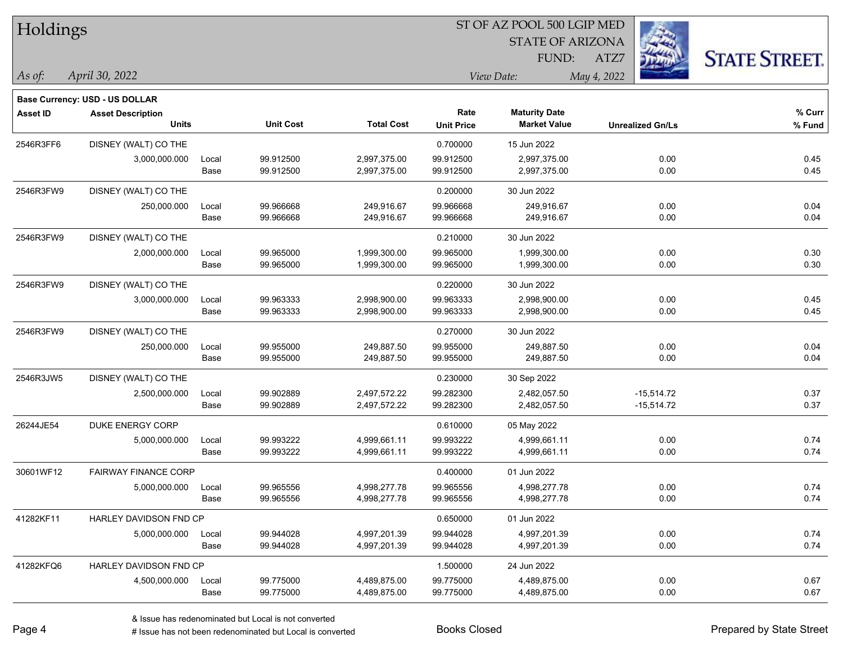| Holdings        |                                                            |       |                  | ST OF AZ POOL 500 LGIP MED |                   |                         |                         |                      |  |  |
|-----------------|------------------------------------------------------------|-------|------------------|----------------------------|-------------------|-------------------------|-------------------------|----------------------|--|--|
|                 |                                                            |       |                  |                            |                   | <b>STATE OF ARIZONA</b> |                         |                      |  |  |
|                 |                                                            |       |                  |                            |                   | FUND:                   | ATZ7                    | <b>STATE STREET.</b> |  |  |
| $\vert$ As of:  | April 30, 2022                                             |       |                  |                            |                   | View Date:              | May 4, 2022             |                      |  |  |
|                 |                                                            |       |                  |                            |                   |                         |                         |                      |  |  |
| <b>Asset ID</b> | Base Currency: USD - US DOLLAR<br><b>Asset Description</b> |       |                  |                            | Rate              | <b>Maturity Date</b>    |                         | % Curr               |  |  |
|                 | <b>Units</b>                                               |       | <b>Unit Cost</b> | <b>Total Cost</b>          | <b>Unit Price</b> | <b>Market Value</b>     | <b>Unrealized Gn/Ls</b> | % Fund               |  |  |
| 2546R3FF6       | DISNEY (WALT) CO THE                                       |       |                  |                            | 0.700000          | 15 Jun 2022             |                         |                      |  |  |
|                 | 3,000,000.000                                              | Local | 99.912500        | 2,997,375.00               | 99.912500         | 2,997,375.00            | 0.00                    | 0.45                 |  |  |
|                 |                                                            | Base  | 99.912500        | 2,997,375.00               | 99.912500         | 2,997,375.00            | 0.00                    | 0.45                 |  |  |
| 2546R3FW9       | DISNEY (WALT) CO THE                                       |       |                  |                            | 0.200000          | 30 Jun 2022             |                         |                      |  |  |
|                 | 250,000.000                                                | Local | 99.966668        | 249,916.67                 | 99.966668         | 249,916.67              | 0.00                    | 0.04                 |  |  |
|                 |                                                            | Base  | 99.966668        | 249,916.67                 | 99.966668         | 249,916.67              | 0.00                    | 0.04                 |  |  |
| 2546R3FW9       | DISNEY (WALT) CO THE                                       |       |                  |                            | 0.210000          | 30 Jun 2022             |                         |                      |  |  |
|                 | 2,000,000.000                                              | Local | 99.965000        | 1,999,300.00               | 99.965000         | 1,999,300.00            | 0.00                    | 0.30                 |  |  |
|                 |                                                            | Base  | 99.965000        | 1,999,300.00               | 99.965000         | 1,999,300.00            | 0.00                    | 0.30                 |  |  |
| 2546R3FW9       | DISNEY (WALT) CO THE                                       |       |                  |                            | 0.220000          | 30 Jun 2022             |                         |                      |  |  |
|                 | 3,000,000.000                                              | Local | 99.963333        | 2,998,900.00               | 99.963333         | 2,998,900.00            | 0.00                    | 0.45                 |  |  |
|                 |                                                            | Base  | 99.963333        | 2,998,900.00               | 99.963333         | 2,998,900.00            | 0.00                    | 0.45                 |  |  |
| 2546R3FW9       | DISNEY (WALT) CO THE                                       |       |                  |                            | 0.270000          | 30 Jun 2022             |                         |                      |  |  |
|                 | 250,000.000                                                | Local | 99.955000        | 249,887.50                 | 99.955000         | 249,887.50              | 0.00                    | 0.04                 |  |  |
|                 |                                                            | Base  | 99.955000        | 249,887.50                 | 99.955000         | 249,887.50              | 0.00                    | 0.04                 |  |  |
| 2546R3JW5       | DISNEY (WALT) CO THE                                       |       |                  |                            | 0.230000          | 30 Sep 2022             |                         |                      |  |  |
|                 | 2,500,000.000                                              | Local | 99.902889        | 2,497,572.22               | 99.282300         | 2,482,057.50            | $-15,514.72$            | 0.37                 |  |  |
|                 |                                                            | Base  | 99.902889        | 2,497,572.22               | 99.282300         | 2,482,057.50            | $-15,514.72$            | 0.37                 |  |  |
| 26244JE54       | DUKE ENERGY CORP                                           |       |                  |                            | 0.610000          | 05 May 2022             |                         |                      |  |  |
|                 | 5,000,000.000                                              | Local | 99.993222        | 4,999,661.11               | 99.993222         | 4,999,661.11            | 0.00                    | 0.74                 |  |  |
|                 |                                                            | Base  | 99.993222        | 4,999,661.11               | 99.993222         | 4,999,661.11            | 0.00                    | 0.74                 |  |  |
| 30601WF12       | <b>FAIRWAY FINANCE CORP</b>                                |       |                  |                            | 0.400000          | 01 Jun 2022             |                         |                      |  |  |
|                 | 5,000,000.000                                              | Local | 99.965556        | 4,998,277.78               | 99.965556         | 4,998,277.78            | 0.00                    | 0.74                 |  |  |
|                 |                                                            | Base  | 99.965556        | 4,998,277.78               | 99.965556         | 4,998,277.78            | 0.00                    | 0.74                 |  |  |
| 41282KF11       | HARLEY DAVIDSON FND CP                                     |       |                  |                            | 0.650000          | 01 Jun 2022             |                         |                      |  |  |
|                 | 5,000,000.000                                              | Local | 99.944028        | 4,997,201.39               | 99.944028         | 4,997,201.39            | 0.00                    | 0.74                 |  |  |
|                 |                                                            | Base  | 99.944028        | 4,997,201.39               | 99.944028         | 4,997,201.39            | 0.00                    | 0.74                 |  |  |
| 41282KFQ6       | HARLEY DAVIDSON FND CP                                     |       |                  |                            | 1.500000          | 24 Jun 2022             |                         |                      |  |  |
|                 | 4,500,000.000                                              | Local | 99.775000        | 4,489,875.00               | 99.775000         | 4,489,875.00            | 0.00                    | 0.67                 |  |  |
|                 |                                                            | Base  | 99.775000        | 4,489,875.00               | 99.775000         | 4,489,875.00            | 0.00                    | 0.67                 |  |  |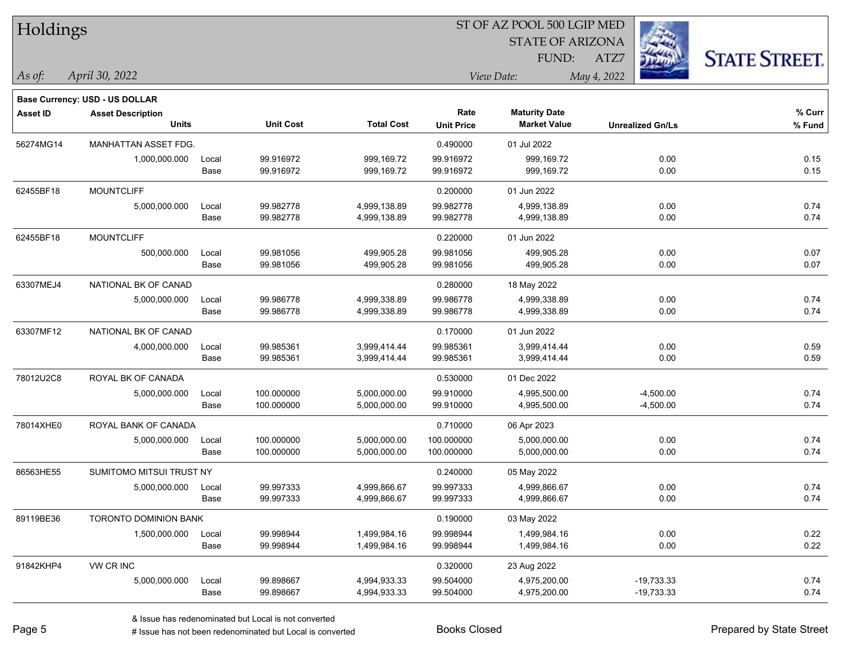| Holdings        |                                          |               |                        | ST OF AZ POOL 500 LGIP MED   |                           |                                             |                         |                      |  |  |
|-----------------|------------------------------------------|---------------|------------------------|------------------------------|---------------------------|---------------------------------------------|-------------------------|----------------------|--|--|
|                 |                                          |               |                        |                              |                           | <b>STATE OF ARIZONA</b>                     |                         |                      |  |  |
|                 |                                          |               |                        |                              |                           | FUND:                                       | ATZ7                    | <b>STATE STREET.</b> |  |  |
| As of:          | April 30, 2022                           |               |                        |                              |                           | View Date:                                  | May 4, 2022             |                      |  |  |
|                 |                                          |               |                        |                              |                           |                                             |                         |                      |  |  |
|                 | Base Currency: USD - US DOLLAR           |               |                        |                              |                           |                                             |                         |                      |  |  |
| <b>Asset ID</b> | <b>Asset Description</b><br><b>Units</b> |               | <b>Unit Cost</b>       | <b>Total Cost</b>            | Rate<br><b>Unit Price</b> | <b>Maturity Date</b><br><b>Market Value</b> | <b>Unrealized Gn/Ls</b> | % Curr<br>% Fund     |  |  |
|                 |                                          |               |                        |                              |                           |                                             |                         |                      |  |  |
| 56274MG14       | MANHATTAN ASSET FDG.                     |               |                        |                              | 0.490000                  | 01 Jul 2022                                 |                         |                      |  |  |
|                 | 1,000,000.000                            | Local<br>Base | 99.916972<br>99.916972 | 999.169.72<br>999,169.72     | 99.916972<br>99.916972    | 999,169.72<br>999,169.72                    | 0.00<br>0.00            | 0.15<br>0.15         |  |  |
|                 |                                          |               |                        |                              |                           |                                             |                         |                      |  |  |
| 62455BF18       | <b>MOUNTCLIFF</b>                        |               |                        |                              | 0.200000                  | 01 Jun 2022                                 |                         |                      |  |  |
|                 | 5,000,000.000                            | Local<br>Base | 99.982778<br>99.982778 | 4,999,138.89<br>4,999,138.89 | 99.982778<br>99.982778    | 4,999,138.89<br>4,999,138.89                | 0.00<br>0.00            | 0.74<br>0.74         |  |  |
|                 |                                          |               |                        |                              |                           |                                             |                         |                      |  |  |
| 62455BF18       | <b>MOUNTCLIFF</b>                        |               |                        |                              | 0.220000                  | 01 Jun 2022                                 |                         |                      |  |  |
|                 | 500,000.000                              | Local<br>Base | 99.981056<br>99.981056 | 499,905.28<br>499,905.28     | 99.981056<br>99.981056    | 499,905.28<br>499,905.28                    | 0.00<br>0.00            | 0.07<br>0.07         |  |  |
|                 |                                          |               |                        |                              |                           |                                             |                         |                      |  |  |
| 63307MEJ4       | NATIONAL BK OF CANAD                     |               |                        |                              | 0.280000                  | 18 May 2022                                 |                         |                      |  |  |
|                 | 5,000,000.000                            | Local         | 99.986778<br>99.986778 | 4,999,338.89<br>4,999,338.89 | 99.986778<br>99.986778    | 4,999,338.89<br>4,999,338.89                | 0.00<br>0.00            | 0.74<br>0.74         |  |  |
|                 |                                          | Base          |                        |                              |                           |                                             |                         |                      |  |  |
| 63307MF12       | NATIONAL BK OF CANAD                     |               |                        |                              | 0.170000                  | 01 Jun 2022                                 |                         |                      |  |  |
|                 | 4,000,000.000                            | Local         | 99.985361              | 3,999,414.44                 | 99.985361                 | 3,999,414.44                                | 0.00                    | 0.59                 |  |  |
|                 |                                          | Base          | 99.985361              | 3,999,414.44                 | 99.985361                 | 3,999,414.44                                | 0.00                    | 0.59                 |  |  |
| 78012U2C8       | ROYAL BK OF CANADA                       |               |                        |                              | 0.530000                  | 01 Dec 2022                                 |                         |                      |  |  |
|                 | 5,000,000.000                            | Local         | 100.000000             | 5,000,000.00                 | 99.910000                 | 4,995,500.00                                | $-4,500.00$             | 0.74                 |  |  |
|                 |                                          | Base          | 100.000000             | 5,000,000.00                 | 99.910000                 | 4,995,500.00                                | $-4,500.00$             | 0.74                 |  |  |
| 78014XHE0       | ROYAL BANK OF CANADA                     |               |                        |                              | 0.710000                  | 06 Apr 2023                                 |                         |                      |  |  |
|                 | 5,000,000.000                            | Local         | 100.000000             | 5,000,000.00                 | 100.000000                | 5,000,000.00                                | 0.00                    | 0.74                 |  |  |
|                 |                                          | Base          | 100.000000             | 5,000,000.00                 | 100.000000                | 5,000,000.00                                | 0.00                    | 0.74                 |  |  |
| 86563HE55       | SUMITOMO MITSUI TRUST NY                 |               |                        |                              | 0.240000                  | 05 May 2022                                 |                         |                      |  |  |
|                 | 5,000,000.000                            | Local         | 99.997333              | 4,999,866.67                 | 99.997333                 | 4,999,866.67                                | 0.00                    | 0.74                 |  |  |
|                 |                                          | Base          | 99.997333              | 4,999,866.67                 | 99.997333                 | 4,999,866.67                                | 0.00                    | 0.74                 |  |  |
| 89119BE36       | <b>TORONTO DOMINION BANK</b>             |               |                        |                              | 0.190000                  | 03 May 2022                                 |                         |                      |  |  |
|                 | 1,500,000.000                            | Local         | 99.998944              | 1,499,984.16                 | 99.998944                 | 1,499,984.16                                | 0.00                    | 0.22                 |  |  |
|                 |                                          | Base          | 99.998944              | 1,499,984.16                 | 99.998944                 | 1,499,984.16                                | 0.00                    | 0.22                 |  |  |
| 91842KHP4       | VW CR INC                                |               |                        |                              | 0.320000                  | 23 Aug 2022                                 |                         |                      |  |  |
|                 | 5,000,000.000                            | Local         | 99.898667              | 4,994,933.33                 | 99.504000                 | 4,975,200.00                                | $-19,733.33$            | 0.74                 |  |  |
|                 |                                          | Base          | 99.898667              | 4,994,933.33                 | 99.504000                 | 4,975,200.00                                | $-19,733.33$            | 0.74                 |  |  |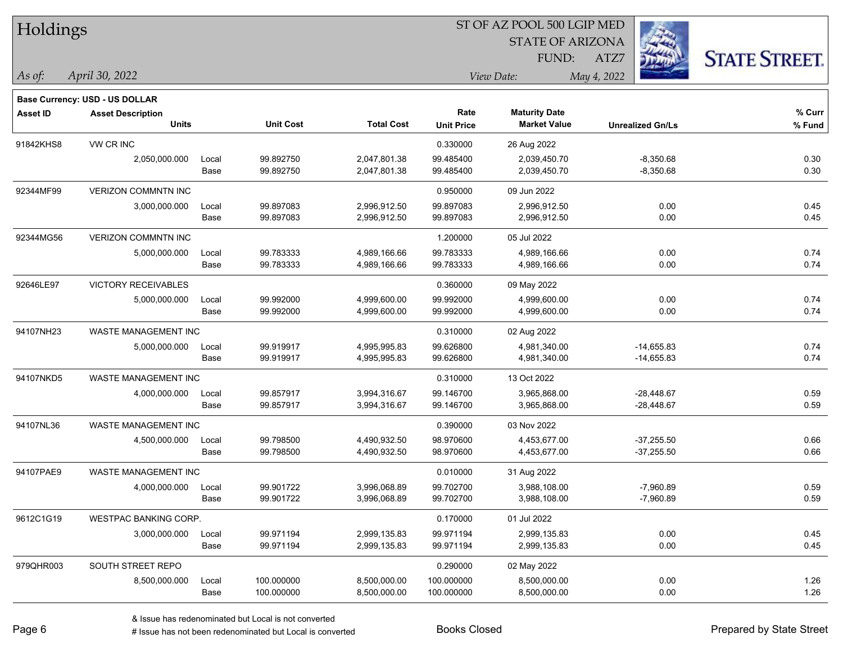| Holdings        |                                |       |                  |                   | ST OF AZ POOL 500 LGIP MED |                         |                         |              |                      |  |
|-----------------|--------------------------------|-------|------------------|-------------------|----------------------------|-------------------------|-------------------------|--------------|----------------------|--|
|                 |                                |       |                  |                   |                            | <b>STATE OF ARIZONA</b> |                         |              |                      |  |
|                 |                                |       |                  |                   |                            | FUND:                   | ATZ7                    |              | <b>STATE STREET.</b> |  |
| As of:          | April 30, 2022                 |       |                  |                   |                            | View Date:              | May 4, 2022             |              |                      |  |
|                 | Base Currency: USD - US DOLLAR |       |                  |                   |                            |                         |                         |              |                      |  |
| <b>Asset ID</b> | <b>Asset Description</b>       |       |                  |                   | Rate                       | <b>Maturity Date</b>    |                         |              | % Curr               |  |
|                 | <b>Units</b>                   |       | <b>Unit Cost</b> | <b>Total Cost</b> | <b>Unit Price</b>          | <b>Market Value</b>     | <b>Unrealized Gn/Ls</b> |              | % Fund               |  |
| 91842KHS8       | VW CR INC                      |       |                  |                   | 0.330000                   | 26 Aug 2022             |                         |              |                      |  |
|                 | 2,050,000.000                  | Local | 99.892750        | 2,047,801.38      | 99.485400                  | 2,039,450.70            |                         | $-8,350.68$  | 0.30                 |  |
|                 |                                | Base  | 99.892750        | 2,047,801.38      | 99.485400                  | 2,039,450.70            |                         | $-8,350.68$  | 0.30                 |  |
| 92344MF99       | <b>VERIZON COMMNTN INC</b>     |       |                  |                   | 0.950000                   | 09 Jun 2022             |                         |              |                      |  |
|                 | 3,000,000.000                  | Local | 99.897083        | 2,996,912.50      | 99.897083                  | 2,996,912.50            |                         | 0.00         | 0.45                 |  |
|                 |                                | Base  | 99.897083        | 2,996,912.50      | 99.897083                  | 2,996,912.50            |                         | 0.00         | 0.45                 |  |
| 92344MG56       | <b>VERIZON COMMNTN INC</b>     |       |                  |                   | 1.200000                   | 05 Jul 2022             |                         |              |                      |  |
|                 | 5,000,000.000                  | Local | 99.783333        | 4,989,166.66      | 99.783333                  | 4,989,166.66            |                         | 0.00         | 0.74                 |  |
|                 |                                | Base  | 99.783333        | 4,989,166.66      | 99.783333                  | 4,989,166.66            |                         | 0.00         | 0.74                 |  |
| 92646LE97       | <b>VICTORY RECEIVABLES</b>     |       |                  |                   | 0.360000                   | 09 May 2022             |                         |              |                      |  |
|                 | 5,000,000.000                  | Local | 99.992000        | 4,999,600.00      | 99.992000                  | 4,999,600.00            |                         | 0.00         | 0.74                 |  |
|                 |                                | Base  | 99.992000        | 4,999,600.00      | 99.992000                  | 4,999,600.00            |                         | 0.00         | 0.74                 |  |
| 94107NH23       | WASTE MANAGEMENT INC           |       |                  |                   | 0.310000                   | 02 Aug 2022             |                         |              |                      |  |
|                 | 5,000,000.000                  | Local | 99.919917        | 4,995,995.83      | 99.626800                  | 4,981,340.00            |                         | $-14,655.83$ | 0.74                 |  |
|                 |                                | Base  | 99.919917        | 4,995,995.83      | 99.626800                  | 4,981,340.00            |                         | $-14,655.83$ | 0.74                 |  |
| 94107NKD5       | WASTE MANAGEMENT INC           |       |                  |                   | 0.310000                   | 13 Oct 2022             |                         |              |                      |  |
|                 | 4,000,000.000                  | Local | 99.857917        | 3,994,316.67      | 99.146700                  | 3,965,868.00            |                         | $-28,448.67$ | 0.59                 |  |
|                 |                                | Base  | 99.857917        | 3,994,316.67      | 99.146700                  | 3,965,868.00            |                         | $-28,448.67$ | 0.59                 |  |
| 94107NL36       | WASTE MANAGEMENT INC           |       |                  |                   | 0.390000                   | 03 Nov 2022             |                         |              |                      |  |
|                 | 4,500,000.000                  | Local | 99.798500        | 4,490,932.50      | 98.970600                  | 4,453,677.00            |                         | $-37,255.50$ | 0.66                 |  |
|                 |                                | Base  | 99.798500        | 4,490,932.50      | 98.970600                  | 4,453,677.00            |                         | $-37,255.50$ | 0.66                 |  |
| 94107PAE9       | WASTE MANAGEMENT INC           |       |                  |                   | 0.010000                   | 31 Aug 2022             |                         |              |                      |  |
|                 | 4,000,000.000                  | Local | 99.901722        | 3,996,068.89      | 99.702700                  | 3,988,108.00            |                         | $-7,960.89$  | 0.59                 |  |
|                 |                                | Base  | 99.901722        | 3,996,068.89      | 99.702700                  | 3,988,108.00            |                         | $-7,960.89$  | 0.59                 |  |
| 9612C1G19       | WESTPAC BANKING CORP.          |       |                  |                   | 0.170000                   | 01 Jul 2022             |                         |              |                      |  |
|                 | 3,000,000.000                  | Local | 99.971194        | 2,999,135.83      | 99.971194                  | 2,999,135.83            |                         | 0.00         | 0.45                 |  |
|                 |                                | Base  | 99.971194        | 2,999,135.83      | 99.971194                  | 2,999,135.83            |                         | 0.00         | 0.45                 |  |
| 979QHR003       | SOUTH STREET REPO              |       |                  |                   | 0.290000                   | 02 May 2022             |                         |              |                      |  |
|                 | 8,500,000.000                  | Local | 100.000000       | 8,500,000.00      | 100.000000                 | 8,500,000.00            |                         | 0.00         | 1.26                 |  |
|                 |                                | Base  | 100.000000       | 8,500,000.00      | 100.000000                 | 8,500,000.00            |                         | 0.00         | 1.26                 |  |

# Issue has not been redenominated but Local is converted Books Closed Prepared by State Street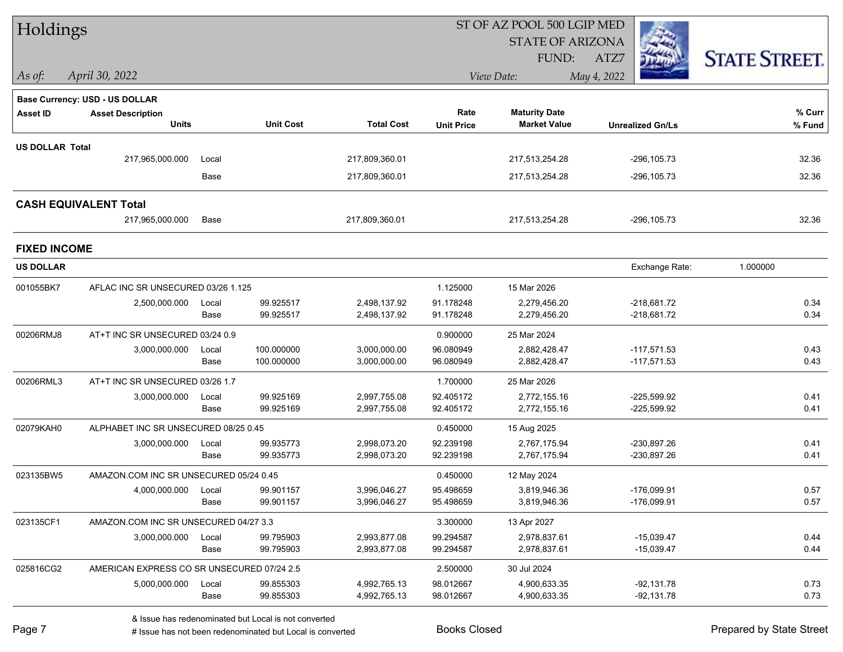| Holdings               |                                            |       |                  |                   | ST OF AZ POOL 500 LGIP MED |                         |                         |                      |  |  |
|------------------------|--------------------------------------------|-------|------------------|-------------------|----------------------------|-------------------------|-------------------------|----------------------|--|--|
|                        |                                            |       |                  |                   |                            | <b>STATE OF ARIZONA</b> |                         |                      |  |  |
|                        |                                            |       |                  |                   |                            | <b>FUND:</b>            | ATZ7                    | <b>STATE STREET.</b> |  |  |
| As of:                 | April 30, 2022                             |       |                  |                   |                            | View Date:              | May 4, 2022             |                      |  |  |
|                        | <b>Base Currency: USD - US DOLLAR</b>      |       |                  |                   |                            |                         |                         |                      |  |  |
| <b>Asset ID</b>        | <b>Asset Description</b>                   |       |                  |                   | Rate                       | <b>Maturity Date</b>    |                         | % Curr               |  |  |
|                        | <b>Units</b>                               |       | <b>Unit Cost</b> | <b>Total Cost</b> | <b>Unit Price</b>          | <b>Market Value</b>     | <b>Unrealized Gn/Ls</b> | % Fund               |  |  |
| <b>US DOLLAR Total</b> |                                            |       |                  |                   |                            |                         |                         |                      |  |  |
|                        | 217,965,000.000                            | Local |                  | 217,809,360.01    |                            | 217,513,254.28          | $-296, 105.73$          | 32.36                |  |  |
|                        |                                            | Base  |                  | 217,809,360.01    |                            | 217,513,254.28          | $-296, 105.73$          | 32.36                |  |  |
|                        | <b>CASH EQUIVALENT Total</b>               |       |                  |                   |                            |                         |                         |                      |  |  |
|                        | 217,965,000.000                            | Base  |                  | 217,809,360.01    |                            | 217,513,254.28          | -296,105.73             | 32.36                |  |  |
| <b>FIXED INCOME</b>    |                                            |       |                  |                   |                            |                         |                         |                      |  |  |
| <b>US DOLLAR</b>       |                                            |       |                  |                   |                            |                         | Exchange Rate:          | 1.000000             |  |  |
| 001055BK7              | AFLAC INC SR UNSECURED 03/26 1.125         |       |                  |                   | 1.125000                   | 15 Mar 2026             |                         |                      |  |  |
|                        | 2,500,000.000                              | Local | 99.925517        | 2,498,137.92      | 91.178248                  | 2,279,456.20            | $-218,681.72$           | 0.34                 |  |  |
|                        |                                            | Base  | 99.925517        | 2,498,137.92      | 91.178248                  | 2,279,456.20            | -218,681.72             | 0.34                 |  |  |
| 00206RMJ8              | AT+T INC SR UNSECURED 03/24 0.9            |       |                  |                   | 0.900000                   | 25 Mar 2024             |                         |                      |  |  |
|                        | 3,000,000.000                              | Local | 100.000000       | 3,000,000.00      | 96.080949                  | 2,882,428.47            | $-117,571.53$           | 0.43                 |  |  |
|                        |                                            | Base  | 100.000000       | 3,000,000.00      | 96.080949                  | 2,882,428.47            | $-117,571.53$           | 0.43                 |  |  |
| 00206RML3              | AT+T INC SR UNSECURED 03/26 1.7            |       |                  |                   | 1.700000                   | 25 Mar 2026             |                         |                      |  |  |
|                        | 3,000,000.000                              | Local | 99.925169        | 2,997,755.08      | 92.405172                  | 2,772,155.16            | $-225,599.92$           | 0.41                 |  |  |
|                        |                                            | Base  | 99.925169        | 2,997,755.08      | 92.405172                  | 2,772,155.16            | $-225,599.92$           | 0.41                 |  |  |
| 02079KAH0              | ALPHABET INC SR UNSECURED 08/25 0.45       |       |                  |                   | 0.450000                   | 15 Aug 2025             |                         |                      |  |  |
|                        | 3,000,000.000                              | Local | 99.935773        | 2,998,073.20      | 92.239198                  | 2,767,175.94            | -230,897.26             | 0.41                 |  |  |
|                        |                                            | Base  | 99.935773        | 2,998,073.20      | 92.239198                  | 2,767,175.94            | -230,897.26             | 0.41                 |  |  |
| 023135BW5              | AMAZON.COM INC SR UNSECURED 05/24 0.45     |       |                  |                   | 0.450000                   | 12 May 2024             |                         |                      |  |  |
|                        | 4,000,000.000 Local                        |       | 99.901157        | 3,996,046.27      | 95.498659                  | 3,819,946.36            | -176,099.91             | 0.57                 |  |  |
|                        |                                            | Base  | 99.901157        | 3,996,046.27      | 95.498659                  | 3,819,946.36            | $-176,099.91$           | 0.57                 |  |  |
| 023135CF1              | AMAZON.COM INC SR UNSECURED 04/27 3.3      |       |                  |                   | 3.300000                   | 13 Apr 2027             |                         |                      |  |  |
|                        | 3,000,000.000                              | Local | 99.795903        | 2,993,877.08      | 99.294587                  | 2,978,837.61            | $-15,039.47$            | 0.44                 |  |  |
|                        |                                            | Base  | 99.795903        | 2,993,877.08      | 99.294587                  | 2,978,837.61            | $-15,039.47$            | 0.44                 |  |  |
| 025816CG2              | AMERICAN EXPRESS CO SR UNSECURED 07/24 2.5 |       |                  |                   | 2.500000                   | 30 Jul 2024             |                         |                      |  |  |
|                        | 5,000,000.000                              | Local | 99.855303        | 4,992,765.13      | 98.012667                  | 4,900,633.35            | $-92,131.78$            | 0.73<br>0.73         |  |  |
|                        |                                            | Base  | 99.855303        | 4,992,765.13      | 98.012667                  | 4,900,633.35            | $-92,131.78$            |                      |  |  |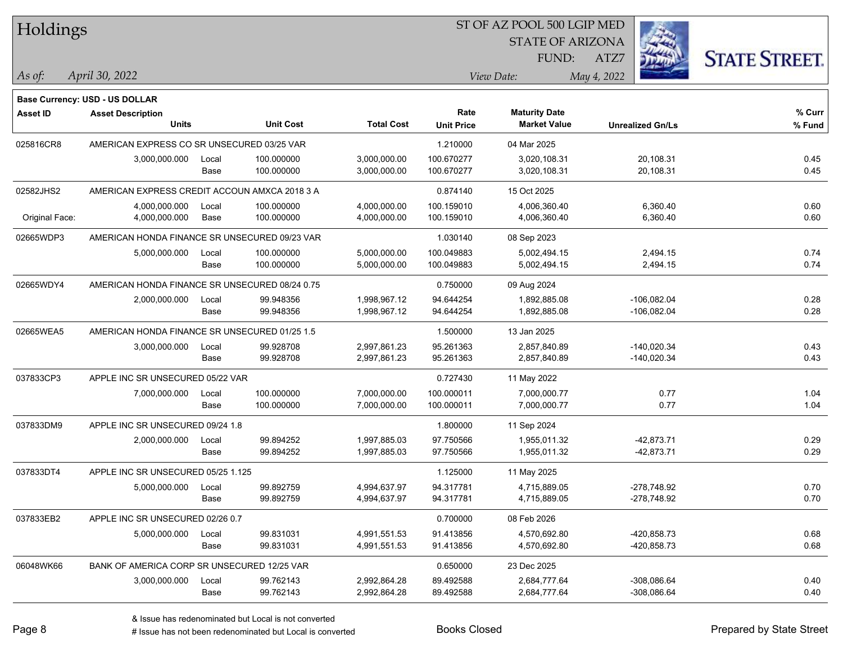| Holdings        |                                                |       |                  |                   |                   | ST OF AZ POOL 500 LGIP MED |             |                         |                      |
|-----------------|------------------------------------------------|-------|------------------|-------------------|-------------------|----------------------------|-------------|-------------------------|----------------------|
|                 |                                                |       |                  |                   |                   | <b>STATE OF ARIZONA</b>    |             |                         |                      |
|                 |                                                |       |                  |                   |                   | FUND:                      | ATZ7        |                         | <b>STATE STREET.</b> |
| As of:          | April 30, 2022                                 |       |                  |                   |                   | View Date:                 | May 4, 2022 |                         |                      |
|                 | <b>Base Currency: USD - US DOLLAR</b>          |       |                  |                   |                   |                            |             |                         |                      |
| <b>Asset ID</b> | <b>Asset Description</b>                       |       |                  |                   | Rate              | <b>Maturity Date</b>       |             |                         | % Curr               |
|                 | <b>Units</b>                                   |       | <b>Unit Cost</b> | <b>Total Cost</b> | <b>Unit Price</b> | <b>Market Value</b>        |             | <b>Unrealized Gn/Ls</b> | % Fund               |
| 025816CR8       | AMERICAN EXPRESS CO SR UNSECURED 03/25 VAR     |       |                  |                   | 1.210000          | 04 Mar 2025                |             |                         |                      |
|                 | 3,000,000.000                                  | Local | 100.000000       | 3,000,000.00      | 100.670277        | 3,020,108.31               |             | 20,108.31               | 0.45                 |
|                 |                                                | Base  | 100.000000       | 3,000,000.00      | 100.670277        | 3,020,108.31               |             | 20,108.31               | 0.45                 |
| 02582JHS2       | AMERICAN EXPRESS CREDIT ACCOUN AMXCA 2018 3 A  |       |                  |                   | 0.874140          | 15 Oct 2025                |             |                         |                      |
|                 | 4,000,000.000                                  | Local | 100.000000       | 4,000,000.00      | 100.159010        | 4,006,360.40               |             | 6,360.40                | 0.60                 |
| Original Face:  | 4,000,000.000                                  | Base  | 100.000000       | 4,000,000.00      | 100.159010        | 4,006,360.40               |             | 6,360.40                | 0.60                 |
| 02665WDP3       | AMERICAN HONDA FINANCE SR UNSECURED 09/23 VAR  |       |                  |                   | 1.030140          | 08 Sep 2023                |             |                         |                      |
|                 | 5,000,000.000                                  | Local | 100.000000       | 5,000,000.00      | 100.049883        | 5,002,494.15               |             | 2,494.15                | 0.74                 |
|                 |                                                | Base  | 100.000000       | 5,000,000.00      | 100.049883        | 5,002,494.15               |             | 2,494.15                | 0.74                 |
| 02665WDY4       | AMERICAN HONDA FINANCE SR UNSECURED 08/24 0.75 |       |                  |                   | 0.750000          | 09 Aug 2024                |             |                         |                      |
|                 | 2,000,000.000                                  | Local | 99.948356        | 1,998,967.12      | 94.644254         | 1,892,885.08               |             | $-106,082.04$           | 0.28                 |
|                 |                                                | Base  | 99.948356        | 1,998,967.12      | 94.644254         | 1,892,885.08               |             | $-106,082.04$           | 0.28                 |
| 02665WEA5       | AMERICAN HONDA FINANCE SR UNSECURED 01/25 1.5  |       |                  |                   | 1.500000          | 13 Jan 2025                |             |                         |                      |
|                 | 3,000,000.000                                  | Local | 99.928708        | 2,997,861.23      | 95.261363         | 2,857,840.89               |             | $-140,020.34$           | 0.43                 |
|                 |                                                | Base  | 99.928708        | 2,997,861.23      | 95.261363         | 2,857,840.89               |             | $-140,020.34$           | 0.43                 |
| 037833CP3       | APPLE INC SR UNSECURED 05/22 VAR               |       |                  |                   | 0.727430          | 11 May 2022                |             |                         |                      |
|                 | 7,000,000.000                                  | Local | 100.000000       | 7,000,000.00      | 100.000011        | 7,000,000.77               |             | 0.77                    | 1.04                 |
|                 |                                                | Base  | 100.000000       | 7,000,000.00      | 100.000011        | 7,000,000.77               |             | 0.77                    | 1.04                 |
| 037833DM9       | APPLE INC SR UNSECURED 09/24 1.8               |       |                  |                   | 1.800000          | 11 Sep 2024                |             |                         |                      |
|                 | 2,000,000.000                                  | Local | 99.894252        | 1,997,885.03      | 97.750566         | 1,955,011.32               |             | $-42,873.71$            | 0.29                 |
|                 |                                                | Base  | 99.894252        | 1,997,885.03      | 97.750566         | 1,955,011.32               |             | $-42,873.71$            | 0.29                 |
| 037833DT4       | APPLE INC SR UNSECURED 05/25 1.125             |       |                  |                   | 1.125000          | 11 May 2025                |             |                         |                      |
|                 | 5,000,000.000                                  | Local | 99.892759        | 4,994,637.97      | 94.317781         | 4,715,889.05               |             | -278,748.92             | 0.70                 |
|                 |                                                | Base  | 99.892759        | 4,994,637.97      | 94.317781         | 4,715,889.05               |             | -278,748.92             | 0.70                 |
| 037833EB2       | APPLE INC SR UNSECURED 02/26 0.7               |       |                  |                   | 0.700000          | 08 Feb 2026                |             |                         |                      |
|                 | 5,000,000.000                                  | Local | 99.831031        | 4,991,551.53      | 91.413856         | 4,570,692.80               |             | -420,858.73             | 0.68                 |
|                 |                                                | Base  | 99.831031        | 4,991,551.53      | 91.413856         | 4,570,692.80               |             | -420,858.73             | 0.68                 |
| 06048WK66       | BANK OF AMERICA CORP SR UNSECURED 12/25 VAR    |       |                  |                   | 0.650000          | 23 Dec 2025                |             |                         |                      |
|                 | 3,000,000.000                                  | Local | 99.762143        | 2,992,864.28      | 89.492588         | 2,684,777.64               |             | $-308,086.64$           | 0.40                 |
|                 |                                                | Base  | 99.762143        | 2,992,864.28      | 89.492588         | 2,684,777.64               |             | $-308,086.64$           | 0.40                 |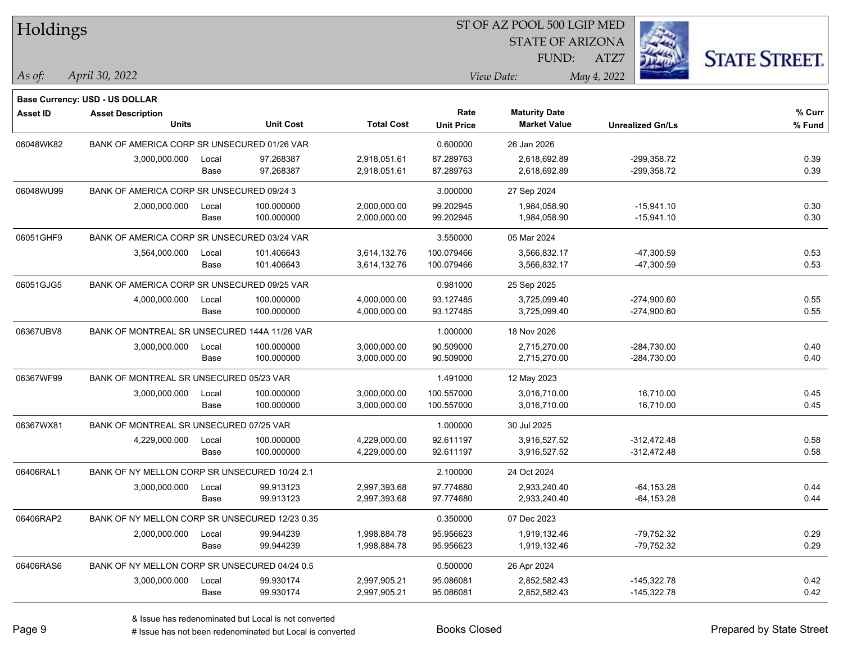| Holdings        |                                                |       |                  |                   | ST OF AZ POOL 500 LGIP MED |                         |                         |                      |
|-----------------|------------------------------------------------|-------|------------------|-------------------|----------------------------|-------------------------|-------------------------|----------------------|
|                 |                                                |       |                  |                   |                            | <b>STATE OF ARIZONA</b> |                         |                      |
|                 |                                                |       |                  |                   |                            | FUND:                   | ATZ7                    | <b>STATE STREET.</b> |
| As of:          | April 30, 2022                                 |       |                  |                   |                            | View Date:              | May 4, 2022             |                      |
|                 | <b>Base Currency: USD - US DOLLAR</b>          |       |                  |                   |                            |                         |                         |                      |
| <b>Asset ID</b> | <b>Asset Description</b>                       |       |                  |                   | Rate                       | <b>Maturity Date</b>    |                         | % Curr               |
|                 | <b>Units</b>                                   |       | <b>Unit Cost</b> | <b>Total Cost</b> | <b>Unit Price</b>          | <b>Market Value</b>     | <b>Unrealized Gn/Ls</b> | % Fund               |
| 06048WK82       | BANK OF AMERICA CORP SR UNSECURED 01/26 VAR    |       |                  |                   | 0.600000                   | 26 Jan 2026             |                         |                      |
|                 | 3,000,000.000                                  | Local | 97.268387        | 2,918,051.61      | 87.289763                  | 2,618,692.89            | $-299,358.72$           | 0.39                 |
|                 |                                                | Base  | 97.268387        | 2,918,051.61      | 87.289763                  | 2,618,692.89            | $-299,358.72$           | 0.39                 |
| 06048WU99       | BANK OF AMERICA CORP SR UNSECURED 09/24 3      |       |                  |                   | 3.000000                   | 27 Sep 2024             |                         |                      |
|                 | 2,000,000.000                                  | Local | 100.000000       | 2,000,000.00      | 99.202945                  | 1,984,058.90            | $-15,941.10$            | 0.30                 |
|                 |                                                | Base  | 100.000000       | 2,000,000.00      | 99.202945                  | 1,984,058.90            | $-15,941.10$            | 0.30                 |
| 06051GHF9       | BANK OF AMERICA CORP SR UNSECURED 03/24 VAR    |       |                  |                   | 3.550000                   | 05 Mar 2024             |                         |                      |
|                 | 3,564,000.000                                  | Local | 101.406643       | 3,614,132.76      | 100.079466                 | 3,566,832.17            | $-47,300.59$            | 0.53                 |
|                 |                                                | Base  | 101.406643       | 3,614,132.76      | 100.079466                 | 3,566,832.17            | $-47,300.59$            | 0.53                 |
| 06051GJG5       | BANK OF AMERICA CORP SR UNSECURED 09/25 VAR    |       |                  |                   | 0.981000                   | 25 Sep 2025             |                         |                      |
|                 | 4,000,000.000                                  | Local | 100.000000       | 4,000,000.00      | 93.127485                  | 3,725,099.40            | $-274,900.60$           | 0.55                 |
|                 |                                                | Base  | 100.000000       | 4,000,000.00      | 93.127485                  | 3,725,099.40            | $-274,900.60$           | 0.55                 |
| 06367UBV8       | BANK OF MONTREAL SR UNSECURED 144A 11/26 VAR   |       |                  |                   | 1.000000                   | 18 Nov 2026             |                         |                      |
|                 | 3,000,000.000                                  | Local | 100.000000       | 3,000,000.00      | 90.509000                  | 2,715,270.00            | $-284,730.00$           | 0.40                 |
|                 |                                                | Base  | 100.000000       | 3,000,000.00      | 90.509000                  | 2,715,270.00            | $-284,730.00$           | 0.40                 |
| 06367WF99       | BANK OF MONTREAL SR UNSECURED 05/23 VAR        |       |                  |                   | 1.491000                   | 12 May 2023             |                         |                      |
|                 | 3,000,000.000                                  | Local | 100.000000       | 3,000,000.00      | 100.557000                 | 3,016,710.00            | 16,710.00               | 0.45                 |
|                 |                                                | Base  | 100.000000       | 3,000,000.00      | 100.557000                 | 3,016,710.00            | 16,710.00               | 0.45                 |
| 06367WX81       | BANK OF MONTREAL SR UNSECURED 07/25 VAR        |       |                  |                   | 1.000000                   | 30 Jul 2025             |                         |                      |
|                 | 4,229,000.000                                  | Local | 100.000000       | 4,229,000.00      | 92.611197                  | 3,916,527.52            | $-312,472.48$           | 0.58                 |
|                 |                                                | Base  | 100.000000       | 4,229,000.00      | 92.611197                  | 3,916,527.52            | $-312,472.48$           | 0.58                 |
| 06406RAL1       | BANK OF NY MELLON CORP SR UNSECURED 10/24 2.1  |       |                  |                   | 2.100000                   | 24 Oct 2024             |                         |                      |
|                 | 3,000,000.000                                  | Local | 99.913123        | 2,997,393.68      | 97.774680                  | 2,933,240.40            | $-64, 153.28$           | 0.44                 |
|                 |                                                | Base  | 99.913123        | 2,997,393.68      | 97.774680                  | 2,933,240.40            | $-64, 153.28$           | 0.44                 |
| 06406RAP2       | BANK OF NY MELLON CORP SR UNSECURED 12/23 0.35 |       |                  |                   | 0.350000                   | 07 Dec 2023             |                         |                      |
|                 | 2,000,000.000                                  | Local | 99.944239        | 1,998,884.78      | 95.956623                  | 1,919,132.46            | $-79,752.32$            | 0.29                 |
|                 |                                                | Base  | 99.944239        | 1,998,884.78      | 95.956623                  | 1,919,132.46            | -79,752.32              | 0.29                 |
| 06406RAS6       | BANK OF NY MELLON CORP SR UNSECURED 04/24 0.5  |       |                  |                   | 0.500000                   | 26 Apr 2024             |                         |                      |
|                 | 3,000,000.000                                  | Local | 99.930174        | 2,997,905.21      | 95.086081                  | 2,852,582.43            | $-145,322.78$           | 0.42                 |
|                 |                                                | Base  | 99.930174        | 2,997,905.21      | 95.086081                  | 2,852,582.43            | $-145,322.78$           | 0.42                 |

# Issue has not been redenominated but Local is converted Books Closed Prepared by State Street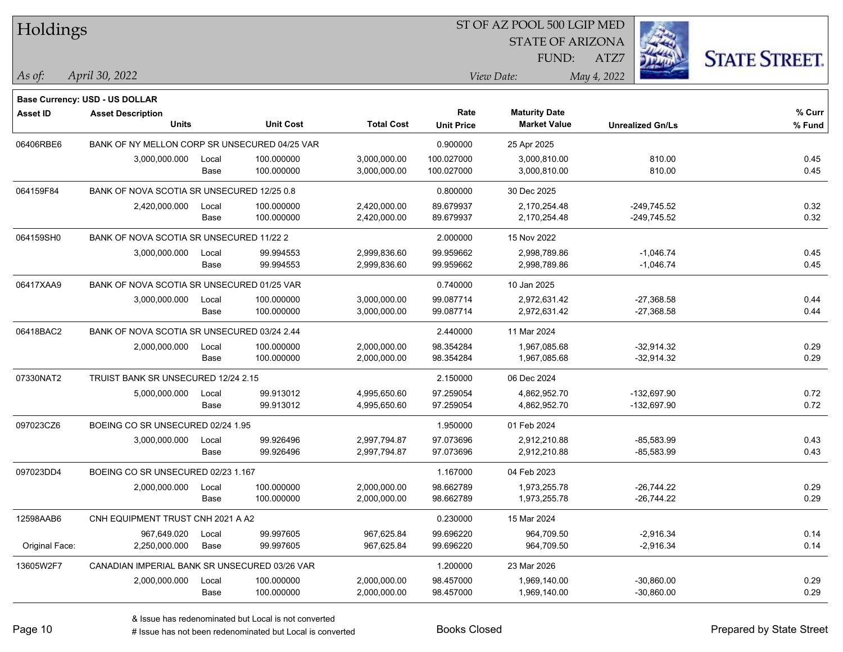| Holdings        |                                               |       |                  |                   |                           | ST OF AZ POOL 500 LGIP MED                  |                         |                      |
|-----------------|-----------------------------------------------|-------|------------------|-------------------|---------------------------|---------------------------------------------|-------------------------|----------------------|
|                 |                                               |       |                  |                   |                           | <b>STATE OF ARIZONA</b>                     |                         |                      |
|                 |                                               |       |                  |                   |                           | FUND:                                       | ATZ7                    | <b>STATE STREET.</b> |
| As of:          | April 30, 2022                                |       |                  |                   |                           | View Date:                                  | May 4, 2022             |                      |
|                 | <b>Base Currency: USD - US DOLLAR</b>         |       |                  |                   |                           |                                             |                         |                      |
| <b>Asset ID</b> | <b>Asset Description</b><br><b>Units</b>      |       | <b>Unit Cost</b> | <b>Total Cost</b> | Rate<br><b>Unit Price</b> | <b>Maturity Date</b><br><b>Market Value</b> | <b>Unrealized Gn/Ls</b> | % Curr<br>% Fund     |
| 06406RBE6       | BANK OF NY MELLON CORP SR UNSECURED 04/25 VAR |       |                  |                   | 0.900000                  | 25 Apr 2025                                 |                         |                      |
|                 | 3,000,000.000                                 | Local | 100.000000       | 3,000,000.00      | 100.027000                | 3,000,810.00                                | 810.00                  | 0.45                 |
|                 |                                               | Base  | 100.000000       | 3,000,000.00      | 100.027000                | 3,000,810.00                                | 810.00                  | 0.45                 |
| 064159F84       | BANK OF NOVA SCOTIA SR UNSECURED 12/25 0.8    |       |                  |                   | 0.800000                  | 30 Dec 2025                                 |                         |                      |
|                 | 2,420,000.000                                 | Local | 100.000000       | 2,420,000.00      | 89.679937                 | 2,170,254.48                                | $-249,745.52$           | 0.32                 |
|                 |                                               | Base  | 100.000000       | 2,420,000.00      | 89.679937                 | 2,170,254.48                                | $-249,745.52$           | 0.32                 |
| 064159SH0       | BANK OF NOVA SCOTIA SR UNSECURED 11/22 2      |       |                  |                   | 2.000000                  | 15 Nov 2022                                 |                         |                      |
|                 | 3,000,000.000                                 | Local | 99.994553        | 2,999,836.60      | 99.959662                 | 2,998,789.86                                | $-1,046.74$             | 0.45                 |
|                 |                                               | Base  | 99.994553        | 2,999,836.60      | 99.959662                 | 2,998,789.86                                | $-1,046.74$             | 0.45                 |
| 06417XAA9       | BANK OF NOVA SCOTIA SR UNSECURED 01/25 VAR    |       |                  |                   | 0.740000                  | 10 Jan 2025                                 |                         |                      |
|                 | 3,000,000.000                                 | Local | 100.000000       | 3,000,000.00      | 99.087714                 | 2,972,631.42                                | $-27,368.58$            | 0.44                 |
|                 |                                               | Base  | 100.000000       | 3,000,000.00      | 99.087714                 | 2,972,631.42                                | $-27,368.58$            | 0.44                 |
| 06418BAC2       | BANK OF NOVA SCOTIA SR UNSECURED 03/24 2.44   |       |                  |                   | 2.440000                  | 11 Mar 2024                                 |                         |                      |
|                 | 2,000,000.000                                 | Local | 100.000000       | 2,000,000.00      | 98.354284                 | 1,967,085.68                                | $-32,914.32$            | 0.29                 |
|                 |                                               | Base  | 100.000000       | 2,000,000.00      | 98.354284                 | 1,967,085.68                                | $-32,914.32$            | 0.29                 |
| 07330NAT2       | TRUIST BANK SR UNSECURED 12/24 2.15           |       |                  |                   | 2.150000                  | 06 Dec 2024                                 |                         |                      |
|                 | 5,000,000.000                                 | Local | 99.913012        | 4,995,650.60      | 97.259054                 | 4,862,952.70                                | -132,697.90             | 0.72                 |
|                 |                                               | Base  | 99.913012        | 4,995,650.60      | 97.259054                 | 4,862,952.70                                | -132,697.90             | 0.72                 |
| 097023CZ6       | BOEING CO SR UNSECURED 02/24 1.95             |       |                  |                   | 1.950000                  | 01 Feb 2024                                 |                         |                      |
|                 | 3,000,000.000                                 | Local | 99.926496        | 2,997,794.87      | 97.073696                 | 2,912,210.88                                | $-85,583.99$            | 0.43                 |
|                 |                                               | Base  | 99.926496        | 2,997,794.87      | 97.073696                 | 2,912,210.88                                | $-85,583.99$            | 0.43                 |
| 097023DD4       | BOEING CO SR UNSECURED 02/23 1.167            |       |                  |                   | 1.167000                  | 04 Feb 2023                                 |                         |                      |
|                 | 2,000,000.000                                 | Local | 100.000000       | 2,000,000.00      | 98.662789                 | 1,973,255.78                                | $-26,744.22$            | 0.29                 |
|                 |                                               | Base  | 100.000000       | 2,000,000.00      | 98.662789                 | 1,973,255.78                                | $-26,744.22$            | 0.29                 |
| 12598AAB6       | CNH EQUIPMENT TRUST CNH 2021 A A2             |       |                  |                   | 0.230000                  | 15 Mar 2024                                 |                         |                      |
|                 | 967,649.020                                   | Local | 99.997605        | 967,625.84        | 99.696220                 | 964,709.50                                  | $-2,916.34$             | 0.14                 |
| Original Face:  | 2,250,000.000                                 | Base  | 99.997605        | 967,625.84        | 99.696220                 | 964,709.50                                  | $-2,916.34$             | 0.14                 |
| 13605W2F7       | CANADIAN IMPERIAL BANK SR UNSECURED 03/26 VAR |       |                  |                   | 1.200000                  | 23 Mar 2026                                 |                         |                      |
|                 | 2,000,000.000                                 | Local | 100.000000       | 2,000,000.00      | 98.457000                 | 1,969,140.00                                | $-30,860.00$            | 0.29                 |
|                 |                                               | Base  | 100.000000       | 2,000,000.00      | 98.457000                 | 1,969,140.00                                | $-30,860.00$            | 0.29                 |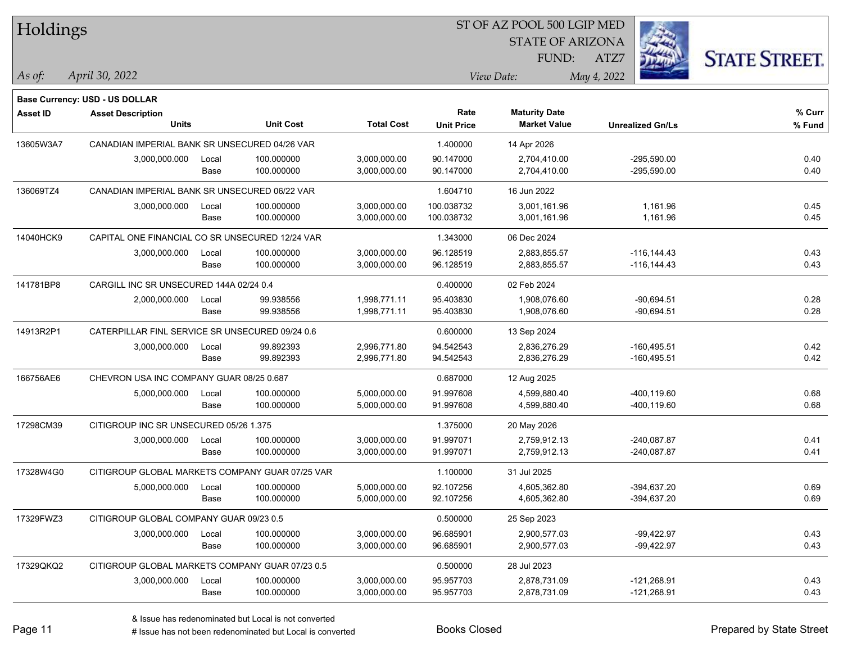| Holdings        |                                                 |       |                  |                   | ST OF AZ POOL 500 LGIP MED |                         |                         |                      |  |  |
|-----------------|-------------------------------------------------|-------|------------------|-------------------|----------------------------|-------------------------|-------------------------|----------------------|--|--|
|                 |                                                 |       |                  |                   |                            | <b>STATE OF ARIZONA</b> |                         |                      |  |  |
|                 |                                                 |       |                  |                   |                            | FUND:                   | ATZ7                    | <b>STATE STREET.</b> |  |  |
| As of:          | April 30, 2022                                  |       |                  |                   |                            | View Date:              | May 4, 2022             |                      |  |  |
|                 | Base Currency: USD - US DOLLAR                  |       |                  |                   |                            |                         |                         |                      |  |  |
| <b>Asset ID</b> | <b>Asset Description</b>                        |       |                  |                   | Rate                       | <b>Maturity Date</b>    |                         | % Curr               |  |  |
|                 | <b>Units</b>                                    |       | <b>Unit Cost</b> | <b>Total Cost</b> | <b>Unit Price</b>          | <b>Market Value</b>     | <b>Unrealized Gn/Ls</b> | % Fund               |  |  |
| 13605W3A7       | CANADIAN IMPERIAL BANK SR UNSECURED 04/26 VAR   |       |                  |                   | 1.400000                   | 14 Apr 2026             |                         |                      |  |  |
|                 | 3,000,000.000                                   | Local | 100.000000       | 3,000,000.00      | 90.147000                  | 2,704,410.00            | $-295,590.00$           | 0.40                 |  |  |
|                 |                                                 | Base  | 100.000000       | 3,000,000.00      | 90.147000                  | 2,704,410.00            | $-295,590.00$           | 0.40                 |  |  |
| 136069TZ4       | CANADIAN IMPERIAL BANK SR UNSECURED 06/22 VAR   |       |                  |                   | 1.604710                   | 16 Jun 2022             |                         |                      |  |  |
|                 | 3,000,000.000                                   | Local | 100.000000       | 3,000,000.00      | 100.038732                 | 3,001,161.96            | 1,161.96                | 0.45                 |  |  |
|                 |                                                 | Base  | 100.000000       | 3,000,000.00      | 100.038732                 | 3,001,161.96            | 1,161.96                | 0.45                 |  |  |
| 14040HCK9       | CAPITAL ONE FINANCIAL CO SR UNSECURED 12/24 VAR |       |                  |                   | 1.343000                   | 06 Dec 2024             |                         |                      |  |  |
|                 | 3,000,000.000                                   | Local | 100.000000       | 3,000,000.00      | 96.128519                  | 2,883,855.57            | $-116, 144.43$          | 0.43                 |  |  |
|                 |                                                 | Base  | 100.000000       | 3,000,000.00      | 96.128519                  | 2,883,855.57            | $-116, 144.43$          | 0.43                 |  |  |
| 141781BP8       | CARGILL INC SR UNSECURED 144A 02/24 0.4         |       |                  |                   | 0.400000                   | 02 Feb 2024             |                         |                      |  |  |
|                 | 2,000,000.000                                   | Local | 99.938556        | 1,998,771.11      | 95.403830                  | 1,908,076.60            | $-90,694.51$            | 0.28                 |  |  |
|                 |                                                 | Base  | 99.938556        | 1,998,771.11      | 95.403830                  | 1,908,076.60            | $-90,694.51$            | 0.28                 |  |  |
| 14913R2P1       | CATERPILLAR FINL SERVICE SR UNSECURED 09/24 0.6 |       |                  |                   | 0.600000                   | 13 Sep 2024             |                         |                      |  |  |
|                 | 3,000,000.000                                   | Local | 99.892393        | 2,996,771.80      | 94.542543                  | 2,836,276.29            | $-160,495.51$           | 0.42                 |  |  |
|                 |                                                 | Base  | 99.892393        | 2,996,771.80      | 94.542543                  | 2,836,276.29            | $-160,495.51$           | 0.42                 |  |  |
| 166756AE6       | CHEVRON USA INC COMPANY GUAR 08/25 0.687        |       |                  |                   | 0.687000                   | 12 Aug 2025             |                         |                      |  |  |
|                 | 5,000,000.000                                   | Local | 100.000000       | 5,000,000.00      | 91.997608                  | 4,599,880.40            | -400,119.60             | 0.68                 |  |  |
|                 |                                                 | Base  | 100.000000       | 5,000,000.00      | 91.997608                  | 4,599,880.40            | -400,119.60             | 0.68                 |  |  |
| 17298CM39       | CITIGROUP INC SR UNSECURED 05/26 1.375          |       |                  |                   | 1.375000                   | 20 May 2026             |                         |                      |  |  |
|                 | 3,000,000.000                                   | Local | 100.000000       | 3,000,000.00      | 91.997071                  | 2,759,912.13            | $-240,087.87$           | 0.41                 |  |  |
|                 |                                                 | Base  | 100.000000       | 3,000,000.00      | 91.997071                  | 2,759,912.13            | $-240,087.87$           | 0.41                 |  |  |
| 17328W4G0       | CITIGROUP GLOBAL MARKETS COMPANY GUAR 07/25 VAR |       |                  |                   | 1.100000                   | 31 Jul 2025             |                         |                      |  |  |
|                 | 5,000,000.000                                   | Local | 100.000000       | 5,000,000.00      | 92.107256                  | 4,605,362.80            | -394,637.20             | 0.69                 |  |  |
|                 |                                                 | Base  | 100.000000       | 5,000,000.00      | 92.107256                  | 4,605,362.80            | -394,637.20             | 0.69                 |  |  |
| 17329FWZ3       | CITIGROUP GLOBAL COMPANY GUAR 09/23 0.5         |       |                  |                   | 0.500000                   | 25 Sep 2023             |                         |                      |  |  |
|                 | 3,000,000.000                                   | Local | 100.000000       | 3,000,000.00      | 96.685901                  | 2,900,577.03            | $-99,422.97$            | 0.43                 |  |  |
|                 |                                                 | Base  | 100.000000       | 3,000,000.00      | 96.685901                  | 2,900,577.03            | -99,422.97              | 0.43                 |  |  |
| 17329QKQ2       | CITIGROUP GLOBAL MARKETS COMPANY GUAR 07/23 0.5 |       |                  |                   | 0.500000                   | 28 Jul 2023             |                         |                      |  |  |
|                 | 3,000,000.000                                   | Local | 100.000000       | 3,000,000.00      | 95.957703                  | 2,878,731.09            | $-121,268.91$           | 0.43                 |  |  |
|                 |                                                 | Base  | 100.000000       | 3,000,000.00      | 95.957703                  | 2,878,731.09            | $-121,268.91$           | 0.43                 |  |  |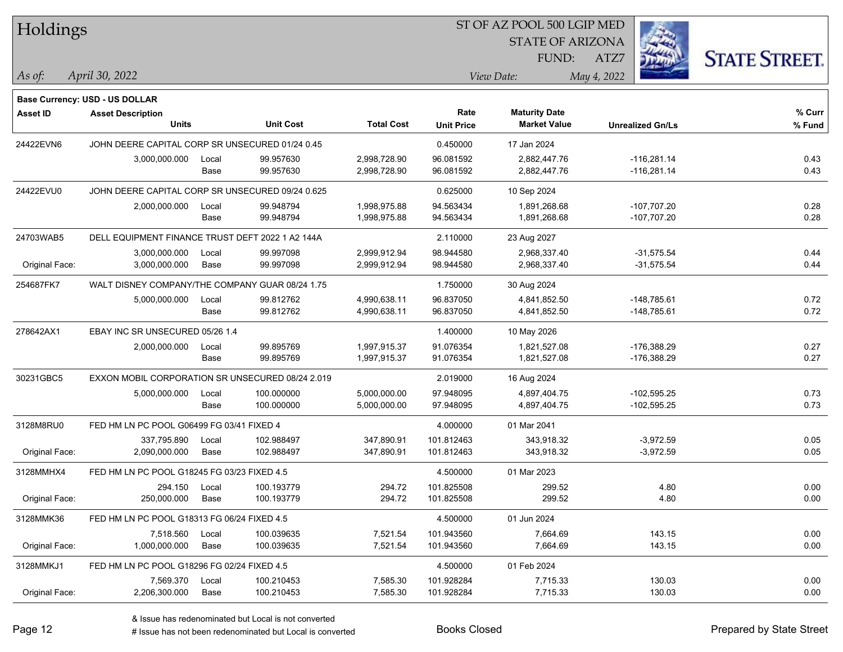| Holdings        |                                                  |       |                  |                   | ST OF AZ POOL 500 LGIP MED |                         |                         |                      |  |  |
|-----------------|--------------------------------------------------|-------|------------------|-------------------|----------------------------|-------------------------|-------------------------|----------------------|--|--|
|                 |                                                  |       |                  |                   |                            | <b>STATE OF ARIZONA</b> |                         |                      |  |  |
|                 |                                                  |       |                  |                   |                            | FUND:                   | ATZ7                    | <b>STATE STREET.</b> |  |  |
|                 | April 30, 2022                                   |       |                  |                   |                            | View Date:              |                         |                      |  |  |
| $\vert$ As of:  |                                                  |       |                  |                   |                            |                         | May 4, 2022             |                      |  |  |
|                 | Base Currency: USD - US DOLLAR                   |       |                  |                   |                            |                         |                         |                      |  |  |
| <b>Asset ID</b> | <b>Asset Description</b>                         |       |                  |                   | Rate                       | <b>Maturity Date</b>    |                         | % Curr               |  |  |
|                 | <b>Units</b>                                     |       | <b>Unit Cost</b> | <b>Total Cost</b> | <b>Unit Price</b>          | <b>Market Value</b>     | <b>Unrealized Gn/Ls</b> | % Fund               |  |  |
| 24422EVN6       | JOHN DEERE CAPITAL CORP SR UNSECURED 01/24 0.45  |       |                  |                   | 0.450000                   | 17 Jan 2024             |                         |                      |  |  |
|                 | 3,000,000.000                                    | Local | 99.957630        | 2,998,728.90      | 96.081592                  | 2,882,447.76            | $-116,281.14$           | 0.43                 |  |  |
|                 |                                                  | Base  | 99.957630        | 2,998,728.90      | 96.081592                  | 2,882,447.76            | $-116,281.14$           | 0.43                 |  |  |
| 24422EVU0       | JOHN DEERE CAPITAL CORP SR UNSECURED 09/24 0.625 |       |                  |                   | 0.625000                   | 10 Sep 2024             |                         |                      |  |  |
|                 | 2,000,000.000                                    | Local | 99.948794        | 1,998,975.88      | 94.563434                  | 1,891,268.68            | $-107,707.20$           | 0.28                 |  |  |
|                 |                                                  | Base  | 99.948794        | 1,998,975.88      | 94.563434                  | 1,891,268.68            | $-107,707.20$           | 0.28                 |  |  |
| 24703WAB5       | DELL EQUIPMENT FINANCE TRUST DEFT 2022 1 A2 144A |       |                  |                   | 2.110000                   | 23 Aug 2027             |                         |                      |  |  |
|                 | 3,000,000.000                                    | Local | 99.997098        | 2,999,912.94      | 98.944580                  | 2,968,337.40            | $-31,575.54$            | 0.44                 |  |  |
| Original Face:  | 3,000,000.000                                    | Base  | 99.997098        | 2,999,912.94      | 98.944580                  | 2,968,337.40            | $-31,575.54$            | 0.44                 |  |  |
| 254687FK7       | WALT DISNEY COMPANY/THE COMPANY GUAR 08/24 1.75  |       |                  |                   | 1.750000                   | 30 Aug 2024             |                         |                      |  |  |
|                 | 5,000,000.000                                    | Local | 99.812762        | 4,990,638.11      | 96.837050                  | 4,841,852.50            | $-148,785.61$           | 0.72                 |  |  |
|                 |                                                  | Base  | 99.812762        | 4,990,638.11      | 96.837050                  | 4,841,852.50            | $-148,785.61$           | 0.72                 |  |  |
| 278642AX1       | EBAY INC SR UNSECURED 05/26 1.4                  |       |                  |                   | 1.400000                   | 10 May 2026             |                         |                      |  |  |
|                 | 2,000,000.000                                    | Local | 99.895769        | 1,997,915.37      | 91.076354                  | 1,821,527.08            | $-176,388.29$           | 0.27                 |  |  |
|                 |                                                  | Base  | 99.895769        | 1,997,915.37      | 91.076354                  | 1,821,527.08            | $-176,388.29$           | 0.27                 |  |  |
| 30231GBC5       | EXXON MOBIL CORPORATION SR UNSECURED 08/24 2.019 |       |                  |                   | 2.019000                   | 16 Aug 2024             |                         |                      |  |  |
|                 | 5,000,000.000                                    | Local | 100.000000       | 5,000,000.00      | 97.948095                  | 4,897,404.75            | $-102,595.25$           | 0.73                 |  |  |
|                 |                                                  | Base  | 100.000000       | 5,000,000.00      | 97.948095                  | 4,897,404.75            | $-102,595.25$           | 0.73                 |  |  |
| 3128M8RU0       | FED HM LN PC POOL G06499 FG 03/41 FIXED 4        |       |                  |                   | 4.000000                   | 01 Mar 2041             |                         |                      |  |  |
|                 | 337,795.890                                      | Local | 102.988497       | 347,890.91        | 101.812463                 | 343,918.32              | $-3,972.59$             | 0.05                 |  |  |
| Original Face:  | 2,090,000.000                                    | Base  | 102.988497       | 347,890.91        | 101.812463                 | 343,918.32              | $-3,972.59$             | 0.05                 |  |  |
| 3128MMHX4       | FED HM LN PC POOL G18245 FG 03/23 FIXED 4.5      |       |                  |                   | 4.500000                   | 01 Mar 2023             |                         |                      |  |  |
|                 | 294.150                                          | Local | 100.193779       | 294.72            | 101.825508                 | 299.52                  | 4.80                    | 0.00                 |  |  |
| Original Face:  | 250,000.000                                      | Base  | 100.193779       | 294.72            | 101.825508                 | 299.52                  | 4.80                    | 0.00                 |  |  |
| 3128MMK36       | FED HM LN PC POOL G18313 FG 06/24 FIXED 4.5      |       |                  |                   | 4.500000                   | 01 Jun 2024             |                         |                      |  |  |
|                 | 7,518.560                                        | Local | 100.039635       | 7,521.54          | 101.943560                 | 7,664.69                | 143.15                  | 0.00                 |  |  |
| Original Face:  | 1,000,000.000                                    | Base  | 100.039635       | 7,521.54          | 101.943560                 | 7,664.69                | 143.15                  | 0.00                 |  |  |
| 3128MMKJ1       | FED HM LN PC POOL G18296 FG 02/24 FIXED 4.5      |       |                  |                   | 4.500000                   | 01 Feb 2024             |                         |                      |  |  |
|                 | 7,569.370                                        | Local | 100.210453       | 7,585.30          | 101.928284                 | 7,715.33                | 130.03                  | 0.00                 |  |  |
| Original Face:  | 2,206,300.000                                    | Base  | 100.210453       | 7,585.30          | 101.928284                 | 7,715.33                | 130.03                  | 0.00                 |  |  |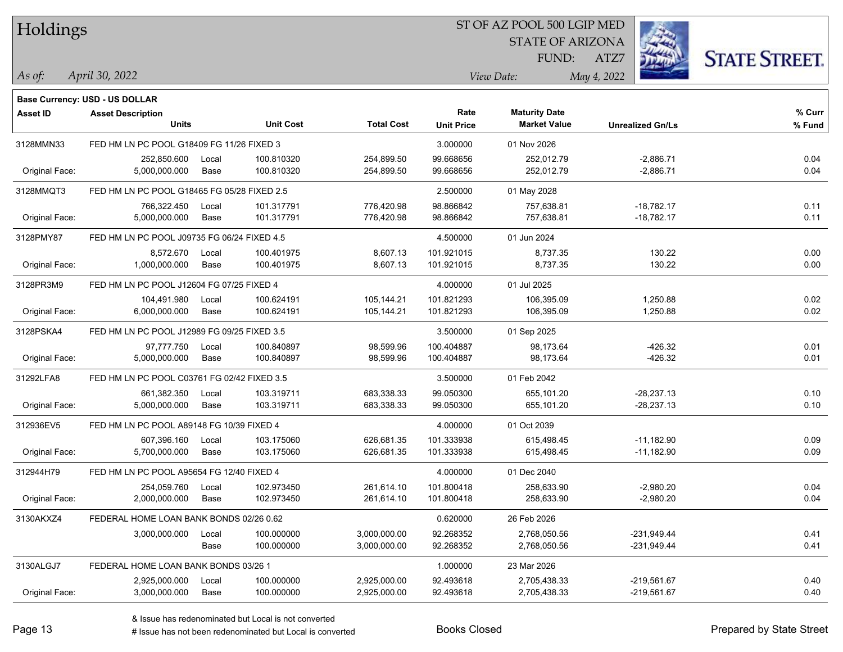| Holdings        |                                                                   |       |                  |                   |                   |                         |             |                         |                      |
|-----------------|-------------------------------------------------------------------|-------|------------------|-------------------|-------------------|-------------------------|-------------|-------------------------|----------------------|
|                 |                                                                   |       |                  |                   |                   | <b>STATE OF ARIZONA</b> |             |                         |                      |
|                 |                                                                   |       |                  |                   |                   | FUND:                   | ATZ7        |                         | <b>STATE STREET.</b> |
| $\vert$ As of:  | April 30, 2022                                                    |       |                  |                   |                   | View Date:              | May 4, 2022 |                         |                      |
|                 |                                                                   |       |                  |                   |                   |                         |             |                         |                      |
| <b>Asset ID</b> | <b>Base Currency: USD - US DOLLAR</b><br><b>Asset Description</b> |       |                  |                   | Rate              | <b>Maturity Date</b>    |             |                         | % Curr               |
|                 | <b>Units</b>                                                      |       | <b>Unit Cost</b> | <b>Total Cost</b> | <b>Unit Price</b> | <b>Market Value</b>     |             | <b>Unrealized Gn/Ls</b> | % Fund               |
| 3128MMN33       | FED HM LN PC POOL G18409 FG 11/26 FIXED 3                         |       |                  |                   | 3.000000          | 01 Nov 2026             |             |                         |                      |
|                 | 252,850.600                                                       | Local | 100.810320       | 254,899.50        | 99.668656         | 252,012.79              |             | $-2,886.71$             | 0.04                 |
| Original Face:  | 5,000,000.000                                                     | Base  | 100.810320       | 254,899.50        | 99.668656         | 252,012.79              |             | $-2,886.71$             | 0.04                 |
| 3128MMQT3       | FED HM LN PC POOL G18465 FG 05/28 FIXED 2.5                       |       |                  |                   | 2.500000          | 01 May 2028             |             |                         |                      |
|                 | 766,322.450                                                       | Local | 101.317791       | 776,420.98        | 98.866842         | 757,638.81              |             | $-18,782.17$            | 0.11                 |
| Original Face:  | 5,000,000.000                                                     | Base  | 101.317791       | 776,420.98        | 98.866842         | 757,638.81              |             | $-18,782.17$            | 0.11                 |
| 3128PMY87       | FED HM LN PC POOL J09735 FG 06/24 FIXED 4.5                       |       |                  |                   | 4.500000          | 01 Jun 2024             |             |                         |                      |
|                 | 8,572.670                                                         | Local | 100.401975       | 8,607.13          | 101.921015        | 8,737.35                |             | 130.22                  | 0.00                 |
| Original Face:  | 1,000,000.000                                                     | Base  | 100.401975       | 8,607.13          | 101.921015        | 8,737.35                |             | 130.22                  | 0.00                 |
| 3128PR3M9       | FED HM LN PC POOL J12604 FG 07/25 FIXED 4                         |       |                  |                   | 4.000000          | 01 Jul 2025             |             |                         |                      |
|                 | 104,491.980                                                       | Local | 100.624191       | 105,144.21        | 101.821293        | 106,395.09              |             | 1,250.88                | 0.02                 |
| Original Face:  | 6,000,000.000                                                     | Base  | 100.624191       | 105,144.21        | 101.821293        | 106,395.09              |             | 1,250.88                | 0.02                 |
| 3128PSKA4       | FED HM LN PC POOL J12989 FG 09/25 FIXED 3.5                       |       |                  |                   | 3.500000          | 01 Sep 2025             |             |                         |                      |
|                 | 97,777.750                                                        | Local | 100.840897       | 98,599.96         | 100.404887        | 98,173.64               |             | $-426.32$               | 0.01                 |
| Original Face:  | 5,000,000.000                                                     | Base  | 100.840897       | 98,599.96         | 100.404887        | 98,173.64               |             | $-426.32$               | 0.01                 |
| 31292LFA8       | FED HM LN PC POOL C03761 FG 02/42 FIXED 3.5                       |       |                  |                   | 3.500000          | 01 Feb 2042             |             |                         |                      |
|                 | 661,382.350                                                       | Local | 103.319711       | 683,338.33        | 99.050300         | 655,101.20              |             | $-28,237.13$            | 0.10                 |
| Original Face:  | 5,000,000.000                                                     | Base  | 103.319711       | 683,338.33        | 99.050300         | 655,101.20              |             | $-28,237.13$            | 0.10                 |
| 312936EV5       | FED HM LN PC POOL A89148 FG 10/39 FIXED 4                         |       |                  |                   | 4.000000          | 01 Oct 2039             |             |                         |                      |
|                 | 607,396.160                                                       | Local | 103.175060       | 626,681.35        | 101.333938        | 615,498.45              |             | $-11,182.90$            | 0.09                 |
| Original Face:  | 5,700,000.000                                                     | Base  | 103.175060       | 626,681.35        | 101.333938        | 615,498.45              |             | $-11,182.90$            | 0.09                 |
| 312944H79       | FED HM LN PC POOL A95654 FG 12/40 FIXED 4                         |       |                  |                   | 4.000000          | 01 Dec 2040             |             |                         |                      |
|                 | 254,059.760                                                       | Local | 102.973450       | 261.614.10        | 101.800418        | 258,633.90              |             | $-2,980.20$             | 0.04                 |
| Original Face:  | 2,000,000.000                                                     | Base  | 102.973450       | 261,614.10        | 101.800418        | 258,633.90              |             | $-2,980.20$             | 0.04                 |
| 3130AKXZ4       | FEDERAL HOME LOAN BANK BONDS 02/26 0.62                           |       |                  |                   | 0.620000          | 26 Feb 2026             |             |                         |                      |
|                 | 3,000,000.000                                                     | Local | 100.000000       | 3,000,000.00      | 92.268352         | 2,768,050.56            |             | $-231,949.44$           | 0.41                 |
|                 |                                                                   | Base  | 100.000000       | 3,000,000.00      | 92.268352         | 2,768,050.56            |             | $-231,949.44$           | 0.41                 |
| 3130ALGJ7       | FEDERAL HOME LOAN BANK BONDS 03/26 1                              |       |                  |                   | 1.000000          | 23 Mar 2026             |             |                         |                      |
|                 | 2,925,000.000                                                     | Local | 100.000000       | 2,925,000.00      | 92.493618         | 2,705,438.33            |             | $-219,561.67$           | 0.40                 |
| Original Face:  | 3,000,000.000                                                     | Base  | 100.000000       | 2,925,000.00      | 92.493618         | 2,705,438.33            |             | $-219,561.67$           | 0.40                 |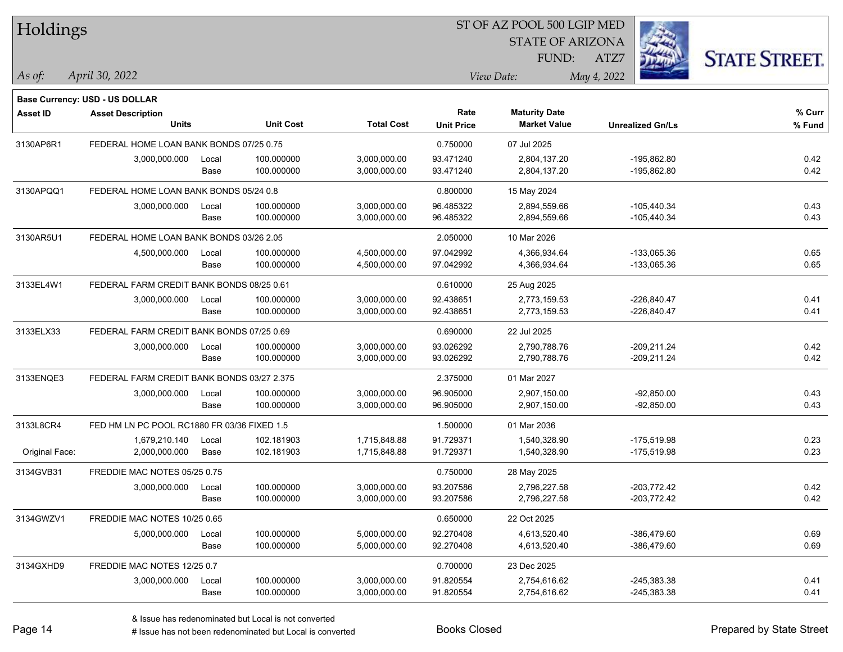| Holdings       |                                             |       |                  |                   | ST OF AZ POOL 500 LGIP MED |                         |                         |                      |  |  |
|----------------|---------------------------------------------|-------|------------------|-------------------|----------------------------|-------------------------|-------------------------|----------------------|--|--|
|                |                                             |       |                  |                   |                            | <b>STATE OF ARIZONA</b> |                         |                      |  |  |
|                |                                             |       |                  |                   |                            | FUND:                   | ATZ7                    | <b>STATE STREET.</b> |  |  |
| As of:         | April 30, 2022                              |       |                  |                   |                            | View Date:              | May 4, 2022             |                      |  |  |
|                |                                             |       |                  |                   |                            |                         |                         |                      |  |  |
|                | Base Currency: USD - US DOLLAR              |       |                  |                   |                            |                         |                         |                      |  |  |
| Asset ID       | <b>Asset Description</b>                    |       |                  |                   | Rate                       | <b>Maturity Date</b>    |                         | % Curr               |  |  |
|                | <b>Units</b>                                |       | <b>Unit Cost</b> | <b>Total Cost</b> | <b>Unit Price</b>          | <b>Market Value</b>     | <b>Unrealized Gn/Ls</b> | % Fund               |  |  |
| 3130AP6R1      | FEDERAL HOME LOAN BANK BONDS 07/25 0.75     |       |                  |                   | 0.750000                   | 07 Jul 2025             |                         |                      |  |  |
|                | 3,000,000.000                               | Local | 100.000000       | 3,000,000.00      | 93.471240                  | 2,804,137.20            | $-195,862.80$           | 0.42                 |  |  |
|                |                                             | Base  | 100.000000       | 3,000,000.00      | 93.471240                  | 2,804,137.20            | -195,862.80             | 0.42                 |  |  |
| 3130APQQ1      | FEDERAL HOME LOAN BANK BONDS 05/24 0.8      |       |                  |                   | 0.800000                   | 15 May 2024             |                         |                      |  |  |
|                | 3,000,000.000                               | Local | 100.000000       | 3,000,000.00      | 96.485322                  | 2,894,559.66            | $-105,440.34$           | 0.43                 |  |  |
|                |                                             | Base  | 100.000000       | 3,000,000.00      | 96.485322                  | 2,894,559.66            | $-105,440.34$           | 0.43                 |  |  |
| 3130AR5U1      | FEDERAL HOME LOAN BANK BONDS 03/26 2.05     |       |                  |                   | 2.050000                   | 10 Mar 2026             |                         |                      |  |  |
|                | 4,500,000.000                               | Local | 100.000000       | 4,500,000.00      | 97.042992                  | 4,366,934.64            | -133,065.36             | 0.65                 |  |  |
|                |                                             | Base  | 100.000000       | 4,500,000.00      | 97.042992                  | 4,366,934.64            | -133,065.36             | 0.65                 |  |  |
| 3133EL4W1      | FEDERAL FARM CREDIT BANK BONDS 08/25 0.61   |       |                  |                   | 0.610000                   | 25 Aug 2025             |                         |                      |  |  |
|                | 3,000,000.000                               | Local | 100.000000       | 3,000,000.00      | 92.438651                  | 2,773,159.53            | $-226,840.47$           | 0.41                 |  |  |
|                |                                             | Base  | 100.000000       | 3,000,000.00      | 92.438651                  | 2,773,159.53            | $-226,840.47$           | 0.41                 |  |  |
| 3133ELX33      | FEDERAL FARM CREDIT BANK BONDS 07/25 0.69   |       |                  |                   | 0.690000                   | 22 Jul 2025             |                         |                      |  |  |
|                | 3,000,000.000                               | Local | 100.000000       | 3,000,000.00      | 93.026292                  | 2,790,788.76            | $-209,211.24$           | 0.42                 |  |  |
|                |                                             | Base  | 100.000000       | 3,000,000.00      | 93.026292                  | 2,790,788.76            | $-209,211.24$           | 0.42                 |  |  |
| 3133ENQE3      | FEDERAL FARM CREDIT BANK BONDS 03/27 2.375  |       |                  |                   | 2.375000                   | 01 Mar 2027             |                         |                      |  |  |
|                | 3,000,000.000                               | Local | 100.000000       | 3,000,000.00      | 96.905000                  | 2,907,150.00            | $-92,850.00$            | 0.43                 |  |  |
|                |                                             | Base  | 100.000000       | 3,000,000.00      | 96.905000                  | 2,907,150.00            | $-92,850.00$            | 0.43                 |  |  |
| 3133L8CR4      | FED HM LN PC POOL RC1880 FR 03/36 FIXED 1.5 |       |                  |                   | 1.500000                   | 01 Mar 2036             |                         |                      |  |  |
|                | 1,679,210.140                               | Local | 102.181903       | 1,715,848.88      | 91.729371                  | 1,540,328.90            | $-175,519.98$           | 0.23                 |  |  |
| Original Face: | 2,000,000.000                               | Base  | 102.181903       | 1,715,848.88      | 91.729371                  | 1,540,328.90            | -175,519.98             | 0.23                 |  |  |
| 3134GVB31      | FREDDIE MAC NOTES 05/25 0.75                |       |                  |                   | 0.750000                   | 28 May 2025             |                         |                      |  |  |
|                | 3,000,000.000                               | Local | 100.000000       | 3,000,000.00      | 93.207586                  | 2,796,227.58            | $-203,772.42$           | 0.42                 |  |  |
|                |                                             | Base  | 100.000000       | 3,000,000.00      | 93.207586                  | 2,796,227.58            | $-203,772.42$           | 0.42                 |  |  |
| 3134GWZV1      | FREDDIE MAC NOTES 10/25 0.65                |       |                  |                   | 0.650000                   | 22 Oct 2025             |                         |                      |  |  |
|                | 5,000,000.000                               | Local | 100.000000       | 5,000,000.00      | 92.270408                  | 4,613,520.40            | $-386,479.60$           | 0.69                 |  |  |
|                |                                             | Base  | 100.000000       | 5,000,000.00      | 92.270408                  | 4,613,520.40            | $-386,479.60$           | 0.69                 |  |  |
| 3134GXHD9      | FREDDIE MAC NOTES 12/25 0.7                 |       |                  |                   | 0.700000                   | 23 Dec 2025             |                         |                      |  |  |
|                | 3,000,000.000                               | Local | 100.000000       | 3,000,000.00      | 91.820554                  | 2,754,616.62            | $-245,383.38$           | 0.41                 |  |  |
|                |                                             | Base  | 100.000000       | 3,000,000.00      | 91.820554                  | 2,754,616.62            | $-245,383.38$           | 0.41                 |  |  |
|                |                                             |       |                  |                   |                            |                         |                         |                      |  |  |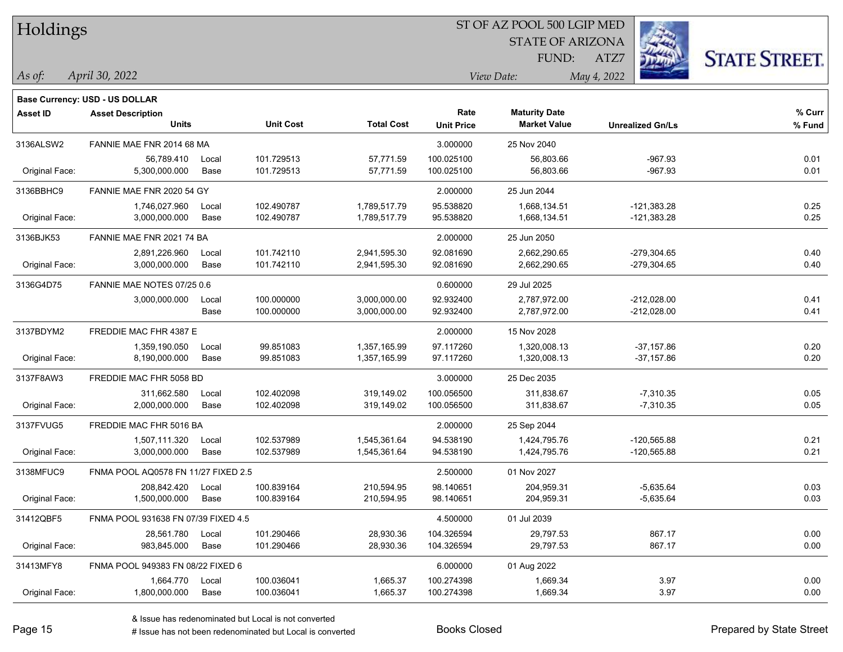| Holdings        |                                       |       |                  |                   |                   | ST OF AZ POOL 500 LGIP MED<br><b>STATE OF ARIZONA</b> | $\mathbb{Z}$            |                      |
|-----------------|---------------------------------------|-------|------------------|-------------------|-------------------|-------------------------------------------------------|-------------------------|----------------------|
|                 |                                       |       |                  |                   |                   | FUND:                                                 | ATZ7                    | <b>STATE STREET.</b> |
| $\vert$ As of:  | April 30, 2022                        |       |                  |                   |                   | View Date:                                            | May 4, 2022             |                      |
|                 | <b>Base Currency: USD - US DOLLAR</b> |       |                  |                   |                   |                                                       |                         |                      |
| <b>Asset ID</b> | <b>Asset Description</b>              |       |                  |                   | Rate              | <b>Maturity Date</b>                                  |                         | % Curr               |
|                 | <b>Units</b>                          |       | <b>Unit Cost</b> | <b>Total Cost</b> | <b>Unit Price</b> | <b>Market Value</b>                                   | <b>Unrealized Gn/Ls</b> | % Fund               |
| 3136ALSW2       | FANNIE MAE FNR 2014 68 MA             |       |                  |                   | 3.000000          | 25 Nov 2040                                           |                         |                      |
|                 | 56,789.410                            | Local | 101.729513       | 57,771.59         | 100.025100        | 56,803.66                                             | $-967.93$               | 0.01                 |
| Original Face:  | 5,300,000.000                         | Base  | 101.729513       | 57,771.59         | 100.025100        | 56,803.66                                             | $-967.93$               | 0.01                 |
| 3136BBHC9       | FANNIE MAE FNR 2020 54 GY             |       |                  |                   | 2.000000          | 25 Jun 2044                                           |                         |                      |
|                 | 1,746,027.960                         | Local | 102.490787       | 1,789,517.79      | 95.538820         | 1,668,134.51                                          | $-121,383.28$           | 0.25                 |
| Original Face:  | 3,000,000.000                         | Base  | 102.490787       | 1,789,517.79      | 95.538820         | 1,668,134.51                                          | $-121,383.28$           | 0.25                 |
| 3136BJK53       | FANNIE MAE FNR 2021 74 BA             |       |                  |                   | 2.000000          | 25 Jun 2050                                           |                         |                      |
|                 | 2,891,226.960                         | Local | 101.742110       | 2,941,595.30      | 92.081690         | 2,662,290.65                                          | $-279,304.65$           | 0.40                 |
| Original Face:  | 3,000,000.000                         | Base  | 101.742110       | 2,941,595.30      | 92.081690         | 2,662,290.65                                          | $-279,304.65$           | 0.40                 |
| 3136G4D75       | FANNIE MAE NOTES 07/25 0.6            |       |                  |                   | 0.600000          | 29 Jul 2025                                           |                         |                      |
|                 | 3,000,000.000                         | Local | 100.000000       | 3,000,000.00      | 92.932400         | 2,787,972.00                                          | $-212,028.00$           | 0.41                 |
|                 |                                       | Base  | 100.000000       | 3,000,000.00      | 92.932400         | 2,787,972.00                                          | $-212,028.00$           | 0.41                 |
| 3137BDYM2       | FREDDIE MAC FHR 4387 E                |       |                  |                   | 2.000000          | 15 Nov 2028                                           |                         |                      |
|                 | 1,359,190.050                         | Local | 99.851083        | 1,357,165.99      | 97.117260         | 1,320,008.13                                          | $-37,157.86$            | 0.20                 |
| Original Face:  | 8,190,000.000                         | Base  | 99.851083        | 1,357,165.99      | 97.117260         | 1,320,008.13                                          | $-37,157.86$            | 0.20                 |
| 3137F8AW3       | FREDDIE MAC FHR 5058 BD               |       |                  |                   | 3.000000          | 25 Dec 2035                                           |                         |                      |
|                 | 311,662.580                           | Local | 102.402098       | 319,149.02        | 100.056500        | 311,838.67                                            | $-7,310.35$             | 0.05                 |
| Original Face:  | 2,000,000.000                         | Base  | 102.402098       | 319,149.02        | 100.056500        | 311,838.67                                            | $-7,310.35$             | 0.05                 |
| 3137FVUG5       | FREDDIE MAC FHR 5016 BA               |       |                  |                   | 2.000000          | 25 Sep 2044                                           |                         |                      |
|                 | 1,507,111.320                         | Local | 102.537989       | 1,545,361.64      | 94.538190         | 1,424,795.76                                          | $-120,565.88$           | 0.21                 |
| Original Face:  | 3,000,000.000                         | Base  | 102.537989       | 1,545,361.64      | 94.538190         | 1,424,795.76                                          | $-120,565.88$           | 0.21                 |
| 3138MFUC9       | FNMA POOL AQ0578 FN 11/27 FIXED 2.5   |       |                  |                   | 2.500000          | 01 Nov 2027                                           |                         |                      |
|                 | 208,842.420                           | Local | 100.839164       | 210,594.95        | 98.140651         | 204,959.31                                            | $-5,635.64$             | 0.03                 |
| Original Face:  | 1,500,000.000                         | Base  | 100.839164       | 210,594.95        | 98.140651         | 204,959.31                                            | $-5,635.64$             | 0.03                 |
| 31412QBF5       | FNMA POOL 931638 FN 07/39 FIXED 4.5   |       |                  |                   | 4.500000          | 01 Jul 2039                                           |                         |                      |
|                 | 28,561.780                            | Local | 101.290466       | 28,930.36         | 104.326594        | 29,797.53                                             | 867.17                  | 0.00                 |
| Original Face:  | 983,845.000                           | Base  | 101.290466       | 28,930.36         | 104.326594        | 29,797.53                                             | 867.17                  | 0.00                 |
| 31413MFY8       | FNMA POOL 949383 FN 08/22 FIXED 6     |       |                  |                   | 6.000000          | 01 Aug 2022                                           |                         |                      |
|                 | 1,664.770                             | Local | 100.036041       | 1,665.37          | 100.274398        | 1,669.34                                              | 3.97                    | 0.00                 |
| Original Face:  | 1,800,000.000                         | Base  | 100.036041       | 1,665.37          | 100.274398        | 1,669.34                                              | 3.97                    | 0.00                 |

 $\overline{\text{SP } \overline{\text{SP } \text{O}}$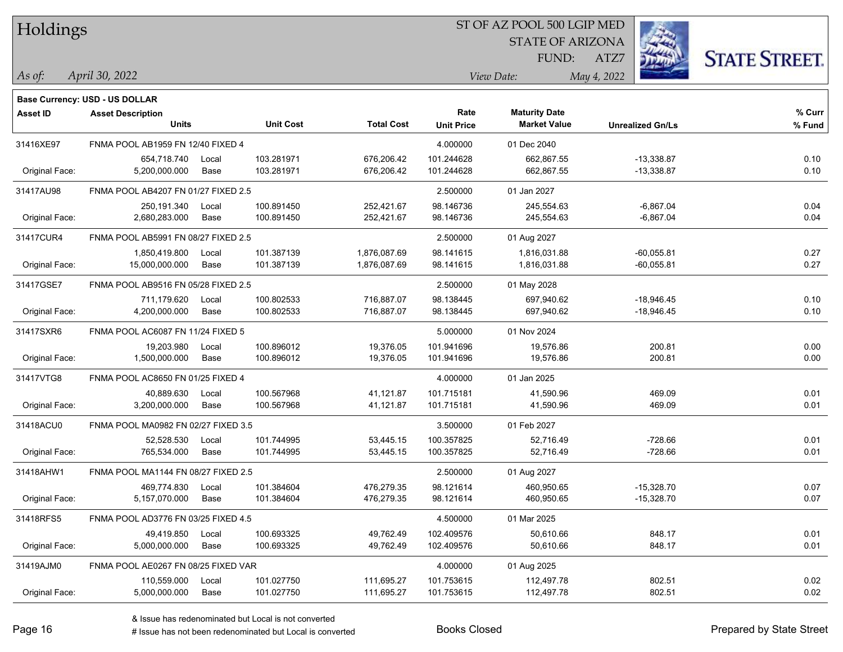| Holdings        |                                       |       |                  |                   |                   | ST OF AZ POOL 500 LGIP MED |                         |                      |
|-----------------|---------------------------------------|-------|------------------|-------------------|-------------------|----------------------------|-------------------------|----------------------|
|                 |                                       |       |                  |                   |                   | <b>STATE OF ARIZONA</b>    |                         |                      |
|                 |                                       |       |                  |                   |                   | FUND:                      | ATZ7                    | <b>STATE STREET.</b> |
| As of:          | April 30, 2022                        |       |                  |                   |                   | View Date:                 | May 4, 2022             |                      |
|                 | <b>Base Currency: USD - US DOLLAR</b> |       |                  |                   |                   |                            |                         |                      |
| <b>Asset ID</b> | <b>Asset Description</b>              |       |                  |                   | Rate              | <b>Maturity Date</b>       |                         | % Curr               |
|                 | <b>Units</b>                          |       | <b>Unit Cost</b> | <b>Total Cost</b> | <b>Unit Price</b> | <b>Market Value</b>        | <b>Unrealized Gn/Ls</b> | % Fund               |
| 31416XE97       | FNMA POOL AB1959 FN 12/40 FIXED 4     |       |                  |                   | 4.000000          | 01 Dec 2040                |                         |                      |
|                 | 654,718.740                           | Local | 103.281971       | 676,206.42        | 101.244628        | 662,867.55                 | $-13,338.87$            | 0.10                 |
| Original Face:  | 5.200.000.000                         | Base  | 103.281971       | 676,206.42        | 101.244628        | 662,867.55                 | $-13,338.87$            | 0.10                 |
| 31417AU98       | FNMA POOL AB4207 FN 01/27 FIXED 2.5   |       |                  |                   | 2.500000          | 01 Jan 2027                |                         |                      |
|                 | 250,191.340                           | Local | 100.891450       | 252,421.67        | 98.146736         | 245,554.63                 | $-6,867.04$             | 0.04                 |
| Original Face:  | 2,680,283.000                         | Base  | 100.891450       | 252,421.67        | 98.146736         | 245,554.63                 | $-6,867.04$             | 0.04                 |
| 31417CUR4       | FNMA POOL AB5991 FN 08/27 FIXED 2.5   |       |                  |                   | 2.500000          | 01 Aug 2027                |                         |                      |
|                 | 1,850,419.800                         | Local | 101.387139       | 1,876,087.69      | 98.141615         | 1,816,031.88               | $-60,055.81$            | 0.27                 |
| Original Face:  | 15,000,000.000                        | Base  | 101.387139       | 1,876,087.69      | 98.141615         | 1,816,031.88               | $-60,055.81$            | 0.27                 |
| 31417GSE7       | FNMA POOL AB9516 FN 05/28 FIXED 2.5   |       |                  |                   | 2.500000          | 01 May 2028                |                         |                      |
|                 | 711,179.620                           | Local | 100.802533       | 716,887.07        | 98.138445         | 697,940.62                 | $-18,946.45$            | 0.10                 |
| Original Face:  | 4,200,000.000                         | Base  | 100.802533       | 716,887.07        | 98.138445         | 697,940.62                 | $-18,946.45$            | 0.10                 |
| 31417SXR6       | FNMA POOL AC6087 FN 11/24 FIXED 5     |       |                  |                   | 5.000000          | 01 Nov 2024                |                         |                      |
|                 | 19,203.980                            | Local | 100.896012       | 19,376.05         | 101.941696        | 19,576.86                  | 200.81                  | 0.00                 |
| Original Face:  | 1,500,000.000                         | Base  | 100.896012       | 19,376.05         | 101.941696        | 19,576.86                  | 200.81                  | 0.00                 |
| 31417VTG8       | FNMA POOL AC8650 FN 01/25 FIXED 4     |       |                  |                   | 4.000000          | 01 Jan 2025                |                         |                      |
|                 | 40,889.630                            | Local | 100.567968       | 41,121.87         | 101.715181        | 41,590.96                  | 469.09                  | 0.01                 |
| Original Face:  | 3,200,000.000                         | Base  | 100.567968       | 41,121.87         | 101.715181        | 41,590.96                  | 469.09                  | 0.01                 |
| 31418ACU0       | FNMA POOL MA0982 FN 02/27 FIXED 3.5   |       |                  |                   | 3.500000          | 01 Feb 2027                |                         |                      |
|                 | 52,528.530                            | Local | 101.744995       | 53,445.15         | 100.357825        | 52,716.49                  | $-728.66$               | 0.01                 |
| Original Face:  | 765,534.000                           | Base  | 101.744995       | 53,445.15         | 100.357825        | 52,716.49                  | $-728.66$               | 0.01                 |
| 31418AHW1       | FNMA POOL MA1144 FN 08/27 FIXED 2.5   |       |                  |                   | 2.500000          | 01 Aug 2027                |                         |                      |
|                 | 469,774.830                           | Local | 101.384604       | 476,279.35        | 98.121614         | 460,950.65                 | $-15,328.70$            | 0.07                 |
| Original Face:  | 5,157,070.000                         | Base  | 101.384604       | 476,279.35        | 98.121614         | 460,950.65                 | $-15,328.70$            | 0.07                 |
| 31418RFS5       | FNMA POOL AD3776 FN 03/25 FIXED 4.5   |       |                  |                   | 4.500000          | 01 Mar 2025                |                         |                      |
|                 | 49,419.850                            | Local | 100.693325       | 49,762.49         | 102.409576        | 50,610.66                  | 848.17                  | 0.01                 |
| Original Face:  | 5,000,000.000                         | Base  | 100.693325       | 49,762.49         | 102.409576        | 50,610.66                  | 848.17                  | 0.01                 |
| 31419AJM0       | FNMA POOL AE0267 FN 08/25 FIXED VAR   |       |                  |                   | 4.000000          | 01 Aug 2025                |                         |                      |
|                 | 110,559.000                           | Local | 101.027750       | 111,695.27        | 101.753615        | 112,497.78                 | 802.51                  | 0.02                 |
| Original Face:  | 5,000,000.000                         | Base  | 101.027750       | 111,695.27        | 101.753615        | 112,497.78                 | 802.51                  | 0.02                 |

 $\overline{\phantom{a}}$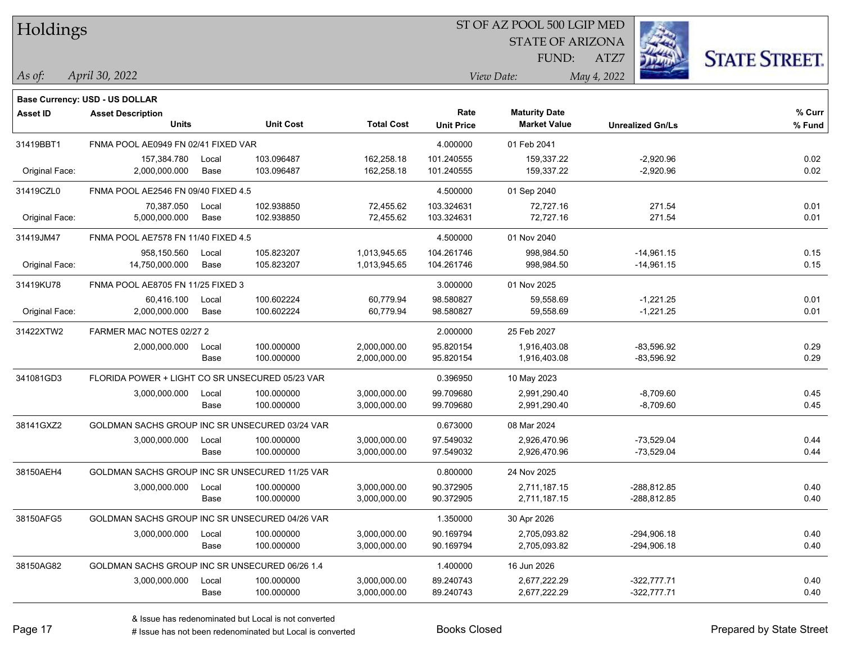| Holdings        |                                                   |               |                          |                              |                           | ST OF AZ POOL 500 LGIP MED                  |                                |                      |
|-----------------|---------------------------------------------------|---------------|--------------------------|------------------------------|---------------------------|---------------------------------------------|--------------------------------|----------------------|
|                 |                                                   |               |                          |                              |                           | <b>STATE OF ARIZONA</b>                     |                                |                      |
|                 |                                                   |               |                          |                              |                           | FUND:                                       | ATZ7                           | <b>STATE STREET.</b> |
| As of:          | April 30, 2022                                    |               |                          |                              |                           | View Date:                                  | May 4, 2022                    |                      |
|                 | <b>Base Currency: USD - US DOLLAR</b>             |               |                          |                              |                           |                                             |                                |                      |
| <b>Asset ID</b> | <b>Asset Description</b><br><b>Units</b>          |               | <b>Unit Cost</b>         | <b>Total Cost</b>            | Rate<br><b>Unit Price</b> | <b>Maturity Date</b><br><b>Market Value</b> | <b>Unrealized Gn/Ls</b>        | % Curr<br>% Fund     |
| 31419BBT1       | FNMA POOL AE0949 FN 02/41 FIXED VAR               |               |                          |                              | 4.000000                  | 01 Feb 2041                                 |                                |                      |
| Original Face:  | 157,384.780<br>2.000.000.000                      | Local<br>Base | 103.096487<br>103.096487 | 162,258.18<br>162,258.18     | 101.240555<br>101.240555  | 159,337.22<br>159,337.22                    | $-2,920.96$<br>$-2,920.96$     | 0.02<br>0.02         |
|                 |                                                   |               |                          |                              |                           |                                             |                                |                      |
| 31419CZL0       | FNMA POOL AE2546 FN 09/40 FIXED 4.5<br>70,387.050 |               | 102.938850               | 72,455.62                    | 4.500000                  | 01 Sep 2040<br>72,727.16                    | 271.54                         | 0.01                 |
| Original Face:  | 5,000,000.000                                     | Local<br>Base | 102.938850               | 72,455.62                    | 103.324631<br>103.324631  | 72,727.16                                   | 271.54                         | 0.01                 |
| 31419JM47       | FNMA POOL AE7578 FN 11/40 FIXED 4.5               |               |                          |                              | 4.500000                  | 01 Nov 2040                                 |                                |                      |
|                 | 958,150.560                                       | Local         | 105.823207               | 1,013,945.65                 | 104.261746                | 998,984.50                                  | $-14,961.15$                   | 0.15                 |
| Original Face:  | 14,750,000.000                                    | Base          | 105.823207               | 1,013,945.65                 | 104.261746                | 998,984.50                                  | $-14,961.15$                   | 0.15                 |
| 31419KU78       | FNMA POOL AE8705 FN 11/25 FIXED 3                 |               |                          |                              | 3.000000                  | 01 Nov 2025                                 |                                |                      |
| Original Face:  | 60,416.100<br>2,000,000.000                       | Local<br>Base | 100.602224<br>100.602224 | 60,779.94<br>60,779.94       | 98.580827<br>98.580827    | 59,558.69<br>59,558.69                      | $-1,221.25$<br>$-1,221.25$     | 0.01<br>0.01         |
| 31422XTW2       | FARMER MAC NOTES 02/27 2                          |               |                          |                              | 2.000000                  | 25 Feb 2027                                 |                                |                      |
|                 | 2,000,000.000                                     | Local<br>Base | 100.000000<br>100.000000 | 2,000,000.00<br>2,000,000.00 | 95.820154<br>95.820154    | 1,916,403.08<br>1,916,403.08                | $-83,596.92$<br>-83,596.92     | 0.29<br>0.29         |
| 341081GD3       | FLORIDA POWER + LIGHT CO SR UNSECURED 05/23 VAR   |               |                          |                              | 0.396950                  | 10 May 2023                                 |                                |                      |
|                 | 3,000,000.000                                     | Local<br>Base | 100.000000<br>100.000000 | 3,000,000.00<br>3,000,000.00 | 99.709680<br>99.709680    | 2,991,290.40<br>2,991,290.40                | $-8,709.60$<br>$-8,709.60$     | 0.45<br>0.45         |
| 38141GXZ2       | GOLDMAN SACHS GROUP INC SR UNSECURED 03/24 VAR    |               |                          |                              | 0.673000                  | 08 Mar 2024                                 |                                |                      |
|                 | 3,000,000.000                                     | Local<br>Base | 100.000000<br>100.000000 | 3,000,000.00<br>3,000,000.00 | 97.549032<br>97.549032    | 2,926,470.96<br>2,926,470.96                | $-73,529.04$<br>$-73,529.04$   | 0.44<br>0.44         |
| 38150AEH4       | GOLDMAN SACHS GROUP INC SR UNSECURED 11/25 VAR    |               |                          |                              | 0.800000                  | 24 Nov 2025                                 |                                |                      |
|                 | 3,000,000.000                                     | Local<br>Base | 100.000000<br>100.000000 | 3,000,000.00<br>3,000,000.00 | 90.372905<br>90.372905    | 2,711,187.15<br>2,711,187.15                | -288,812.85<br>-288,812.85     | 0.40<br>0.40         |
| 38150AFG5       | GOLDMAN SACHS GROUP INC SR UNSECURED 04/26 VAR    |               |                          |                              | 1.350000                  | 30 Apr 2026                                 |                                |                      |
|                 | 3,000,000.000                                     | Local<br>Base | 100.000000<br>100.000000 | 3,000,000.00<br>3,000,000.00 | 90.169794<br>90.169794    | 2,705,093.82<br>2,705,093.82                | $-294,906.18$<br>$-294,906.18$ | 0.40<br>0.40         |
| 38150AG82       | GOLDMAN SACHS GROUP INC SR UNSECURED 06/26 1.4    |               |                          |                              | 1.400000                  | 16 Jun 2026                                 |                                |                      |
|                 | 3,000,000.000                                     | Local<br>Base | 100.000000<br>100.000000 | 3,000,000.00<br>3,000,000.00 | 89.240743<br>89.240743    | 2,677,222.29<br>2,677,222.29                | $-322,777.71$<br>$-322,777.71$ | 0.40<br>0.40         |

 $\overline{\phantom{a}}$ 

 $\overline{\phantom{0}}$ 

 $\overline{\phantom{0}}$ 

 $\overline{\phantom{0}}$ 

# Issue has not been redenominated but Local is converted Books Closed Prepared by State Street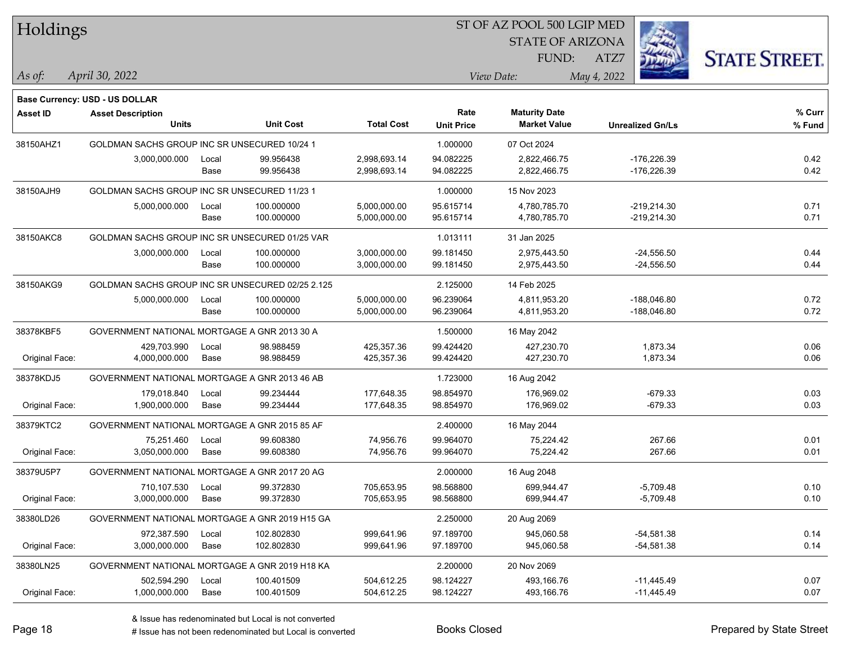| Holdings        |                                                  |       |                  |                   | ST OF AZ POOL 500 LGIP MED |                         |                         |                      |  |
|-----------------|--------------------------------------------------|-------|------------------|-------------------|----------------------------|-------------------------|-------------------------|----------------------|--|
|                 |                                                  |       |                  |                   |                            | <b>STATE OF ARIZONA</b> |                         |                      |  |
|                 |                                                  |       |                  |                   |                            | FUND:                   | ATZ7                    | <b>STATE STREET.</b> |  |
| $\vert$ As of:  | April 30, 2022                                   |       |                  |                   |                            | View Date:              | May 4, 2022             |                      |  |
|                 |                                                  |       |                  |                   |                            |                         |                         |                      |  |
|                 | Base Currency: USD - US DOLLAR                   |       |                  |                   | Rate                       | <b>Maturity Date</b>    |                         | % Curr               |  |
| <b>Asset ID</b> | <b>Asset Description</b><br><b>Units</b>         |       | <b>Unit Cost</b> | <b>Total Cost</b> | <b>Unit Price</b>          | <b>Market Value</b>     | <b>Unrealized Gn/Ls</b> | % Fund               |  |
| 38150AHZ1       | GOLDMAN SACHS GROUP INC SR UNSECURED 10/24 1     |       |                  |                   | 1.000000                   | 07 Oct 2024             |                         |                      |  |
|                 | 3,000,000.000                                    | Local | 99.956438        | 2,998,693.14      | 94.082225                  | 2,822,466.75            | $-176,226.39$           | 0.42                 |  |
|                 |                                                  | Base  | 99.956438        | 2,998,693.14      | 94.082225                  | 2,822,466.75            | $-176,226.39$           | 0.42                 |  |
| 38150AJH9       | GOLDMAN SACHS GROUP INC SR UNSECURED 11/23 1     |       |                  |                   | 1.000000                   | 15 Nov 2023             |                         |                      |  |
|                 | 5,000,000.000                                    | Local | 100.000000       | 5,000,000.00      | 95.615714                  | 4,780,785.70            | $-219,214.30$           | 0.71                 |  |
|                 |                                                  | Base  | 100.000000       | 5,000,000.00      | 95.615714                  | 4,780,785.70            | $-219,214.30$           | 0.71                 |  |
| 38150AKC8       | GOLDMAN SACHS GROUP INC SR UNSECURED 01/25 VAR   |       |                  |                   | 1.013111                   | 31 Jan 2025             |                         |                      |  |
|                 | 3,000,000.000                                    | Local | 100.000000       | 3,000,000.00      | 99.181450                  | 2,975,443.50            | $-24,556.50$            | 0.44                 |  |
|                 |                                                  | Base  | 100.000000       | 3,000,000.00      | 99.181450                  | 2,975,443.50            | -24,556.50              | 0.44                 |  |
| 38150AKG9       | GOLDMAN SACHS GROUP INC SR UNSECURED 02/25 2.125 |       |                  |                   | 2.125000                   | 14 Feb 2025             |                         |                      |  |
|                 | 5,000,000.000                                    | Local | 100.000000       | 5,000,000.00      | 96.239064                  | 4,811,953.20            | $-188,046.80$           | 0.72                 |  |
|                 |                                                  | Base  | 100.000000       | 5,000,000.00      | 96.239064                  | 4,811,953.20            | $-188,046.80$           | 0.72                 |  |
| 38378KBF5       | GOVERNMENT NATIONAL MORTGAGE A GNR 2013 30 A     |       |                  |                   | 1.500000                   | 16 May 2042             |                         |                      |  |
|                 | 429,703.990                                      | Local | 98.988459        | 425,357.36        | 99.424420                  | 427,230.70              | 1,873.34                | 0.06                 |  |
| Original Face:  | 4,000,000.000                                    | Base  | 98.988459        | 425,357.36        | 99.424420                  | 427,230.70              | 1,873.34                | 0.06                 |  |
| 38378KDJ5       | GOVERNMENT NATIONAL MORTGAGE A GNR 2013 46 AB    |       |                  |                   | 1.723000                   | 16 Aug 2042             |                         |                      |  |
|                 | 179,018.840                                      | Local | 99.234444        | 177,648.35        | 98.854970                  | 176,969.02              | $-679.33$               | 0.03                 |  |
| Original Face:  | 1,900,000.000                                    | Base  | 99.234444        | 177,648.35        | 98.854970                  | 176,969.02              | $-679.33$               | 0.03                 |  |
| 38379KTC2       | GOVERNMENT NATIONAL MORTGAGE A GNR 2015 85 AF    |       |                  |                   | 2.400000                   | 16 May 2044             |                         |                      |  |
|                 | 75,251.460                                       | Local | 99.608380        | 74,956.76         | 99.964070                  | 75,224.42               | 267.66                  | 0.01                 |  |
| Original Face:  | 3,050,000.000                                    | Base  | 99.608380        | 74,956.76         | 99.964070                  | 75,224.42               | 267.66                  | 0.01                 |  |
| 38379U5P7       | GOVERNMENT NATIONAL MORTGAGE A GNR 2017 20 AG    |       |                  |                   | 2.000000                   | 16 Aug 2048             |                         |                      |  |
|                 | 710,107.530                                      | Local | 99.372830        | 705,653.95        | 98.568800                  | 699.944.47              | $-5,709.48$             | 0.10                 |  |
| Original Face:  | 3,000,000.000                                    | Base  | 99.372830        | 705,653.95        | 98.568800                  | 699,944.47              | $-5,709.48$             | 0.10                 |  |
| 38380LD26       | GOVERNMENT NATIONAL MORTGAGE A GNR 2019 H15 GA   |       |                  |                   | 2.250000                   | 20 Aug 2069             |                         |                      |  |
|                 | 972,387.590                                      | Local | 102.802830       | 999,641.96        | 97.189700                  | 945,060.58              | $-54,581.38$            | 0.14                 |  |
| Original Face:  | 3,000,000.000                                    | Base  | 102.802830       | 999,641.96        | 97.189700                  | 945,060.58              | $-54,581.38$            | 0.14                 |  |
| 38380LN25       | GOVERNMENT NATIONAL MORTGAGE A GNR 2019 H18 KA   |       |                  |                   | 2.200000                   | 20 Nov 2069             |                         |                      |  |
|                 | 502,594.290                                      | Local | 100.401509       | 504,612.25        | 98.124227                  | 493,166.76              | $-11,445.49$            | 0.07                 |  |
| Original Face:  | 1,000,000.000                                    | Base  | 100.401509       | 504,612.25        | 98.124227                  | 493,166.76              | $-11,445.49$            | 0.07                 |  |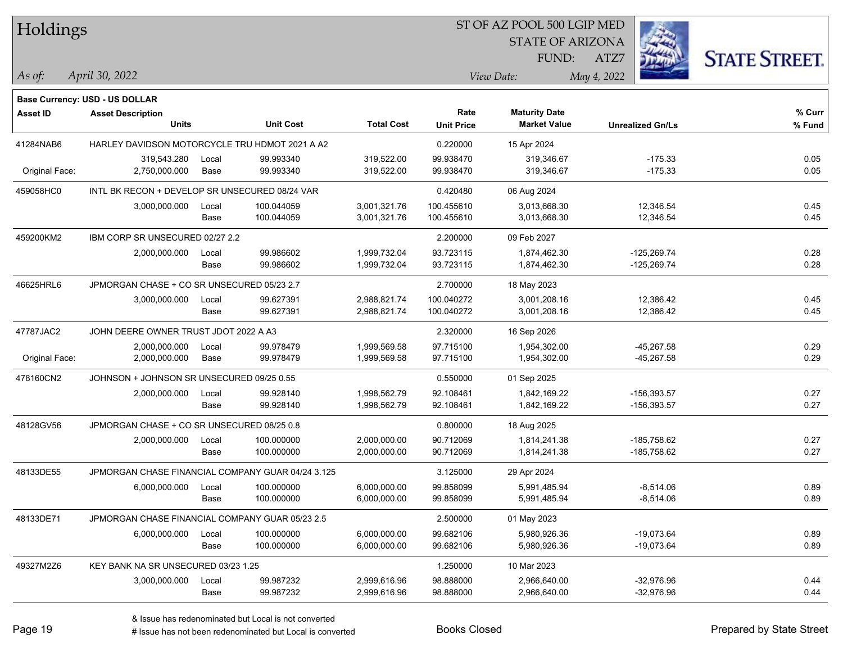| Holdings        |                                                   |               |                  |                   | ST OF AZ POOL 500 LGIP MED |                                             |                         |                      |  |
|-----------------|---------------------------------------------------|---------------|------------------|-------------------|----------------------------|---------------------------------------------|-------------------------|----------------------|--|
|                 |                                                   |               |                  |                   |                            | <b>STATE OF ARIZONA</b>                     |                         |                      |  |
|                 |                                                   |               |                  |                   |                            | FUND:                                       | ATZ7                    | <b>STATE STREET.</b> |  |
| As of:          | April 30, 2022                                    |               |                  |                   |                            | View Date:                                  | May 4, 2022             |                      |  |
|                 |                                                   |               |                  |                   |                            |                                             |                         |                      |  |
|                 | Base Currency: USD - US DOLLAR                    |               |                  |                   | Rate                       |                                             |                         | % Curr               |  |
| <b>Asset ID</b> | <b>Asset Description</b><br><b>Units</b>          |               | <b>Unit Cost</b> | <b>Total Cost</b> | <b>Unit Price</b>          | <b>Maturity Date</b><br><b>Market Value</b> | <b>Unrealized Gn/Ls</b> | % Fund               |  |
| 41284NAB6       | HARLEY DAVIDSON MOTORCYCLE TRU HDMOT 2021 A A2    |               |                  |                   |                            |                                             |                         |                      |  |
|                 | 319,543.280                                       | Local         | 99.993340        | 319,522.00        | 0.220000<br>99.938470      | 15 Apr 2024<br>319,346.67                   | $-175.33$               | 0.05                 |  |
| Original Face:  | 2,750,000.000                                     | Base          | 99.993340        | 319,522.00        | 99.938470                  | 319,346.67                                  | $-175.33$               | 0.05                 |  |
|                 | INTL BK RECON + DEVELOP SR UNSECURED 08/24 VAR    |               |                  |                   |                            |                                             |                         |                      |  |
| 459058HC0       | 3,000,000.000                                     |               | 100.044059       | 3,001,321.76      | 0.420480<br>100.455610     | 06 Aug 2024<br>3,013,668.30                 | 12,346.54               | 0.45                 |  |
|                 |                                                   | Local<br>Base | 100.044059       | 3,001,321.76      | 100.455610                 | 3,013,668.30                                | 12,346.54               | 0.45                 |  |
| 459200KM2       | IBM CORP SR UNSECURED 02/27 2.2                   |               |                  |                   | 2.200000                   | 09 Feb 2027                                 |                         |                      |  |
|                 | 2,000,000.000                                     | Local         | 99.986602        | 1,999,732.04      | 93.723115                  | 1,874,462.30                                | $-125,269.74$           | 0.28                 |  |
|                 |                                                   | Base          | 99.986602        | 1,999,732.04      | 93.723115                  | 1,874,462.30                                | $-125,269.74$           | 0.28                 |  |
| 46625HRL6       | JPMORGAN CHASE + CO SR UNSECURED 05/23 2.7        |               |                  |                   | 2.700000                   | 18 May 2023                                 |                         |                      |  |
|                 | 3,000,000.000                                     | Local         | 99.627391        | 2,988,821.74      | 100.040272                 | 3,001,208.16                                | 12,386.42               | 0.45                 |  |
|                 |                                                   | Base          | 99.627391        | 2,988,821.74      | 100.040272                 | 3,001,208.16                                | 12,386.42               | 0.45                 |  |
| 47787JAC2       | JOHN DEERE OWNER TRUST JDOT 2022 A A3             |               |                  |                   | 2.320000                   | 16 Sep 2026                                 |                         |                      |  |
|                 | 2,000,000.000                                     | Local         | 99.978479        | 1,999,569.58      | 97.715100                  | 1,954,302.00                                | $-45,267.58$            | 0.29                 |  |
| Original Face:  | 2,000,000.000                                     | Base          | 99.978479        | 1,999,569.58      | 97.715100                  | 1,954,302.00                                | $-45,267.58$            | 0.29                 |  |
| 478160CN2       | JOHNSON + JOHNSON SR UNSECURED 09/25 0.55         |               |                  |                   | 0.550000                   | 01 Sep 2025                                 |                         |                      |  |
|                 | 2,000,000.000                                     | Local         | 99.928140        | 1,998,562.79      | 92.108461                  | 1,842,169.22                                | -156,393.57             | 0.27                 |  |
|                 |                                                   | Base          | 99.928140        | 1,998,562.79      | 92.108461                  | 1,842,169.22                                | -156,393.57             | 0.27                 |  |
| 48128GV56       | JPMORGAN CHASE + CO SR UNSECURED 08/25 0.8        |               |                  |                   | 0.800000                   | 18 Aug 2025                                 |                         |                      |  |
|                 | 2,000,000.000                                     | Local         | 100.000000       | 2,000,000.00      | 90.712069                  | 1,814,241.38                                | $-185,758.62$           | 0.27                 |  |
|                 |                                                   | Base          | 100.000000       | 2,000,000.00      | 90.712069                  | 1,814,241.38                                | $-185,758.62$           | 0.27                 |  |
| 48133DE55       | JPMORGAN CHASE FINANCIAL COMPANY GUAR 04/24 3.125 |               |                  |                   | 3.125000                   | 29 Apr 2024                                 |                         |                      |  |
|                 | 6,000,000.000                                     | Local         | 100.000000       | 6,000,000.00      | 99.858099                  | 5,991,485.94                                | $-8,514.06$             | 0.89                 |  |
|                 |                                                   | Base          | 100.000000       | 6,000,000.00      | 99.858099                  | 5,991,485.94                                | $-8,514.06$             | 0.89                 |  |
| 48133DE71       | JPMORGAN CHASE FINANCIAL COMPANY GUAR 05/23 2.5   |               |                  |                   | 2.500000                   | 01 May 2023                                 |                         |                      |  |
|                 | 6,000,000.000                                     | Local         | 100.000000       | 6,000,000.00      | 99.682106                  | 5,980,926.36                                | $-19,073.64$            | 0.89                 |  |
|                 |                                                   | Base          | 100.000000       | 6,000,000.00      | 99.682106                  | 5,980,926.36                                | $-19,073.64$            | 0.89                 |  |
| 49327M2Z6       | KEY BANK NA SR UNSECURED 03/23 1.25               |               |                  |                   | 1.250000                   | 10 Mar 2023                                 |                         |                      |  |
|                 | 3,000,000.000                                     | Local         | 99.987232        | 2,999,616.96      | 98.888000                  | 2,966,640.00                                | $-32,976.96$            | 0.44                 |  |
|                 |                                                   | Base          | 99.987232        | 2,999,616.96      | 98.888000                  | 2,966,640.00                                | $-32,976.96$            | 0.44                 |  |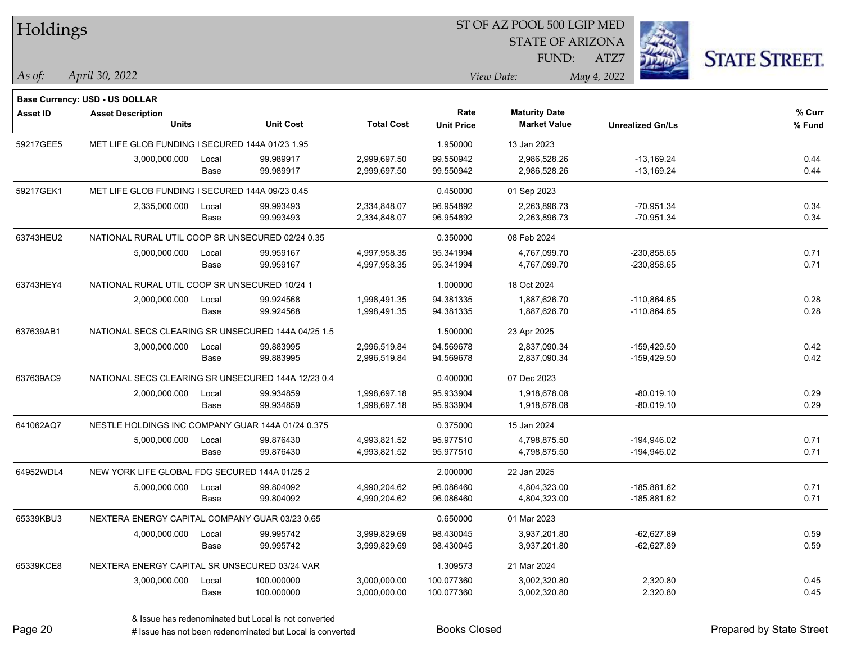| Holdings        |                                                    |       |            |                   | ST OF AZ POOL 500 LGIP MED |                         |             |                         |                      |  |
|-----------------|----------------------------------------------------|-------|------------|-------------------|----------------------------|-------------------------|-------------|-------------------------|----------------------|--|
|                 |                                                    |       |            |                   |                            | <b>STATE OF ARIZONA</b> |             |                         |                      |  |
|                 |                                                    |       |            |                   |                            | FUND:                   | ATZ7        |                         | <b>STATE STREET.</b> |  |
| As of:          | April 30, 2022                                     |       |            |                   |                            | View Date:              | May 4, 2022 |                         |                      |  |
|                 | <b>Base Currency: USD - US DOLLAR</b>              |       |            |                   |                            |                         |             |                         |                      |  |
| <b>Asset ID</b> | <b>Asset Description</b>                           |       |            |                   | Rate                       | <b>Maturity Date</b>    |             |                         | % Curr               |  |
|                 | <b>Units</b>                                       |       | Unit Cost  | <b>Total Cost</b> | <b>Unit Price</b>          | <b>Market Value</b>     |             | <b>Unrealized Gn/Ls</b> | % Fund               |  |
| 59217GEE5       | MET LIFE GLOB FUNDING I SECURED 144A 01/23 1.95    |       |            |                   | 1.950000                   | 13 Jan 2023             |             |                         |                      |  |
|                 | 3,000,000.000                                      | Local | 99.989917  | 2,999,697.50      | 99.550942                  | 2,986,528.26            |             | $-13,169.24$            | 0.44                 |  |
|                 |                                                    | Base  | 99.989917  | 2,999,697.50      | 99.550942                  | 2,986,528.26            |             | $-13,169.24$            | 0.44                 |  |
| 59217GEK1       | MET LIFE GLOB FUNDING I SECURED 144A 09/23 0.45    |       |            |                   | 0.450000                   | 01 Sep 2023             |             |                         |                      |  |
|                 | 2,335,000.000                                      | Local | 99.993493  | 2,334,848.07      | 96.954892                  | 2,263,896.73            |             | $-70,951.34$            | 0.34                 |  |
|                 |                                                    | Base  | 99.993493  | 2,334,848.07      | 96.954892                  | 2,263,896.73            |             | $-70,951.34$            | 0.34                 |  |
| 63743HEU2       | NATIONAL RURAL UTIL COOP SR UNSECURED 02/24 0.35   |       |            |                   | 0.350000                   | 08 Feb 2024             |             |                         |                      |  |
|                 | 5,000,000.000                                      | Local | 99.959167  | 4,997,958.35      | 95.341994                  | 4,767,099.70            |             | $-230,858.65$           | 0.71                 |  |
|                 |                                                    | Base  | 99.959167  | 4,997,958.35      | 95.341994                  | 4,767,099.70            |             | $-230,858.65$           | 0.71                 |  |
| 63743HEY4       | NATIONAL RURAL UTIL COOP SR UNSECURED 10/24 1      |       |            |                   | 1.000000                   | 18 Oct 2024             |             |                         |                      |  |
|                 | 2,000,000.000                                      | Local | 99.924568  | 1,998,491.35      | 94.381335                  | 1,887,626.70            |             | $-110,864.65$           | 0.28                 |  |
|                 |                                                    | Base  | 99.924568  | 1,998,491.35      | 94.381335                  | 1,887,626.70            |             | $-110,864.65$           | 0.28                 |  |
| 637639AB1       | NATIONAL SECS CLEARING SR UNSECURED 144A 04/25 1.5 |       |            |                   | 1.500000                   | 23 Apr 2025             |             |                         |                      |  |
|                 | 3,000,000.000                                      | Local | 99.883995  | 2,996,519.84      | 94.569678                  | 2,837,090.34            |             | $-159,429.50$           | 0.42                 |  |
|                 |                                                    | Base  | 99.883995  | 2,996,519.84      | 94.569678                  | 2,837,090.34            |             | $-159,429.50$           | 0.42                 |  |
| 637639AC9       | NATIONAL SECS CLEARING SR UNSECURED 144A 12/23 0.4 |       |            |                   | 0.400000                   | 07 Dec 2023             |             |                         |                      |  |
|                 | 2,000,000.000                                      | Local | 99.934859  | 1,998,697.18      | 95.933904                  | 1,918,678.08            |             | $-80,019.10$            | 0.29                 |  |
|                 |                                                    | Base  | 99.934859  | 1,998,697.18      | 95.933904                  | 1,918,678.08            |             | $-80,019.10$            | 0.29                 |  |
| 641062AQ7       | NESTLE HOLDINGS INC COMPANY GUAR 144A 01/24 0.375  |       |            |                   | 0.375000                   | 15 Jan 2024             |             |                         |                      |  |
|                 | 5,000,000.000                                      | Local | 99.876430  | 4,993,821.52      | 95.977510                  | 4,798,875.50            |             | $-194,946.02$           | 0.71                 |  |
|                 |                                                    | Base  | 99.876430  | 4,993,821.52      | 95.977510                  | 4,798,875.50            |             | -194,946.02             | 0.71                 |  |
| 64952WDL4       | NEW YORK LIFE GLOBAL FDG SECURED 144A 01/25 2      |       |            |                   | 2.000000                   | 22 Jan 2025             |             |                         |                      |  |
|                 | 5,000,000.000                                      | Local | 99.804092  | 4,990,204.62      | 96.086460                  | 4,804,323.00            |             | -185.881.62             | 0.71                 |  |
|                 |                                                    | Base  | 99.804092  | 4,990,204.62      | 96.086460                  | 4,804,323.00            |             | -185,881.62             | 0.71                 |  |
| 65339KBU3       | NEXTERA ENERGY CAPITAL COMPANY GUAR 03/23 0.65     |       |            |                   | 0.650000                   | 01 Mar 2023             |             |                         |                      |  |
|                 | 4,000,000.000                                      | Local | 99.995742  | 3,999,829.69      | 98.430045                  | 3,937,201.80            |             | $-62,627.89$            | 0.59                 |  |
|                 |                                                    | Base  | 99.995742  | 3,999,829.69      | 98.430045                  | 3,937,201.80            |             | $-62,627.89$            | 0.59                 |  |
| 65339KCE8       | NEXTERA ENERGY CAPITAL SR UNSECURED 03/24 VAR      |       |            |                   | 1.309573                   | 21 Mar 2024             |             |                         |                      |  |
|                 | 3,000,000.000                                      | Local | 100.000000 | 3,000,000.00      | 100.077360                 | 3,002,320.80            |             | 2,320.80                | 0.45                 |  |
|                 |                                                    | Base  | 100.000000 | 3,000,000.00      | 100.077360                 | 3,002,320.80            |             | 2,320.80                | 0.45                 |  |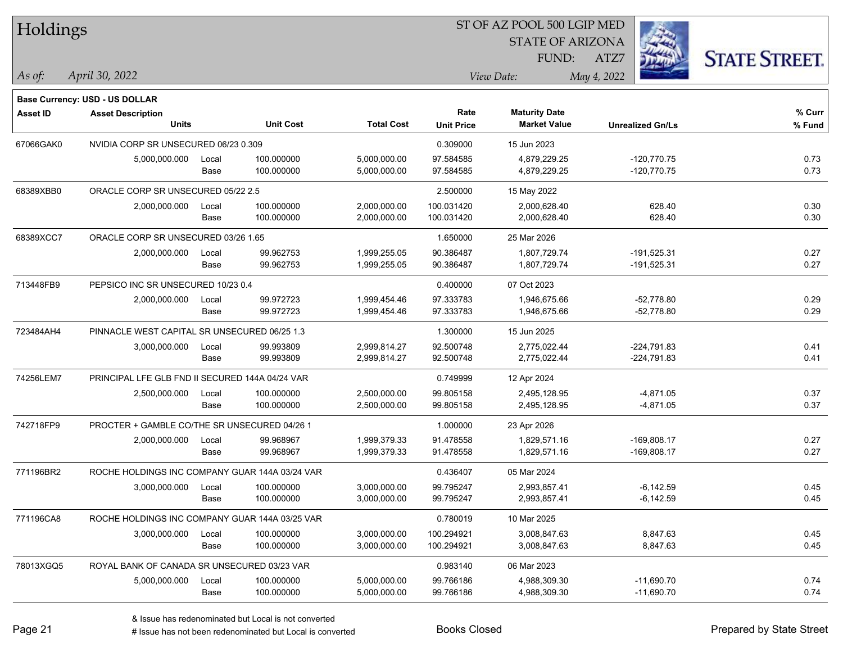| Holdings        |                                                 |       |                  |                   | 51 OF AZ POOL 500 LGIP MED |                         |                         |                      |  |  |
|-----------------|-------------------------------------------------|-------|------------------|-------------------|----------------------------|-------------------------|-------------------------|----------------------|--|--|
|                 |                                                 |       |                  |                   |                            | <b>STATE OF ARIZONA</b> | i.                      |                      |  |  |
|                 |                                                 |       |                  |                   |                            | FUND:                   | ATZ7                    | <b>STATE STREET.</b> |  |  |
| As of:          | April 30, 2022                                  |       |                  |                   |                            | View Date:              | May 4, 2022             |                      |  |  |
|                 |                                                 |       |                  |                   |                            |                         |                         |                      |  |  |
|                 | <b>Base Currency: USD - US DOLLAR</b>           |       |                  |                   |                            |                         |                         |                      |  |  |
| <b>Asset ID</b> | <b>Asset Description</b>                        |       |                  |                   | Rate                       | <b>Maturity Date</b>    |                         | % Curr               |  |  |
|                 | <b>Units</b>                                    |       | <b>Unit Cost</b> | <b>Total Cost</b> | <b>Unit Price</b>          | <b>Market Value</b>     | <b>Unrealized Gn/Ls</b> | % Fund               |  |  |
| 67066GAK0       | NVIDIA CORP SR UNSECURED 06/23 0.309            |       |                  |                   | 0.309000                   | 15 Jun 2023             |                         |                      |  |  |
|                 | 5,000,000.000                                   | Local | 100.000000       | 5,000,000.00      | 97.584585                  | 4,879,229.25            | $-120,770.75$           | 0.73                 |  |  |
|                 |                                                 | Base  | 100.000000       | 5,000,000.00      | 97.584585                  | 4,879,229.25            | $-120,770.75$           | 0.73                 |  |  |
| 68389XBB0       | ORACLE CORP SR UNSECURED 05/22 2.5              |       |                  |                   | 2.500000                   | 15 May 2022             |                         |                      |  |  |
|                 | 2,000,000.000                                   | Local | 100.000000       | 2,000,000.00      | 100.031420                 | 2,000,628.40            | 628.40                  | 0.30                 |  |  |
|                 |                                                 | Base  | 100.000000       | 2,000,000.00      | 100.031420                 | 2,000,628.40            | 628.40                  | 0.30                 |  |  |
| 68389XCC7       | ORACLE CORP SR UNSECURED 03/26 1.65             |       |                  |                   | 1.650000                   | 25 Mar 2026             |                         |                      |  |  |
|                 | 2,000,000.000                                   | Local | 99.962753        | 1,999,255.05      | 90.386487                  | 1,807,729.74            | $-191,525.31$           | 0.27                 |  |  |
|                 |                                                 | Base  | 99.962753        | 1,999,255.05      | 90.386487                  | 1,807,729.74            | $-191,525.31$           | 0.27                 |  |  |
| 713448FB9       | PEPSICO INC SR UNSECURED 10/23 0.4              |       |                  |                   | 0.400000                   | 07 Oct 2023             |                         |                      |  |  |
|                 | 2,000,000.000                                   | Local | 99.972723        | 1,999,454.46      | 97.333783                  | 1,946,675.66            | $-52,778.80$            | 0.29                 |  |  |
|                 |                                                 | Base  | 99.972723        | 1,999,454.46      | 97.333783                  | 1,946,675.66            | $-52,778.80$            | 0.29                 |  |  |
| 723484AH4       | PINNACLE WEST CAPITAL SR UNSECURED 06/25 1.3    |       |                  |                   | 1.300000                   | 15 Jun 2025             |                         |                      |  |  |
|                 | 3,000,000.000                                   | Local | 99.993809        | 2,999,814.27      | 92.500748                  | 2,775,022.44            | $-224,791.83$           | 0.41                 |  |  |
|                 |                                                 | Base  | 99.993809        | 2,999,814.27      | 92.500748                  | 2,775,022.44            | $-224,791.83$           | 0.41                 |  |  |
| 74256LEM7       | PRINCIPAL LFE GLB FND II SECURED 144A 04/24 VAR |       |                  |                   | 0.749999                   | 12 Apr 2024             |                         |                      |  |  |
|                 | 2,500,000.000                                   | Local | 100.000000       | 2,500,000.00      | 99.805158                  | 2,495,128.95            | $-4,871.05$             | 0.37                 |  |  |
|                 |                                                 | Base  | 100.000000       | 2,500,000.00      | 99.805158                  | 2,495,128.95            | $-4,871.05$             | 0.37                 |  |  |
| 742718FP9       | PROCTER + GAMBLE CO/THE SR UNSECURED 04/26 1    |       |                  |                   | 1.000000                   | 23 Apr 2026             |                         |                      |  |  |
|                 | 2,000,000.000                                   | Local | 99.968967        | 1,999,379.33      | 91.478558                  | 1,829,571.16            | $-169,808.17$           | 0.27                 |  |  |
|                 |                                                 | Base  | 99.968967        | 1,999,379.33      | 91.478558                  | 1,829,571.16            | $-169,808.17$           | 0.27                 |  |  |
| 771196BR2       | ROCHE HOLDINGS INC COMPANY GUAR 144A 03/24 VAR  |       |                  |                   | 0.436407                   | 05 Mar 2024             |                         |                      |  |  |
|                 | 3,000,000.000                                   | Local | 100.000000       | 3,000,000.00      | 99.795247                  | 2,993,857.41            | $-6,142.59$             | 0.45                 |  |  |
|                 |                                                 | Base  | 100.000000       | 3,000,000.00      | 99.795247                  | 2,993,857.41            | $-6,142.59$             | 0.45                 |  |  |
| 771196CA8       | ROCHE HOLDINGS INC COMPANY GUAR 144A 03/25 VAR  |       |                  |                   | 0.780019                   | 10 Mar 2025             |                         |                      |  |  |
|                 | 3,000,000.000                                   | Local | 100.000000       | 3,000,000.00      | 100.294921                 | 3,008,847.63            | 8,847.63                | 0.45                 |  |  |
|                 |                                                 | Base  | 100.000000       | 3,000,000.00      | 100.294921                 | 3,008,847.63            | 8,847.63                | 0.45                 |  |  |
| 78013XGQ5       | ROYAL BANK OF CANADA SR UNSECURED 03/23 VAR     |       |                  |                   | 0.983140                   | 06 Mar 2023             |                         |                      |  |  |
|                 | 5,000,000.000                                   | Local | 100.000000       | 5,000,000.00      | 99.766186                  | 4,988,309.30            | $-11,690.70$            | 0.74                 |  |  |
|                 |                                                 | Base  | 100.000000       | 5,000,000.00      | 99.766186                  | 4,988,309.30            | $-11,690.70$            | 0.74                 |  |  |

 $\overline{\text{SD} + \text{F} \text{PQQI}}$  500 LGID MED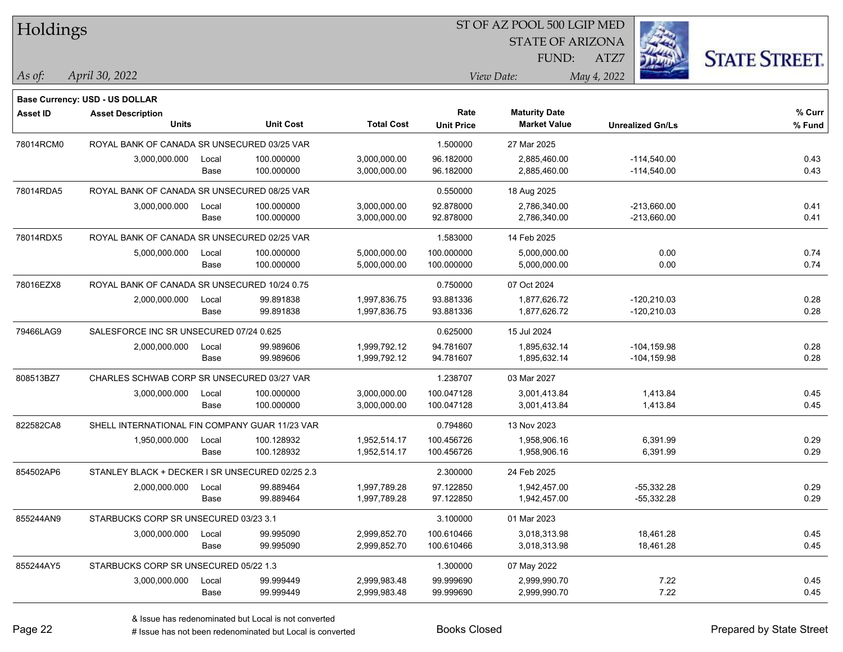| Holdings        |                                                 |       |                  |                   |                   | 51 OF AZ POOL 500 LGIP MED |                         |                      |
|-----------------|-------------------------------------------------|-------|------------------|-------------------|-------------------|----------------------------|-------------------------|----------------------|
|                 |                                                 |       |                  |                   |                   | <b>STATE OF ARIZONA</b>    | Ż.                      |                      |
|                 |                                                 |       |                  |                   |                   | FUND:                      | ATZ7                    | <b>STATE STREET.</b> |
| As of:          | April 30, 2022                                  |       |                  |                   |                   | View Date:                 | May 4, 2022             |                      |
|                 |                                                 |       |                  |                   |                   |                            |                         |                      |
|                 | Base Currency: USD - US DOLLAR                  |       |                  |                   |                   |                            |                         |                      |
| <b>Asset ID</b> | <b>Asset Description</b>                        |       |                  |                   | Rate              | <b>Maturity Date</b>       |                         | % Curr               |
|                 | <b>Units</b>                                    |       | <b>Unit Cost</b> | <b>Total Cost</b> | <b>Unit Price</b> | <b>Market Value</b>        | <b>Unrealized Gn/Ls</b> | % Fund               |
| 78014RCM0       | ROYAL BANK OF CANADA SR UNSECURED 03/25 VAR     |       |                  |                   | 1.500000          | 27 Mar 2025                |                         |                      |
|                 | 3,000,000.000                                   | Local | 100.000000       | 3,000,000.00      | 96.182000         | 2,885,460.00               | $-114,540.00$           | 0.43                 |
|                 |                                                 | Base  | 100.000000       | 3,000,000.00      | 96.182000         | 2,885,460.00               | $-114,540.00$           | 0.43                 |
| 78014RDA5       | ROYAL BANK OF CANADA SR UNSECURED 08/25 VAR     |       |                  |                   | 0.550000          | 18 Aug 2025                |                         |                      |
|                 | 3,000,000.000                                   | Local | 100.000000       | 3,000,000.00      | 92.878000         | 2,786,340.00               | $-213,660.00$           | 0.41                 |
|                 |                                                 | Base  | 100.000000       | 3,000,000.00      | 92.878000         | 2,786,340.00               | $-213,660.00$           | 0.41                 |
| 78014RDX5       | ROYAL BANK OF CANADA SR UNSECURED 02/25 VAR     |       |                  |                   | 1.583000          | 14 Feb 2025                |                         |                      |
|                 | 5,000,000.000                                   | Local | 100.000000       | 5,000,000.00      | 100.000000        | 5,000,000.00               | 0.00                    | 0.74                 |
|                 |                                                 | Base  | 100.000000       | 5,000,000.00      | 100.000000        | 5,000,000.00               | 0.00                    | 0.74                 |
| 78016EZX8       | ROYAL BANK OF CANADA SR UNSECURED 10/24 0.75    |       |                  |                   | 0.750000          | 07 Oct 2024                |                         |                      |
|                 | 2,000,000.000                                   | Local | 99.891838        | 1,997,836.75      | 93.881336         | 1,877,626.72               | $-120,210.03$           | 0.28                 |
|                 |                                                 | Base  | 99.891838        | 1,997,836.75      | 93.881336         | 1,877,626.72               | $-120,210.03$           | 0.28                 |
| 79466LAG9       | SALESFORCE INC SR UNSECURED 07/24 0.625         |       |                  |                   | 0.625000          | 15 Jul 2024                |                         |                      |
|                 | 2,000,000.000                                   | Local | 99.989606        | 1,999,792.12      | 94.781607         | 1,895,632.14               | $-104, 159.98$          | 0.28                 |
|                 |                                                 | Base  | 99.989606        | 1,999,792.12      | 94.781607         | 1,895,632.14               | $-104, 159.98$          | 0.28                 |
| 808513BZ7       | CHARLES SCHWAB CORP SR UNSECURED 03/27 VAR      |       |                  |                   | 1.238707          | 03 Mar 2027                |                         |                      |
|                 | 3,000,000.000                                   | Local | 100.000000       | 3,000,000.00      | 100.047128        | 3,001,413.84               | 1,413.84                | 0.45                 |
|                 |                                                 | Base  | 100.000000       | 3,000,000.00      | 100.047128        | 3,001,413.84               | 1,413.84                | 0.45                 |
| 822582CA8       | SHELL INTERNATIONAL FIN COMPANY GUAR 11/23 VAR  |       |                  |                   | 0.794860          | 13 Nov 2023                |                         |                      |
|                 | 1,950,000.000                                   | Local | 100.128932       | 1,952,514.17      | 100.456726        | 1,958,906.16               | 6,391.99                | 0.29                 |
|                 |                                                 | Base  | 100.128932       | 1,952,514.17      | 100.456726        | 1,958,906.16               | 6,391.99                | 0.29                 |
| 854502AP6       | STANLEY BLACK + DECKER I SR UNSECURED 02/25 2.3 |       |                  |                   | 2.300000          | 24 Feb 2025                |                         |                      |
|                 | 2,000,000.000                                   | Local | 99.889464        | 1,997,789.28      | 97.122850         | 1,942,457.00               | $-55,332.28$            | 0.29                 |
|                 |                                                 | Base  | 99.889464        | 1,997,789.28      | 97.122850         | 1,942,457.00               | $-55,332.28$            | 0.29                 |
| 855244AN9       | STARBUCKS CORP SR UNSECURED 03/23 3.1           |       |                  |                   | 3.100000          | 01 Mar 2023                |                         |                      |
|                 | 3,000,000.000                                   | Local | 99.995090        | 2,999,852.70      | 100.610466        | 3,018,313.98               | 18,461.28               | 0.45                 |
|                 |                                                 | Base  | 99.995090        | 2,999,852.70      | 100.610466        | 3,018,313.98               | 18,461.28               | 0.45                 |
| 855244AY5       | STARBUCKS CORP SR UNSECURED 05/22 1.3           |       |                  |                   | 1.300000          | 07 May 2022                |                         |                      |
|                 | 3,000,000.000                                   | Local | 99.999449        | 2,999,983.48      | 99.999690         | 2,999,990.70               | 7.22                    | 0.45                 |
|                 |                                                 | Base  | 99.999449        | 2,999,983.48      | 99.999690         | 2,999,990.70               | 7.22                    | 0.45                 |
|                 |                                                 |       |                  |                   |                   |                            |                         |                      |

 $ST$  OF AZ POOL 500 LCIP MED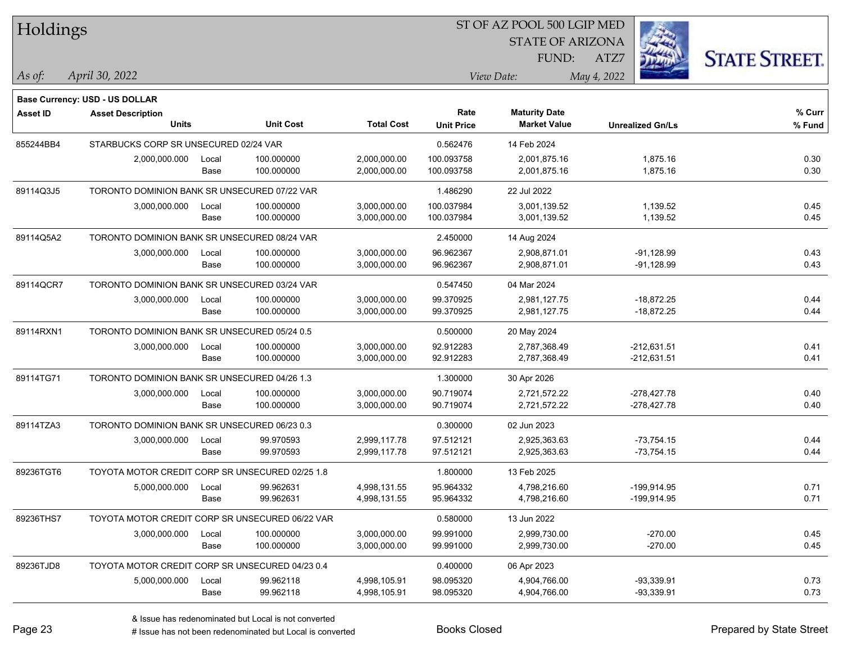| Holdings        |                                                 |       |                  |                   | ST OF AZ POOL 500 LGIP MED |                         |                         |           |                      |  |
|-----------------|-------------------------------------------------|-------|------------------|-------------------|----------------------------|-------------------------|-------------------------|-----------|----------------------|--|
|                 |                                                 |       |                  |                   |                            | <b>STATE OF ARIZONA</b> |                         |           |                      |  |
|                 |                                                 |       |                  |                   |                            | FUND:                   | ATZ7                    |           | <b>STATE STREET.</b> |  |
| As of:          | April 30, 2022                                  |       |                  |                   |                            | View Date:              | May 4, 2022             |           |                      |  |
|                 |                                                 |       |                  |                   |                            |                         |                         |           |                      |  |
| <b>Asset ID</b> | Base Currency: USD - US DOLLAR                  |       |                  |                   | Rate                       | <b>Maturity Date</b>    |                         |           | % Curr               |  |
|                 | <b>Asset Description</b><br><b>Units</b>        |       | <b>Unit Cost</b> | <b>Total Cost</b> | <b>Unit Price</b>          | <b>Market Value</b>     | <b>Unrealized Gn/Ls</b> |           | % Fund               |  |
| 855244BB4       | STARBUCKS CORP SR UNSECURED 02/24 VAR           |       |                  |                   | 0.562476                   | 14 Feb 2024             |                         |           |                      |  |
|                 | 2,000,000.000                                   | Local | 100.000000       | 2,000,000.00      | 100.093758                 | 2,001,875.16            | 1,875.16                |           | 0.30                 |  |
|                 |                                                 | Base  | 100.000000       | 2,000,000.00      | 100.093758                 | 2,001,875.16            | 1,875.16                |           | 0.30                 |  |
| 89114Q3J5       | TORONTO DOMINION BANK SR UNSECURED 07/22 VAR    |       |                  |                   | 1.486290                   | 22 Jul 2022             |                         |           |                      |  |
|                 | 3,000,000.000                                   | Local | 100.000000       | 3,000,000.00      | 100.037984                 | 3,001,139.52            | 1,139.52                |           | 0.45                 |  |
|                 |                                                 | Base  | 100.000000       | 3,000,000.00      | 100.037984                 | 3,001,139.52            | 1,139.52                |           | 0.45                 |  |
| 89114Q5A2       | TORONTO DOMINION BANK SR UNSECURED 08/24 VAR    |       |                  |                   | 2.450000                   | 14 Aug 2024             |                         |           |                      |  |
|                 | 3,000,000.000                                   | Local | 100.000000       | 3,000,000.00      | 96.962367                  | 2,908,871.01            | $-91,128.99$            |           | 0.43                 |  |
|                 |                                                 | Base  | 100.000000       | 3,000,000.00      | 96.962367                  | 2,908,871.01            | $-91,128.99$            |           | 0.43                 |  |
| 89114QCR7       | TORONTO DOMINION BANK SR UNSECURED 03/24 VAR    |       |                  |                   | 0.547450                   | 04 Mar 2024             |                         |           |                      |  |
|                 | 3,000,000.000                                   | Local | 100.000000       | 3,000,000.00      | 99.370925                  | 2,981,127.75            | $-18,872.25$            |           | 0.44                 |  |
|                 |                                                 | Base  | 100.000000       | 3,000,000.00      | 99.370925                  | 2,981,127.75            | $-18,872.25$            |           | 0.44                 |  |
| 89114RXN1       | TORONTO DOMINION BANK SR UNSECURED 05/24 0.5    |       |                  |                   | 0.500000                   | 20 May 2024             |                         |           |                      |  |
|                 | 3,000,000.000                                   | Local | 100.000000       | 3,000,000.00      | 92.912283                  | 2,787,368.49            | $-212,631.51$           |           | 0.41                 |  |
|                 |                                                 | Base  | 100.000000       | 3,000,000.00      | 92.912283                  | 2,787,368.49            | $-212,631.51$           |           | 0.41                 |  |
| 89114TG71       | TORONTO DOMINION BANK SR UNSECURED 04/26 1.3    |       |                  |                   | 1.300000                   | 30 Apr 2026             |                         |           |                      |  |
|                 | 3,000,000.000                                   | Local | 100.000000       | 3,000,000.00      | 90.719074                  | 2,721,572.22            | $-278,427.78$           |           | 0.40                 |  |
|                 |                                                 | Base  | 100.000000       | 3,000,000.00      | 90.719074                  | 2,721,572.22            | $-278,427.78$           |           | 0.40                 |  |
| 89114TZA3       | TORONTO DOMINION BANK SR UNSECURED 06/23 0.3    |       |                  |                   | 0.300000                   | 02 Jun 2023             |                         |           |                      |  |
|                 | 3,000,000.000                                   | Local | 99.970593        | 2,999,117.78      | 97.512121                  | 2,925,363.63            | $-73,754.15$            |           | 0.44                 |  |
|                 |                                                 | Base  | 99.970593        | 2,999,117.78      | 97.512121                  | 2,925,363.63            | -73,754.15              |           | 0.44                 |  |
| 89236TGT6       | TOYOTA MOTOR CREDIT CORP SR UNSECURED 02/25 1.8 |       |                  |                   | 1.800000                   | 13 Feb 2025             |                         |           |                      |  |
|                 | 5,000,000.000                                   | Local | 99.962631        | 4,998,131.55      | 95.964332                  | 4,798,216.60            | -199,914.95             |           | 0.71                 |  |
|                 |                                                 | Base  | 99.962631        | 4,998,131.55      | 95.964332                  | 4,798,216.60            | -199,914.95             |           | 0.71                 |  |
| 89236THS7       | TOYOTA MOTOR CREDIT CORP SR UNSECURED 06/22 VAR |       |                  |                   | 0.580000                   | 13 Jun 2022             |                         |           |                      |  |
|                 | 3,000,000.000                                   | Local | 100.000000       | 3,000,000.00      | 99.991000                  | 2,999,730.00            |                         | $-270.00$ | 0.45                 |  |
|                 |                                                 | Base  | 100.000000       | 3,000,000.00      | 99.991000                  | 2,999,730.00            |                         | $-270.00$ | 0.45                 |  |
| 89236TJD8       | TOYOTA MOTOR CREDIT CORP SR UNSECURED 04/23 0.4 |       |                  |                   | 0.400000                   | 06 Apr 2023             |                         |           |                      |  |
|                 | 5,000,000.000                                   | Local | 99.962118        | 4,998,105.91      | 98.095320                  | 4,904,766.00            | $-93,339.91$            |           | 0.73                 |  |
|                 |                                                 | Base  | 99.962118        | 4,998,105.91      | 98.095320                  | 4,904,766.00            | $-93,339.91$            |           | 0.73                 |  |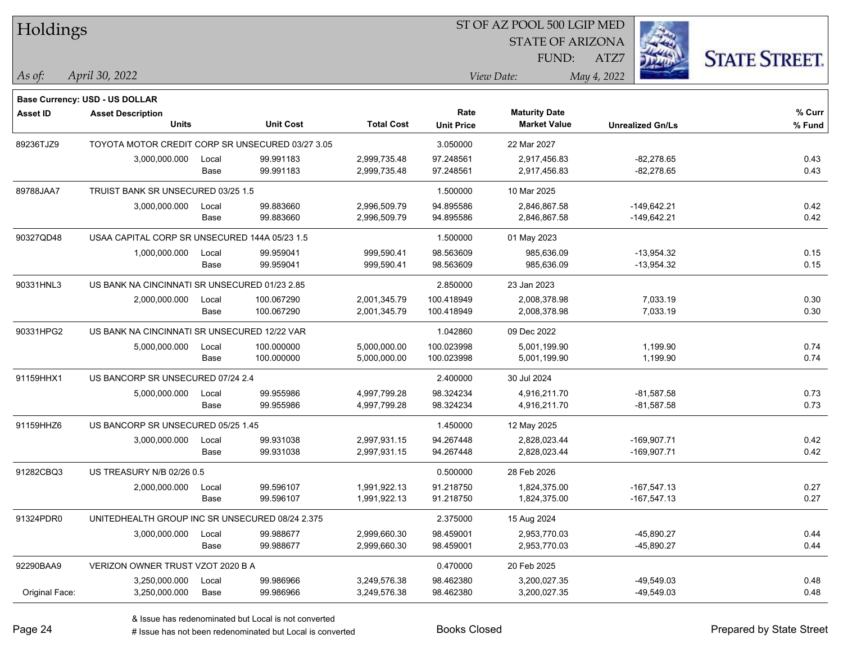| Holdings        |                                                  |       |                  |                   | ST OF AZ POOL 500 LGIP MED |                         |                         |                      |  |
|-----------------|--------------------------------------------------|-------|------------------|-------------------|----------------------------|-------------------------|-------------------------|----------------------|--|
|                 |                                                  |       |                  |                   |                            | <b>STATE OF ARIZONA</b> |                         |                      |  |
|                 |                                                  |       |                  |                   |                            | FUND:                   | ATZ7                    | <b>STATE STREET.</b> |  |
| $\vert$ As of:  | April 30, 2022                                   |       |                  |                   |                            | View Date:              | May 4, 2022             |                      |  |
|                 |                                                  |       |                  |                   |                            |                         |                         |                      |  |
|                 | Base Currency: USD - US DOLLAR                   |       |                  |                   | Rate                       | <b>Maturity Date</b>    |                         | % Curr               |  |
| <b>Asset ID</b> | <b>Asset Description</b><br><b>Units</b>         |       | <b>Unit Cost</b> | <b>Total Cost</b> | <b>Unit Price</b>          | <b>Market Value</b>     | <b>Unrealized Gn/Ls</b> | % Fund               |  |
| 89236TJZ9       | TOYOTA MOTOR CREDIT CORP SR UNSECURED 03/27 3.05 |       |                  |                   | 3.050000                   | 22 Mar 2027             |                         |                      |  |
|                 | 3,000,000.000                                    | Local | 99.991183        | 2,999,735.48      | 97.248561                  | 2,917,456.83            | $-82,278.65$            | 0.43                 |  |
|                 |                                                  | Base  | 99.991183        | 2,999,735.48      | 97.248561                  | 2,917,456.83            | $-82,278.65$            | 0.43                 |  |
| 89788JAA7       | TRUIST BANK SR UNSECURED 03/25 1.5               |       |                  |                   | 1.500000                   | 10 Mar 2025             |                         |                      |  |
|                 | 3,000,000.000                                    | Local | 99.883660        | 2,996,509.79      | 94.895586                  | 2,846,867.58            | $-149,642.21$           | 0.42                 |  |
|                 |                                                  | Base  | 99.883660        | 2,996,509.79      | 94.895586                  | 2,846,867.58            | $-149,642.21$           | 0.42                 |  |
| 90327QD48       | USAA CAPITAL CORP SR UNSECURED 144A 05/23 1.5    |       |                  |                   | 1.500000                   | 01 May 2023             |                         |                      |  |
|                 | 1,000,000.000                                    | Local | 99.959041        | 999,590.41        | 98.563609                  | 985,636.09              | $-13,954.32$            | 0.15                 |  |
|                 |                                                  | Base  | 99.959041        | 999,590.41        | 98.563609                  | 985,636.09              | $-13,954.32$            | 0.15                 |  |
| 90331HNL3       | US BANK NA CINCINNATI SR UNSECURED 01/23 2.85    |       |                  |                   | 2.850000                   | 23 Jan 2023             |                         |                      |  |
|                 | 2,000,000.000                                    | Local | 100.067290       | 2,001,345.79      | 100.418949                 | 2,008,378.98            | 7,033.19                | 0.30                 |  |
|                 |                                                  | Base  | 100.067290       | 2,001,345.79      | 100.418949                 | 2,008,378.98            | 7,033.19                | 0.30                 |  |
| 90331HPG2       | US BANK NA CINCINNATI SR UNSECURED 12/22 VAR     |       |                  |                   | 1.042860                   | 09 Dec 2022             |                         |                      |  |
|                 | 5,000,000.000                                    | Local | 100.000000       | 5,000,000.00      | 100.023998                 | 5,001,199.90            | 1,199.90                | 0.74                 |  |
|                 |                                                  | Base  | 100.000000       | 5,000,000.00      | 100.023998                 | 5,001,199.90            | 1,199.90                | 0.74                 |  |
| 91159HHX1       | US BANCORP SR UNSECURED 07/24 2.4                |       |                  |                   | 2.400000                   | 30 Jul 2024             |                         |                      |  |
|                 | 5,000,000.000                                    | Local | 99.955986        | 4,997,799.28      | 98.324234                  | 4,916,211.70            | $-81,587.58$            | 0.73                 |  |
|                 |                                                  | Base  | 99.955986        | 4,997,799.28      | 98.324234                  | 4,916,211.70            | $-81,587.58$            | 0.73                 |  |
| 91159HHZ6       | US BANCORP SR UNSECURED 05/25 1.45               |       |                  |                   | 1.450000                   | 12 May 2025             |                         |                      |  |
|                 | 3,000,000.000                                    | Local | 99.931038        | 2,997,931.15      | 94.267448                  | 2,828,023.44            | $-169,907.71$           | 0.42                 |  |
|                 |                                                  | Base  | 99.931038        | 2,997,931.15      | 94.267448                  | 2,828,023.44            | $-169,907.71$           | 0.42                 |  |
| 91282CBQ3       | US TREASURY N/B 02/26 0.5                        |       |                  |                   | 0.500000                   | 28 Feb 2026             |                         |                      |  |
|                 | 2,000,000.000                                    | Local | 99.596107        | 1,991,922.13      | 91.218750                  | 1,824,375.00            | $-167,547.13$           | 0.27                 |  |
|                 |                                                  | Base  | 99.596107        | 1,991,922.13      | 91.218750                  | 1,824,375.00            | $-167,547.13$           | 0.27                 |  |
| 91324PDR0       | UNITEDHEALTH GROUP INC SR UNSECURED 08/24 2.375  |       |                  |                   | 2.375000                   | 15 Aug 2024             |                         |                      |  |
|                 | 3,000,000.000                                    | Local | 99.988677        | 2,999,660.30      | 98.459001                  | 2,953,770.03            | $-45,890.27$            | 0.44                 |  |
|                 |                                                  | Base  | 99.988677        | 2,999,660.30      | 98.459001                  | 2,953,770.03            | -45,890.27              | 0.44                 |  |
| 92290BAA9       | VERIZON OWNER TRUST VZOT 2020 B A                |       |                  |                   | 0.470000                   | 20 Feb 2025             |                         |                      |  |
|                 | 3,250,000.000                                    | Local | 99.986966        | 3,249,576.38      | 98.462380                  | 3,200,027.35            | $-49,549.03$            | 0.48                 |  |
| Original Face:  | 3,250,000.000                                    | Base  | 99.986966        | 3,249,576.38      | 98.462380                  | 3,200,027.35            | -49,549.03              | 0.48                 |  |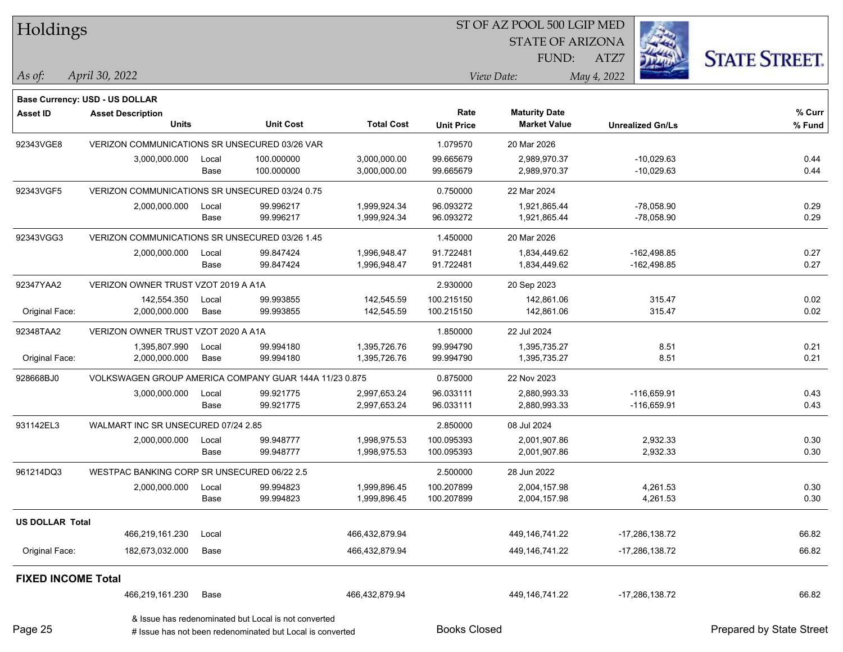| Holdings                  |                                                        |                         |                                                           |                              | ST OF AZ POOL 500 LGIP MED |                                             |                              |                          |
|---------------------------|--------------------------------------------------------|-------------------------|-----------------------------------------------------------|------------------------------|----------------------------|---------------------------------------------|------------------------------|--------------------------|
|                           |                                                        | <b>STATE OF ARIZONA</b> |                                                           |                              |                            |                                             |                              |                          |
|                           |                                                        |                         |                                                           |                              |                            | FUND:                                       | ATZ7                         | <b>STATE STREET.</b>     |
| As of:                    | April 30, 2022                                         |                         |                                                           |                              |                            | View Date:                                  | May 4, 2022                  |                          |
|                           |                                                        |                         |                                                           |                              |                            |                                             |                              |                          |
|                           | <b>Base Currency: USD - US DOLLAR</b>                  |                         |                                                           |                              |                            |                                             |                              |                          |
| <b>Asset ID</b>           | <b>Asset Description</b><br><b>Units</b>               |                         | <b>Unit Cost</b>                                          | <b>Total Cost</b>            | Rate<br><b>Unit Price</b>  | <b>Maturity Date</b><br><b>Market Value</b> | <b>Unrealized Gn/Ls</b>      | % Curr                   |
|                           |                                                        |                         |                                                           |                              |                            |                                             |                              | % Fund                   |
| 92343VGE8                 | VERIZON COMMUNICATIONS SR UNSECURED 03/26 VAR          |                         |                                                           |                              | 1.079570                   | 20 Mar 2026                                 |                              |                          |
|                           | 3,000,000.000                                          | Local<br>Base           | 100.000000<br>100.000000                                  | 3,000,000.00<br>3,000,000.00 | 99.665679<br>99.665679     | 2,989,970.37<br>2,989,970.37                | $-10,029.63$<br>$-10,029.63$ | 0.44<br>0.44             |
|                           |                                                        |                         |                                                           |                              |                            |                                             |                              |                          |
| 92343VGF5                 | VERIZON COMMUNICATIONS SR UNSECURED 03/24 0.75         |                         |                                                           |                              | 0.750000                   | 22 Mar 2024                                 |                              |                          |
|                           | 2,000,000.000                                          | Local                   | 99.996217                                                 | 1,999,924.34                 | 96.093272                  | 1,921,865.44                                | $-78,058.90$                 | 0.29                     |
|                           |                                                        | Base                    | 99.996217                                                 | 1,999,924.34                 | 96.093272                  | 1,921,865.44                                | $-78,058.90$                 | 0.29                     |
| 92343VGG3                 | VERIZON COMMUNICATIONS SR UNSECURED 03/26 1.45         |                         |                                                           |                              | 1.450000                   | 20 Mar 2026                                 |                              |                          |
|                           | 2,000,000.000                                          | Local                   | 99.847424                                                 | 1,996,948.47                 | 91.722481                  | 1,834,449.62                                | $-162,498.85$                | 0.27                     |
|                           |                                                        | Base                    | 99.847424                                                 | 1,996,948.47                 | 91.722481                  | 1,834,449.62                                | $-162,498.85$                | 0.27                     |
| 92347YAA2                 | VERIZON OWNER TRUST VZOT 2019 A A1A                    |                         |                                                           |                              | 2.930000                   | 20 Sep 2023                                 |                              |                          |
|                           | 142,554.350                                            | Local                   | 99.993855                                                 | 142,545.59                   | 100.215150                 | 142,861.06                                  | 315.47                       | 0.02                     |
| Original Face:            | 2,000,000.000                                          | Base                    | 99.993855                                                 | 142,545.59                   | 100.215150                 | 142,861.06                                  | 315.47                       | 0.02                     |
| 92348TAA2                 | VERIZON OWNER TRUST VZOT 2020 A A1A                    |                         |                                                           |                              | 1.850000                   | 22 Jul 2024                                 |                              |                          |
|                           | 1,395,807.990                                          | Local                   | 99.994180                                                 | 1,395,726.76                 | 99.994790                  | 1,395,735.27                                | 8.51                         | 0.21                     |
| Original Face:            | 2,000,000.000                                          | Base                    | 99.994180                                                 | 1,395,726.76                 | 99.994790                  | 1,395,735.27                                | 8.51                         | 0.21                     |
| 928668BJ0                 | VOLKSWAGEN GROUP AMERICA COMPANY GUAR 144A 11/23 0.875 |                         |                                                           |                              | 0.875000                   | 22 Nov 2023                                 |                              |                          |
|                           | 3,000,000.000                                          | Local                   | 99.921775                                                 | 2,997,653.24                 | 96.033111                  | 2,880,993.33                                | $-116,659.91$                | 0.43                     |
|                           |                                                        | Base                    | 99.921775                                                 | 2,997,653.24                 | 96.033111                  | 2,880,993.33                                | $-116,659.91$                | 0.43                     |
| 931142EL3                 | WALMART INC SR UNSECURED 07/24 2.85                    |                         |                                                           |                              | 2.850000                   | 08 Jul 2024                                 |                              |                          |
|                           | 2,000,000.000                                          | Local                   | 99.948777                                                 | 1,998,975.53                 | 100.095393                 | 2,001,907.86                                | 2,932.33                     | 0.30                     |
|                           |                                                        | Base                    | 99.948777                                                 | 1,998,975.53                 | 100.095393                 | 2,001,907.86                                | 2,932.33                     | 0.30                     |
| 961214DQ3                 | WESTPAC BANKING CORP SR UNSECURED 06/22 2.5            |                         |                                                           |                              | 2.500000                   | 28 Jun 2022                                 |                              |                          |
|                           | 2,000,000.000                                          | Local                   | 99.994823                                                 | 1,999,896.45                 | 100.207899                 | 2,004,157.98                                | 4,261.53                     | 0.30                     |
|                           |                                                        | Base                    | 99.994823                                                 | 1,999,896.45                 | 100.207899                 | 2,004,157.98                                | 4,261.53                     | 0.30                     |
| <b>US DOLLAR Total</b>    |                                                        |                         |                                                           |                              |                            |                                             |                              |                          |
|                           | 466,219,161.230                                        | Local                   |                                                           | 466,432,879.94               |                            | 449,146,741.22                              | -17,286,138.72               | 66.82                    |
| Original Face:            | 182,673,032.000                                        | Base                    |                                                           | 466,432,879.94               |                            | 449,146,741.22                              | -17,286,138.72               | 66.82                    |
| <b>FIXED INCOME Total</b> |                                                        |                         |                                                           |                              |                            |                                             |                              |                          |
|                           | 466,219,161.230                                        | Base                    |                                                           | 466,432,879.94               |                            | 449,146,741.22                              | $-17,286,138.72$             | 66.82                    |
|                           |                                                        |                         | & Issue has redenominated but Local is not converted      |                              |                            |                                             |                              |                          |
| Page 25                   |                                                        |                         | # Issue has not been redenominated but Local is converted |                              | <b>Books Closed</b>        |                                             |                              | Prepared by State Street |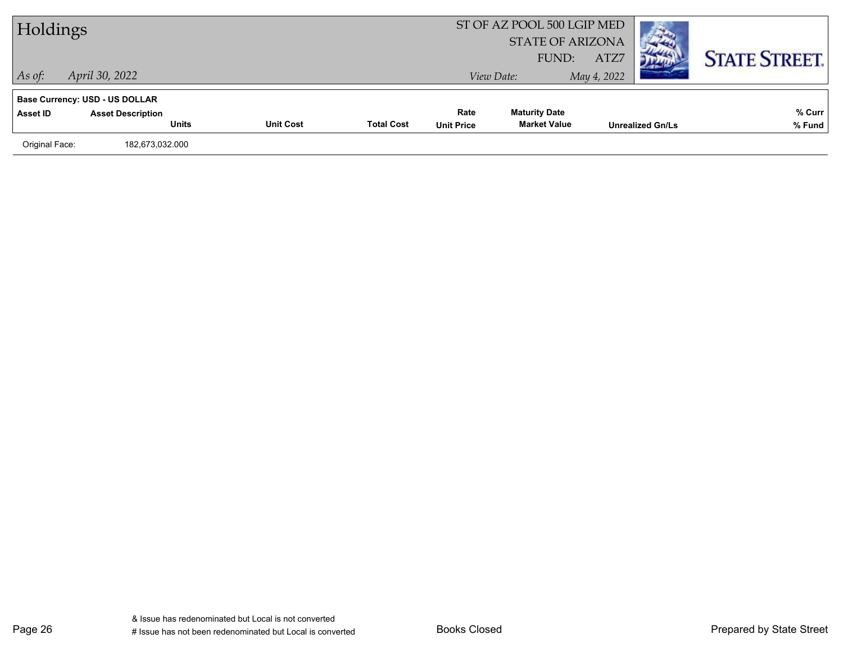| Holdings       |                                          |                  |                   |                           | ST OF AZ POOL 500 LGIP MED<br><b>STATE OF ARIZONA</b><br>FUND: | ATZ7        |                         | <b>STATE STREET.</b> |
|----------------|------------------------------------------|------------------|-------------------|---------------------------|----------------------------------------------------------------|-------------|-------------------------|----------------------|
| $\vert$ As of: | April 30, 2022                           |                  |                   |                           | View Date:                                                     | May 4, 2022 |                         |                      |
|                | <b>Base Currency: USD - US DOLLAR</b>    |                  |                   |                           |                                                                |             |                         |                      |
| Asset ID       | <b>Asset Description</b><br><b>Units</b> | <b>Unit Cost</b> | <b>Total Cost</b> | Rate<br><b>Unit Price</b> | <b>Maturity Date</b><br><b>Market Value</b>                    |             | <b>Unrealized Gn/Ls</b> | % Curr<br>% Fund     |
| Original Face: | 182,673,032.000                          |                  |                   |                           |                                                                |             |                         |                      |
|                |                                          |                  |                   |                           |                                                                |             |                         |                      |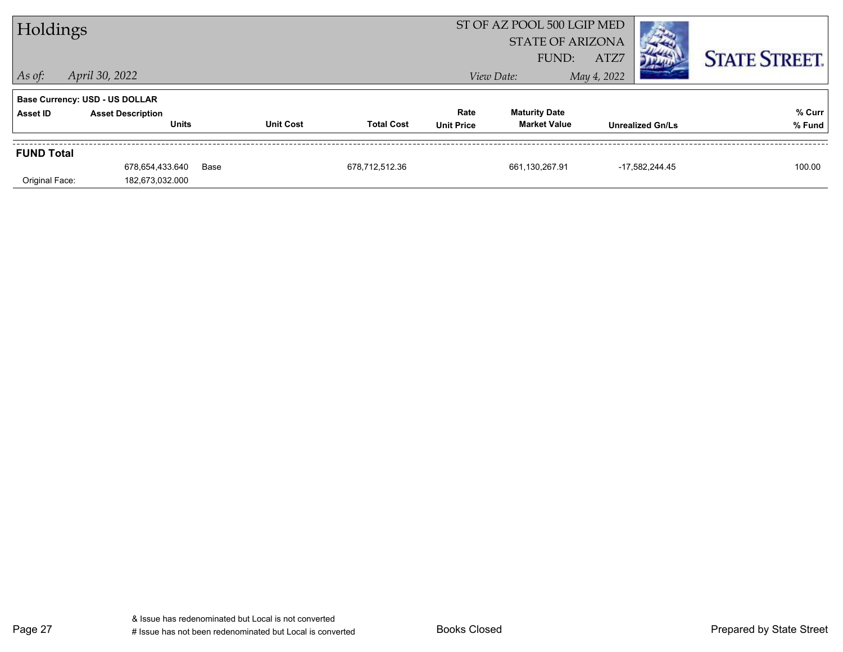| Holdings          |                                          |      |                  |                   | ST OF AZ POOL 500 LGIP MED<br><b>STATE OF ARIZONA</b><br>FUND: | ATZ7                                        |                         | <b>STATE STREET.</b> |                  |
|-------------------|------------------------------------------|------|------------------|-------------------|----------------------------------------------------------------|---------------------------------------------|-------------------------|----------------------|------------------|
| $\vert$ As of:    | April 30, 2022                           |      |                  |                   |                                                                | View Date:                                  | May 4, 2022             |                      |                  |
|                   | <b>Base Currency: USD - US DOLLAR</b>    |      |                  |                   |                                                                |                                             |                         |                      |                  |
| Asset ID          | <b>Asset Description</b><br><b>Units</b> |      | <b>Unit Cost</b> | <b>Total Cost</b> | Rate<br><b>Unit Price</b>                                      | <b>Maturity Date</b><br><b>Market Value</b> | <b>Unrealized Gn/Ls</b> |                      | % Curr<br>% Fund |
| <b>FUND Total</b> |                                          |      |                  |                   |                                                                |                                             |                         |                      |                  |
| Original Face:    | 678,654,433.640<br>182,673,032.000       | Base |                  | 678,712,512.36    |                                                                | 661,130,267.91                              |                         | -17,582,244.45       | 100.00           |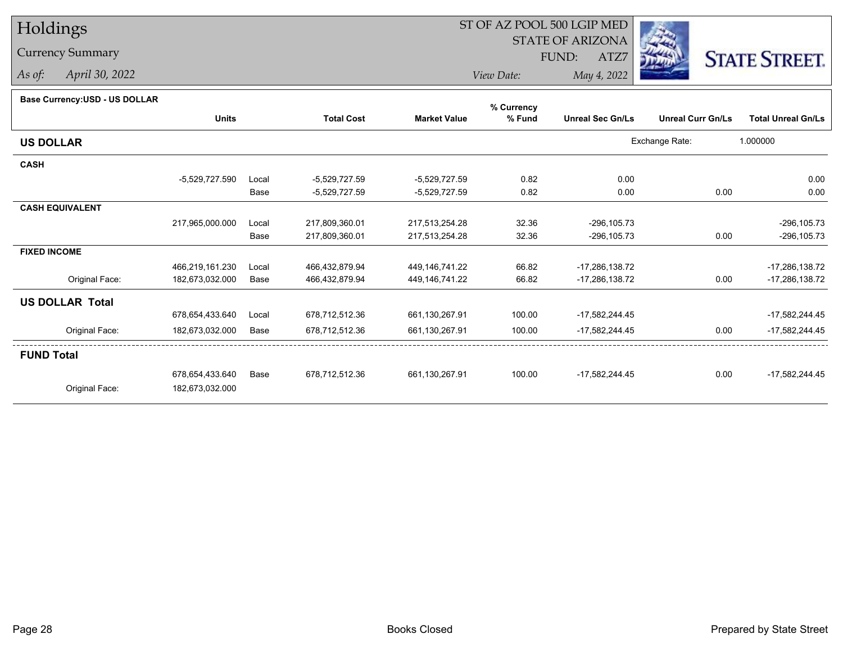## Holdings

## Currency Summary

*As of: April 30, 2022*

## ST OF AZ POOL 500 LGIP MED

 STATE OF ARIZONAFUND:

ATZ7



*View Date:May 4, 2022*

| <b>Dase Ourlelley.00D - 00 DOLLAR</b> |                 |       |                   |                     | % Currency |                         |                          |                           |
|---------------------------------------|-----------------|-------|-------------------|---------------------|------------|-------------------------|--------------------------|---------------------------|
|                                       | <b>Units</b>    |       | <b>Total Cost</b> | <b>Market Value</b> | % Fund     | <b>Unreal Sec Gn/Ls</b> | <b>Unreal Curr Gn/Ls</b> | <b>Total Unreal Gn/Ls</b> |
| <b>US DOLLAR</b>                      |                 |       |                   |                     |            |                         | Exchange Rate:           | 1.000000                  |
| <b>CASH</b>                           |                 |       |                   |                     |            |                         |                          |                           |
|                                       | -5,529,727.590  | Local | $-5,529,727.59$   | -5,529,727.59       | 0.82       | 0.00                    |                          | 0.00                      |
|                                       |                 | Base  | -5,529,727.59     | -5,529,727.59       | 0.82       | 0.00                    | 0.00                     | 0.00                      |
| <b>CASH EQUIVALENT</b>                |                 |       |                   |                     |            |                         |                          |                           |
|                                       | 217,965,000.000 | Local | 217,809,360.01    | 217,513,254.28      | 32.36      | $-296, 105.73$          |                          | $-296, 105.73$            |
|                                       |                 | Base  | 217,809,360.01    | 217,513,254.28      | 32.36      | $-296, 105.73$          | 0.00                     | $-296, 105.73$            |
| <b>FIXED INCOME</b>                   |                 |       |                   |                     |            |                         |                          |                           |
|                                       | 466,219,161.230 | Local | 466,432,879.94    | 449,146,741.22      | 66.82      | -17,286,138.72          |                          | $-17,286,138.72$          |
| Original Face:                        | 182,673,032.000 | Base  | 466,432,879.94    | 449,146,741.22      | 66.82      | -17,286,138.72          | 0.00                     | $-17,286,138.72$          |
| <b>US DOLLAR Total</b>                |                 |       |                   |                     |            |                         |                          |                           |
|                                       | 678,654,433.640 | Local | 678,712,512.36    | 661,130,267.91      | 100.00     | -17,582,244.45          |                          | -17,582,244.45            |
| Original Face:                        | 182,673,032.000 | Base  | 678,712,512.36    | 661,130,267.91      | 100.00     | -17,582,244.45          | 0.00                     | $-17,582,244.45$          |
| <b>FUND Total</b>                     |                 |       |                   |                     |            |                         |                          |                           |
|                                       | 678,654,433.640 | Base  | 678,712,512.36    | 661,130,267.91      | 100.00     | $-17,582,244.45$        | 0.00                     | $-17,582,244.45$          |
| Original Face:                        | 182,673,032.000 |       |                   |                     |            |                         |                          |                           |
|                                       |                 |       |                   |                     |            |                         |                          |                           |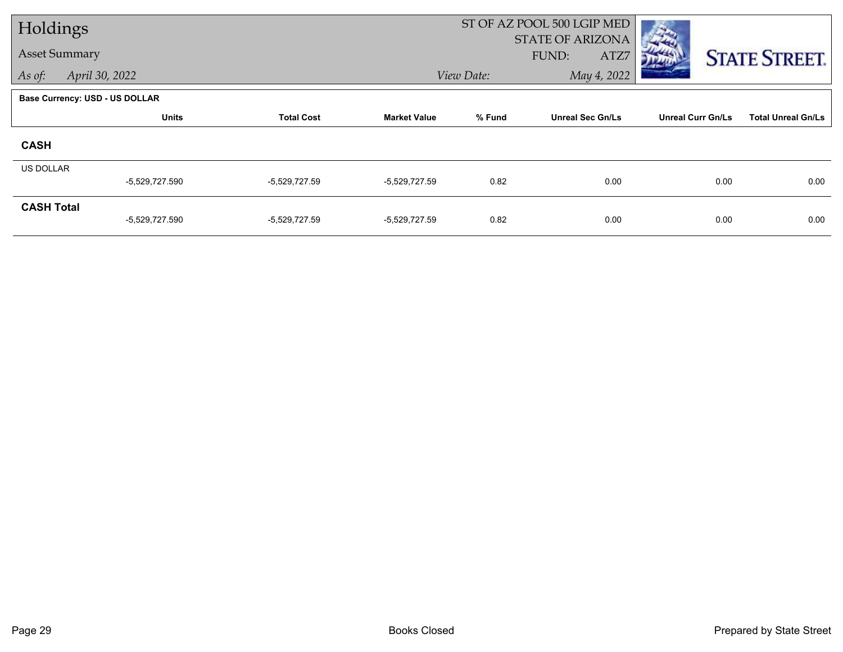| Holdings             |                                       |                   |                     |            | ST OF AZ POOL 500 LGIP MED               |                          |                           |  |
|----------------------|---------------------------------------|-------------------|---------------------|------------|------------------------------------------|--------------------------|---------------------------|--|
| <b>Asset Summary</b> |                                       |                   |                     |            | <b>STATE OF ARIZONA</b><br>FUND:<br>ATZ7 |                          | <b>STATE STREET.</b>      |  |
| As of:               | April 30, 2022                        |                   |                     | View Date: | May 4, 2022                              |                          |                           |  |
|                      | <b>Base Currency: USD - US DOLLAR</b> |                   |                     |            |                                          |                          |                           |  |
|                      | <b>Units</b>                          | <b>Total Cost</b> | <b>Market Value</b> | % Fund     | <b>Unreal Sec Gn/Ls</b>                  | <b>Unreal Curr Gn/Ls</b> | <b>Total Unreal Gn/Ls</b> |  |
| <b>CASH</b>          |                                       |                   |                     |            |                                          |                          |                           |  |
| <b>US DOLLAR</b>     |                                       |                   |                     |            |                                          |                          |                           |  |
|                      | -5,529,727.590                        | $-5,529,727.59$   | -5,529,727.59       | 0.82       | 0.00                                     | 0.00                     | 0.00                      |  |
| <b>CASH Total</b>    | -5,529,727.590                        | $-5,529,727.59$   | $-5,529,727.59$     | 0.82       | 0.00                                     | 0.00                     | 0.00                      |  |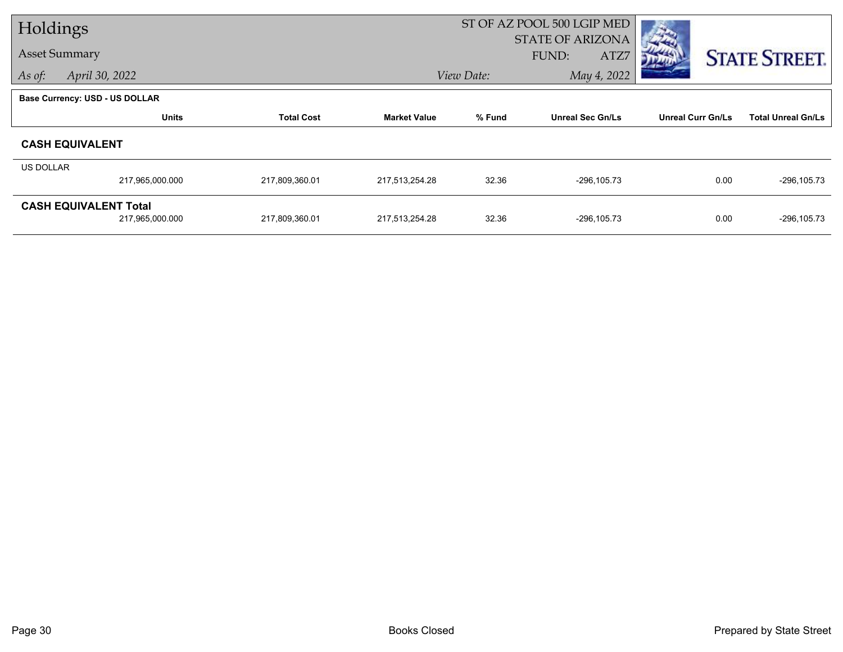| Holdings                              |                 |                   | ST OF AZ POOL 500 LGIP MED |            |                         |                          |                           |
|---------------------------------------|-----------------|-------------------|----------------------------|------------|-------------------------|--------------------------|---------------------------|
|                                       |                 |                   |                            |            | <b>STATE OF ARIZONA</b> |                          |                           |
| <b>Asset Summary</b>                  |                 |                   |                            |            | FUND:<br>ATZ7           |                          | <b>STATE STREET.</b>      |
| April 30, 2022<br>As of:              |                 |                   |                            | View Date: | May 4, 2022             |                          |                           |
| <b>Base Currency: USD - US DOLLAR</b> |                 |                   |                            |            |                         |                          |                           |
|                                       | <b>Units</b>    | <b>Total Cost</b> | <b>Market Value</b>        | % Fund     | <b>Unreal Sec Gn/Ls</b> | <b>Unreal Curr Gn/Ls</b> | <b>Total Unreal Gn/Ls</b> |
| <b>CASH EQUIVALENT</b>                |                 |                   |                            |            |                         |                          |                           |
| US DOLLAR                             |                 |                   |                            |            |                         |                          |                           |
|                                       | 217,965,000.000 | 217,809,360.01    | 217,513,254.28             | 32.36      | $-296, 105.73$          | 0.00                     | $-296, 105.73$            |
| <b>CASH EQUIVALENT Total</b>          |                 |                   |                            |            |                         |                          |                           |
|                                       | 217,965,000.000 | 217,809,360.01    | 217,513,254.28             | 32.36      | $-296, 105.73$          | 0.00                     | $-296, 105.73$            |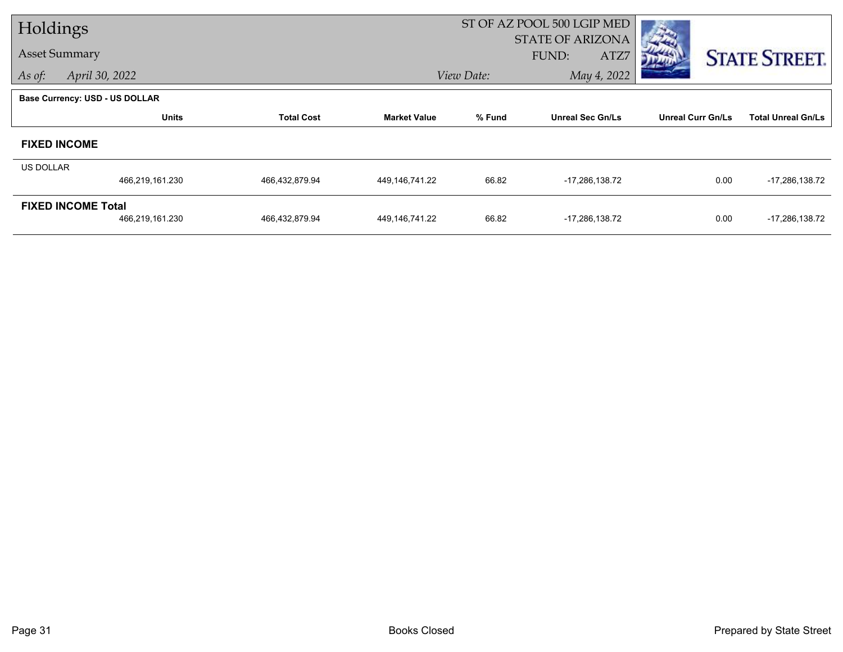| Holdings             |                                       |                   |                     |            | ST OF AZ POOL 500 LGIP MED               |                          |                           |  |
|----------------------|---------------------------------------|-------------------|---------------------|------------|------------------------------------------|--------------------------|---------------------------|--|
| <b>Asset Summary</b> |                                       |                   |                     |            | <b>STATE OF ARIZONA</b><br>FUND:<br>ATZ7 |                          | <b>STATE STREET.</b>      |  |
| As of:               | April 30, 2022                        |                   |                     | View Date: | May 4, 2022                              |                          |                           |  |
|                      | <b>Base Currency: USD - US DOLLAR</b> |                   |                     |            |                                          |                          |                           |  |
|                      | <b>Units</b>                          | <b>Total Cost</b> | <b>Market Value</b> | % Fund     | <b>Unreal Sec Gn/Ls</b>                  | <b>Unreal Curr Gn/Ls</b> | <b>Total Unreal Gn/Ls</b> |  |
|                      | <b>FIXED INCOME</b>                   |                   |                     |            |                                          |                          |                           |  |
| <b>US DOLLAR</b>     |                                       |                   |                     |            |                                          |                          |                           |  |
|                      | 466,219,161.230                       | 466,432,879.94    | 449,146,741.22      | 66.82      | $-17,286,138.72$                         | 0.00                     | $-17,286,138.72$          |  |
|                      | <b>FIXED INCOME Total</b>             |                   |                     |            |                                          |                          |                           |  |
|                      | 466,219,161.230                       | 466,432,879.94    | 449,146,741.22      | 66.82      | $-17,286,138.72$                         | 0.00                     | -17,286,138.72            |  |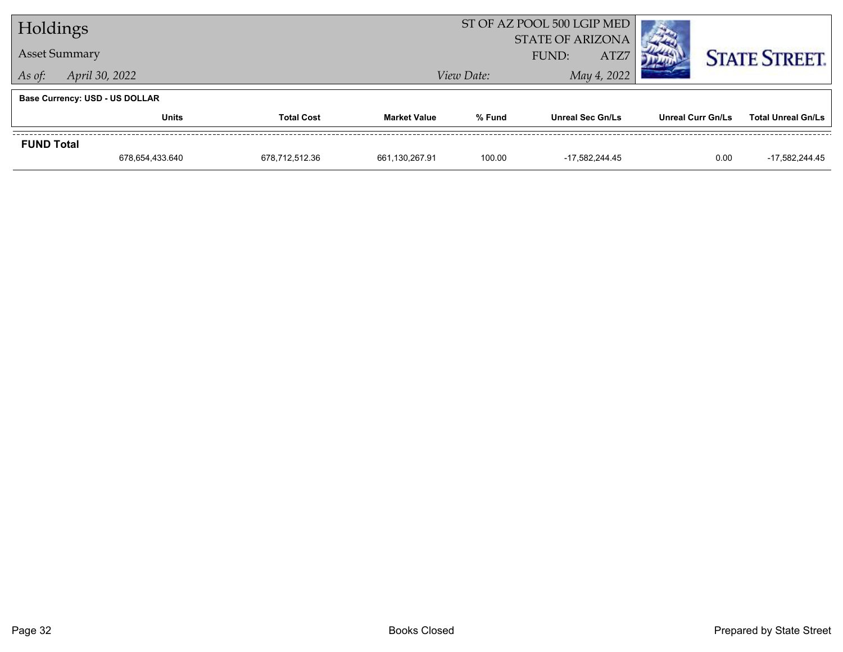| Holdings             |                                       |                |                     | ST OF AZ POOL 500 LGIP MED               | <b>COMPANY</b>          |                   |                           |  |
|----------------------|---------------------------------------|----------------|---------------------|------------------------------------------|-------------------------|-------------------|---------------------------|--|
| <b>Asset Summary</b> |                                       |                |                     | <b>STATE OF ARIZONA</b><br>ATZ7<br>FUND: |                         |                   | <b>STATE STREET.</b>      |  |
| As of:               | April 30, 2022                        |                |                     | View Date:                               | May 4, 2022             |                   |                           |  |
|                      | <b>Base Currency: USD - US DOLLAR</b> |                |                     |                                          |                         |                   |                           |  |
|                      | <b>Units</b><br><b>Total Cost</b>     |                | <b>Market Value</b> | % Fund                                   | <b>Unreal Sec Gn/Ls</b> | Unreal Curr Gn/Ls | <b>Total Unreal Gn/Ls</b> |  |
| <b>FUND Total</b>    |                                       |                |                     |                                          |                         |                   |                           |  |
|                      | 678,654,433.640                       | 678,712,512.36 | 661,130,267.91      | 100.00                                   | -17,582,244.45          | 0.00              | -17,582,244.45            |  |